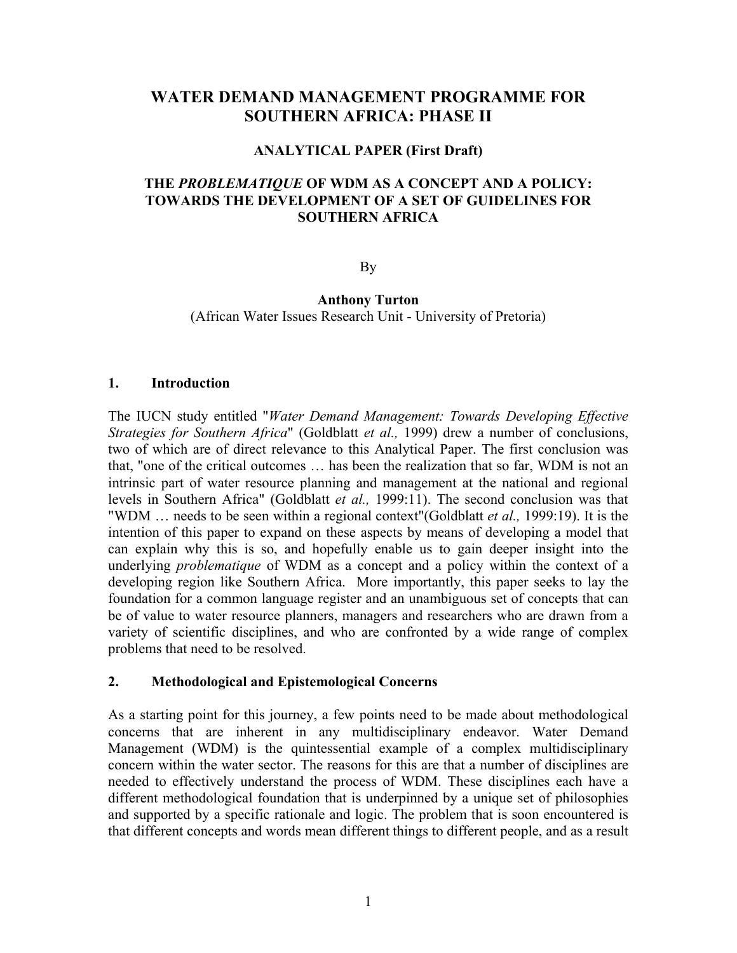# **WATER DEMAND MANAGEMENT PROGRAMME FOR SOUTHERN AFRICA: PHASE II**

### **ANALYTICAL PAPER (First Draft)**

## **THE** *PROBLEMATIQUE* **OF WDM AS A CONCEPT AND A POLICY: TOWARDS THE DEVELOPMENT OF A SET OF GUIDELINES FOR SOUTHERN AFRICA**

By

## **Anthony Turton** (African Water Issues Research Unit - University of Pretoria)

#### **1. Introduction**

The IUCN study entitled "*Water Demand Management: Towards Developing Effective Strategies for Southern Africa*" (Goldblatt *et al.,* 1999) drew a number of conclusions, two of which are of direct relevance to this Analytical Paper. The first conclusion was that, "one of the critical outcomes … has been the realization that so far, WDM is not an intrinsic part of water resource planning and management at the national and regional levels in Southern Africa" (Goldblatt *et al.,* 1999:11). The second conclusion was that "WDM … needs to be seen within a regional context"(Goldblatt *et al.,* 1999:19). It is the intention of this paper to expand on these aspects by means of developing a model that can explain why this is so, and hopefully enable us to gain deeper insight into the underlying *problematique* of WDM as a concept and a policy within the context of a developing region like Southern Africa. More importantly, this paper seeks to lay the foundation for a common language register and an unambiguous set of concepts that can be of value to water resource planners, managers and researchers who are drawn from a variety of scientific disciplines, and who are confronted by a wide range of complex problems that need to be resolved.

### **2. Methodological and Epistemological Concerns**

As a starting point for this journey, a few points need to be made about methodological concerns that are inherent in any multidisciplinary endeavor. Water Demand Management (WDM) is the quintessential example of a complex multidisciplinary concern within the water sector. The reasons for this are that a number of disciplines are needed to effectively understand the process of WDM. These disciplines each have a different methodological foundation that is underpinned by a unique set of philosophies and supported by a specific rationale and logic. The problem that is soon encountered is that different concepts and words mean different things to different people, and as a result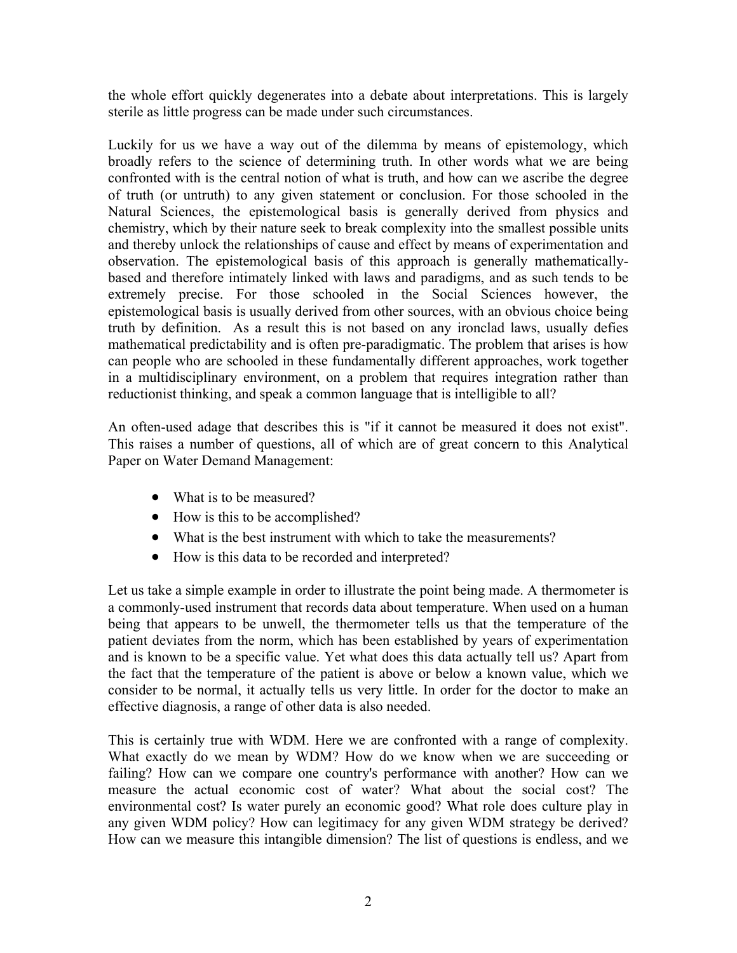the whole effort quickly degenerates into a debate about interpretations. This is largely sterile as little progress can be made under such circumstances.

Luckily for us we have a way out of the dilemma by means of epistemology, which broadly refers to the science of determining truth. In other words what we are being confronted with is the central notion of what is truth, and how can we ascribe the degree of truth (or untruth) to any given statement or conclusion. For those schooled in the Natural Sciences, the epistemological basis is generally derived from physics and chemistry, which by their nature seek to break complexity into the smallest possible units and thereby unlock the relationships of cause and effect by means of experimentation and observation. The epistemological basis of this approach is generally mathematicallybased and therefore intimately linked with laws and paradigms, and as such tends to be extremely precise. For those schooled in the Social Sciences however, the epistemological basis is usually derived from other sources, with an obvious choice being truth by definition. As a result this is not based on any ironclad laws, usually defies mathematical predictability and is often pre-paradigmatic. The problem that arises is how can people who are schooled in these fundamentally different approaches, work together in a multidisciplinary environment, on a problem that requires integration rather than reductionist thinking, and speak a common language that is intelligible to all?

An often-used adage that describes this is "if it cannot be measured it does not exist". This raises a number of questions, all of which are of great concern to this Analytical Paper on Water Demand Management:

- What is to be measured?
- How is this to be accomplished?
- What is the best instrument with which to take the measurements?
- How is this data to be recorded and interpreted?

Let us take a simple example in order to illustrate the point being made. A thermometer is a commonly-used instrument that records data about temperature. When used on a human being that appears to be unwell, the thermometer tells us that the temperature of the patient deviates from the norm, which has been established by years of experimentation and is known to be a specific value. Yet what does this data actually tell us? Apart from the fact that the temperature of the patient is above or below a known value, which we consider to be normal, it actually tells us very little. In order for the doctor to make an effective diagnosis, a range of other data is also needed.

This is certainly true with WDM. Here we are confronted with a range of complexity. What exactly do we mean by WDM? How do we know when we are succeeding or failing? How can we compare one country's performance with another? How can we measure the actual economic cost of water? What about the social cost? The environmental cost? Is water purely an economic good? What role does culture play in any given WDM policy? How can legitimacy for any given WDM strategy be derived? How can we measure this intangible dimension? The list of questions is endless, and we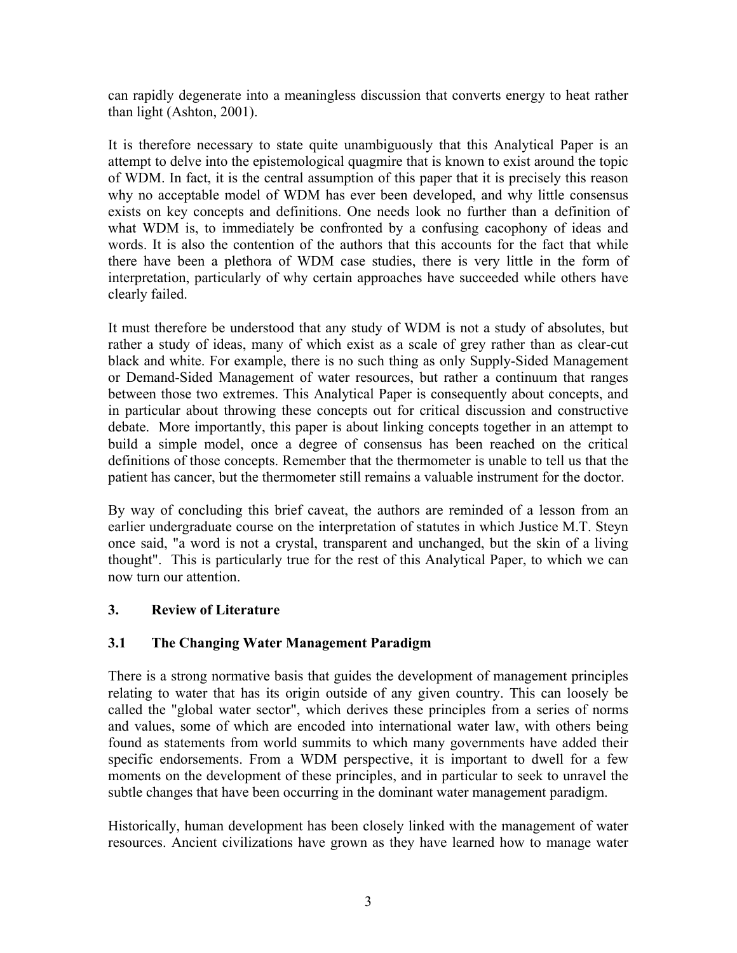can rapidly degenerate into a meaningless discussion that converts energy to heat rather than light (Ashton, 2001).

It is therefore necessary to state quite unambiguously that this Analytical Paper is an attempt to delve into the epistemological quagmire that is known to exist around the topic of WDM. In fact, it is the central assumption of this paper that it is precisely this reason why no acceptable model of WDM has ever been developed, and why little consensus exists on key concepts and definitions. One needs look no further than a definition of what WDM is, to immediately be confronted by a confusing cacophony of ideas and words. It is also the contention of the authors that this accounts for the fact that while there have been a plethora of WDM case studies, there is very little in the form of interpretation, particularly of why certain approaches have succeeded while others have clearly failed.

It must therefore be understood that any study of WDM is not a study of absolutes, but rather a study of ideas, many of which exist as a scale of grey rather than as clear-cut black and white. For example, there is no such thing as only Supply-Sided Management or Demand-Sided Management of water resources, but rather a continuum that ranges between those two extremes. This Analytical Paper is consequently about concepts, and in particular about throwing these concepts out for critical discussion and constructive debate. More importantly, this paper is about linking concepts together in an attempt to build a simple model, once a degree of consensus has been reached on the critical definitions of those concepts. Remember that the thermometer is unable to tell us that the patient has cancer, but the thermometer still remains a valuable instrument for the doctor.

By way of concluding this brief caveat, the authors are reminded of a lesson from an earlier undergraduate course on the interpretation of statutes in which Justice M.T. Steyn once said, "a word is not a crystal, transparent and unchanged, but the skin of a living thought". This is particularly true for the rest of this Analytical Paper, to which we can now turn our attention.

## **3. Review of Literature**

## **3.1 The Changing Water Management Paradigm**

There is a strong normative basis that guides the development of management principles relating to water that has its origin outside of any given country. This can loosely be called the "global water sector", which derives these principles from a series of norms and values, some of which are encoded into international water law, with others being found as statements from world summits to which many governments have added their specific endorsements. From a WDM perspective, it is important to dwell for a few moments on the development of these principles, and in particular to seek to unravel the subtle changes that have been occurring in the dominant water management paradigm.

Historically, human development has been closely linked with the management of water resources. Ancient civilizations have grown as they have learned how to manage water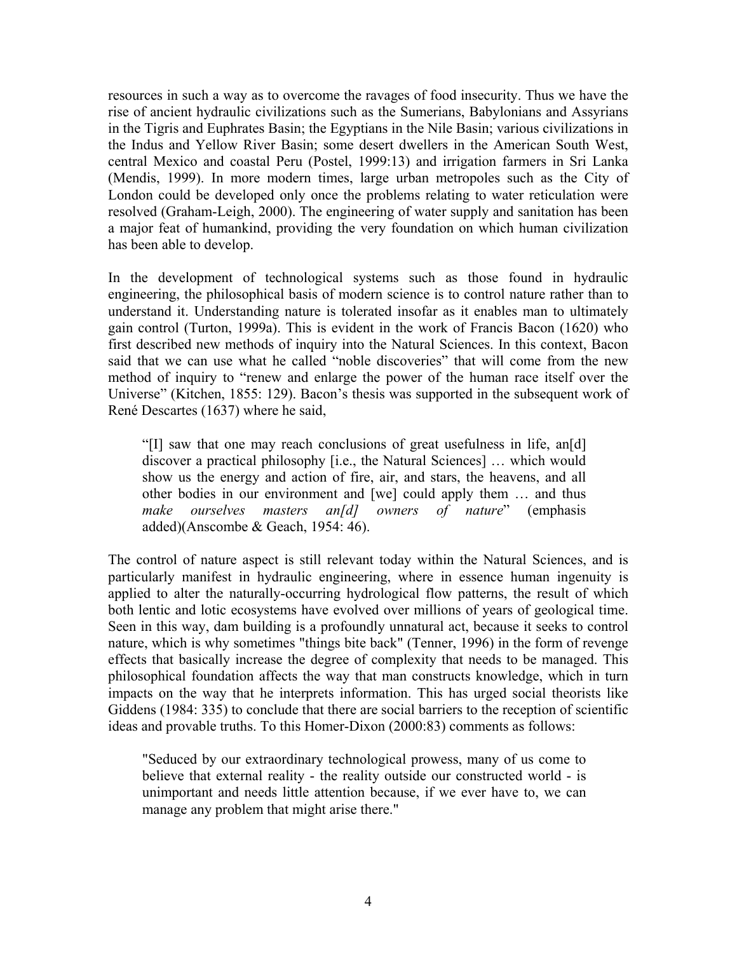resources in such a way as to overcome the ravages of food insecurity. Thus we have the rise of ancient hydraulic civilizations such as the Sumerians, Babylonians and Assyrians in the Tigris and Euphrates Basin; the Egyptians in the Nile Basin; various civilizations in the Indus and Yellow River Basin; some desert dwellers in the American South West, central Mexico and coastal Peru (Postel, 1999:13) and irrigation farmers in Sri Lanka (Mendis, 1999). In more modern times, large urban metropoles such as the City of London could be developed only once the problems relating to water reticulation were resolved (Graham-Leigh, 2000). The engineering of water supply and sanitation has been a major feat of humankind, providing the very foundation on which human civilization has been able to develop.

In the development of technological systems such as those found in hydraulic engineering, the philosophical basis of modern science is to control nature rather than to understand it. Understanding nature is tolerated insofar as it enables man to ultimately gain control (Turton, 1999a). This is evident in the work of Francis Bacon (1620) who first described new methods of inquiry into the Natural Sciences. In this context, Bacon said that we can use what he called "noble discoveries" that will come from the new method of inquiry to "renew and enlarge the power of the human race itself over the Universe" (Kitchen, 1855: 129). Bacon's thesis was supported in the subsequent work of René Descartes (1637) where he said,

"[I] saw that one may reach conclusions of great usefulness in life, an[d] discover a practical philosophy [i.e., the Natural Sciences] … which would show us the energy and action of fire, air, and stars, the heavens, and all other bodies in our environment and [we] could apply them … and thus *make ourselves masters an[d] owners of nature*" (emphasis added)(Anscombe & Geach, 1954: 46).

The control of nature aspect is still relevant today within the Natural Sciences, and is particularly manifest in hydraulic engineering, where in essence human ingenuity is applied to alter the naturally-occurring hydrological flow patterns, the result of which both lentic and lotic ecosystems have evolved over millions of years of geological time. Seen in this way, dam building is a profoundly unnatural act, because it seeks to control nature, which is why sometimes "things bite back" (Tenner, 1996) in the form of revenge effects that basically increase the degree of complexity that needs to be managed. This philosophical foundation affects the way that man constructs knowledge, which in turn impacts on the way that he interprets information. This has urged social theorists like Giddens (1984: 335) to conclude that there are social barriers to the reception of scientific ideas and provable truths. To this Homer-Dixon (2000:83) comments as follows:

"Seduced by our extraordinary technological prowess, many of us come to believe that external reality - the reality outside our constructed world - is unimportant and needs little attention because, if we ever have to, we can manage any problem that might arise there."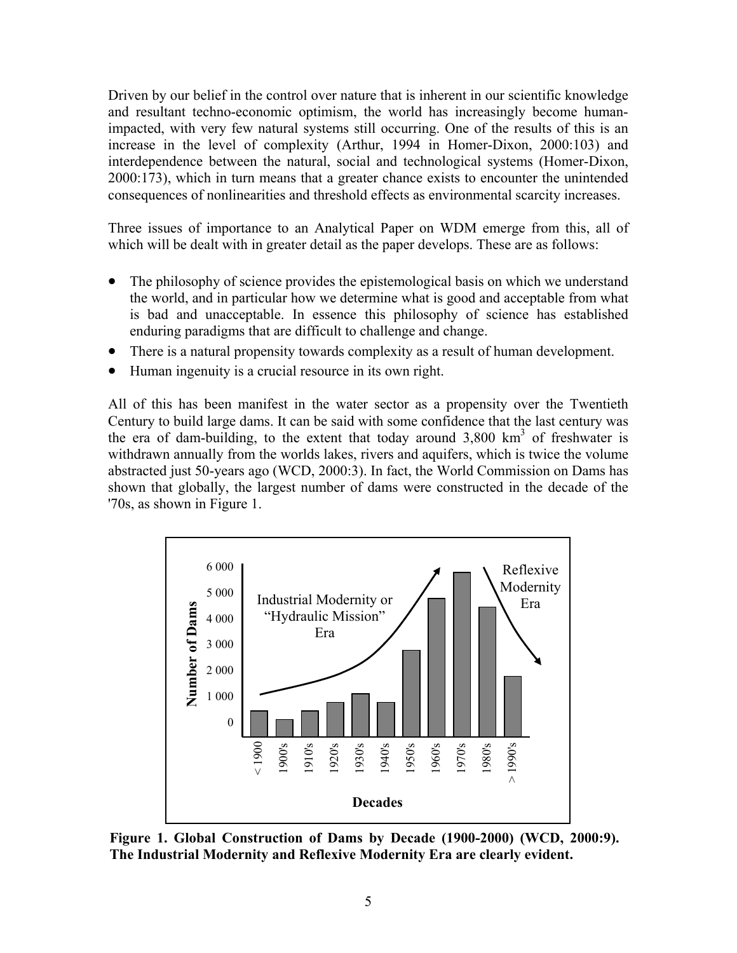Driven by our belief in the control over nature that is inherent in our scientific knowledge and resultant techno-economic optimism, the world has increasingly become humanimpacted, with very few natural systems still occurring. One of the results of this is an increase in the level of complexity (Arthur, 1994 in Homer-Dixon, 2000:103) and interdependence between the natural, social and technological systems (Homer-Dixon, 2000:173), which in turn means that a greater chance exists to encounter the unintended consequences of nonlinearities and threshold effects as environmental scarcity increases.

Three issues of importance to an Analytical Paper on WDM emerge from this, all of which will be dealt with in greater detail as the paper develops. These are as follows:

- The philosophy of science provides the epistemological basis on which we understand the world, and in particular how we determine what is good and acceptable from what is bad and unacceptable. In essence this philosophy of science has established enduring paradigms that are difficult to challenge and change.
- There is a natural propensity towards complexity as a result of human development.
- Human ingenuity is a crucial resource in its own right.

All of this has been manifest in the water sector as a propensity over the Twentieth Century to build large dams. It can be said with some confidence that the last century was the era of dam-building, to the extent that today around  $3,800 \text{ km}^3$  of freshwater is withdrawn annually from the worlds lakes, rivers and aquifers, which is twice the volume abstracted just 50-years ago (WCD, 2000:3). In fact, the World Commission on Dams has shown that globally, the largest number of dams were constructed in the decade of the '70s, as shown in Figure 1.



**Figure 1. Global Construction of Dams by Decade (1900-2000) (WCD, 2000:9). The Industrial Modernity and Reflexive Modernity Era are clearly evident.**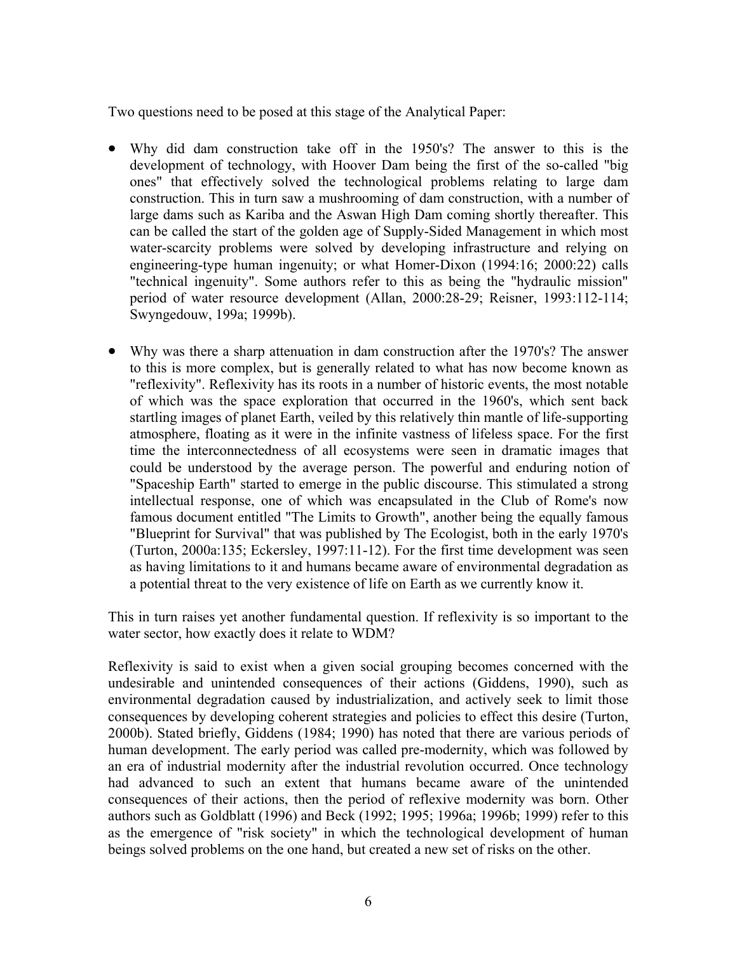Two questions need to be posed at this stage of the Analytical Paper:

- Why did dam construction take off in the 1950's? The answer to this is the development of technology, with Hoover Dam being the first of the so-called "big ones" that effectively solved the technological problems relating to large dam construction. This in turn saw a mushrooming of dam construction, with a number of large dams such as Kariba and the Aswan High Dam coming shortly thereafter. This can be called the start of the golden age of Supply-Sided Management in which most water-scarcity problems were solved by developing infrastructure and relying on engineering-type human ingenuity; or what Homer-Dixon (1994:16; 2000:22) calls "technical ingenuity". Some authors refer to this as being the "hydraulic mission" period of water resource development (Allan, 2000:28-29; Reisner, 1993:112-114; Swyngedouw, 199a; 1999b).
- Why was there a sharp attenuation in dam construction after the 1970's? The answer to this is more complex, but is generally related to what has now become known as "reflexivity". Reflexivity has its roots in a number of historic events, the most notable of which was the space exploration that occurred in the 1960's, which sent back startling images of planet Earth, veiled by this relatively thin mantle of life-supporting atmosphere, floating as it were in the infinite vastness of lifeless space. For the first time the interconnectedness of all ecosystems were seen in dramatic images that could be understood by the average person. The powerful and enduring notion of "Spaceship Earth" started to emerge in the public discourse. This stimulated a strong intellectual response, one of which was encapsulated in the Club of Rome's now famous document entitled "The Limits to Growth", another being the equally famous "Blueprint for Survival" that was published by The Ecologist, both in the early 1970's (Turton, 2000a:135; Eckersley, 1997:11-12). For the first time development was seen as having limitations to it and humans became aware of environmental degradation as a potential threat to the very existence of life on Earth as we currently know it.

This in turn raises yet another fundamental question. If reflexivity is so important to the water sector, how exactly does it relate to WDM?

Reflexivity is said to exist when a given social grouping becomes concerned with the undesirable and unintended consequences of their actions (Giddens, 1990), such as environmental degradation caused by industrialization, and actively seek to limit those consequences by developing coherent strategies and policies to effect this desire (Turton, 2000b). Stated briefly, Giddens (1984; 1990) has noted that there are various periods of human development. The early period was called pre-modernity, which was followed by an era of industrial modernity after the industrial revolution occurred. Once technology had advanced to such an extent that humans became aware of the unintended consequences of their actions, then the period of reflexive modernity was born. Other authors such as Goldblatt (1996) and Beck (1992; 1995; 1996a; 1996b; 1999) refer to this as the emergence of "risk society" in which the technological development of human beings solved problems on the one hand, but created a new set of risks on the other.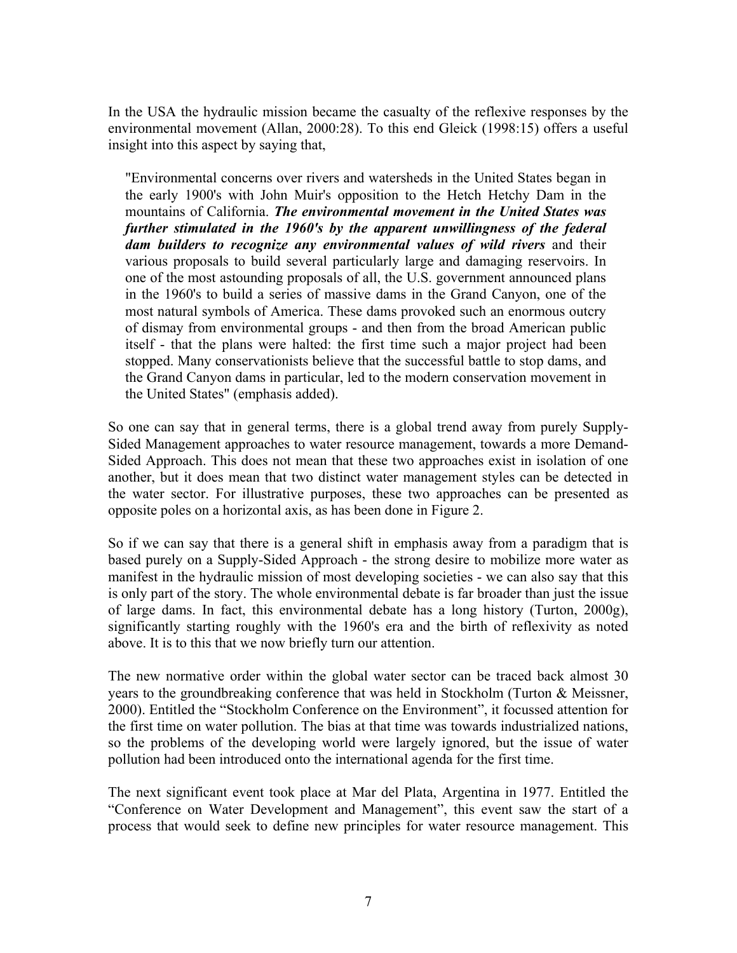In the USA the hydraulic mission became the casualty of the reflexive responses by the environmental movement (Allan, 2000:28). To this end Gleick (1998:15) offers a useful insight into this aspect by saying that,

"Environmental concerns over rivers and watersheds in the United States began in the early 1900's with John Muir's opposition to the Hetch Hetchy Dam in the mountains of California. *The environmental movement in the United States was further stimulated in the 1960's by the apparent unwillingness of the federal dam builders to recognize any environmental values of wild rivers* and their various proposals to build several particularly large and damaging reservoirs. In one of the most astounding proposals of all, the U.S. government announced plans in the 1960's to build a series of massive dams in the Grand Canyon, one of the most natural symbols of America. These dams provoked such an enormous outcry of dismay from environmental groups - and then from the broad American public itself - that the plans were halted: the first time such a major project had been stopped. Many conservationists believe that the successful battle to stop dams, and the Grand Canyon dams in particular, led to the modern conservation movement in the United States" (emphasis added).

So one can say that in general terms, there is a global trend away from purely Supply-Sided Management approaches to water resource management, towards a more Demand-Sided Approach. This does not mean that these two approaches exist in isolation of one another, but it does mean that two distinct water management styles can be detected in the water sector. For illustrative purposes, these two approaches can be presented as opposite poles on a horizontal axis, as has been done in Figure 2.

So if we can say that there is a general shift in emphasis away from a paradigm that is based purely on a Supply-Sided Approach - the strong desire to mobilize more water as manifest in the hydraulic mission of most developing societies - we can also say that this is only part of the story. The whole environmental debate is far broader than just the issue of large dams. In fact, this environmental debate has a long history (Turton, 2000g), significantly starting roughly with the 1960's era and the birth of reflexivity as noted above. It is to this that we now briefly turn our attention.

The new normative order within the global water sector can be traced back almost 30 years to the groundbreaking conference that was held in Stockholm (Turton & Meissner, 2000). Entitled the "Stockholm Conference on the Environment", it focussed attention for the first time on water pollution. The bias at that time was towards industrialized nations, so the problems of the developing world were largely ignored, but the issue of water pollution had been introduced onto the international agenda for the first time.

The next significant event took place at Mar del Plata, Argentina in 1977. Entitled the "Conference on Water Development and Management", this event saw the start of a process that would seek to define new principles for water resource management. This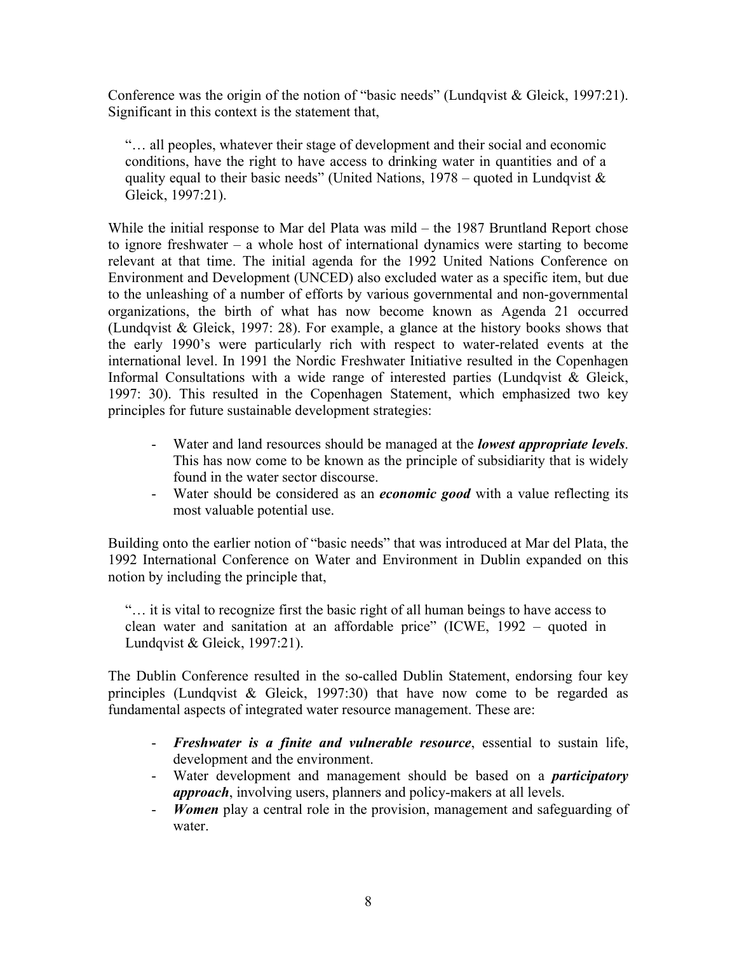Conference was the origin of the notion of "basic needs" (Lundqvist & Gleick, 1997:21). Significant in this context is the statement that,

"… all peoples, whatever their stage of development and their social and economic conditions, have the right to have access to drinking water in quantities and of a quality equal to their basic needs" (United Nations,  $1978$  – quoted in Lundqvist & Gleick, 1997:21).

While the initial response to Mar del Plata was mild – the 1987 Bruntland Report chose to ignore freshwater – a whole host of international dynamics were starting to become relevant at that time. The initial agenda for the 1992 United Nations Conference on Environment and Development (UNCED) also excluded water as a specific item, but due to the unleashing of a number of efforts by various governmental and non-governmental organizations, the birth of what has now become known as Agenda 21 occurred (Lundqvist  $& Gleick, 1997: 28$ ). For example, a glance at the history books shows that the early 1990's were particularly rich with respect to water-related events at the international level. In 1991 the Nordic Freshwater Initiative resulted in the Copenhagen Informal Consultations with a wide range of interested parties (Lundqvist & Gleick, 1997: 30). This resulted in the Copenhagen Statement, which emphasized two key principles for future sustainable development strategies:

- Water and land resources should be managed at the *lowest appropriate levels*. This has now come to be known as the principle of subsidiarity that is widely found in the water sector discourse.
- Water should be considered as an *economic good* with a value reflecting its most valuable potential use.

Building onto the earlier notion of "basic needs" that was introduced at Mar del Plata, the 1992 International Conference on Water and Environment in Dublin expanded on this notion by including the principle that,

"… it is vital to recognize first the basic right of all human beings to have access to clean water and sanitation at an affordable price" (ICWE, 1992 – quoted in Lundqvist & Gleick, 1997:21).

The Dublin Conference resulted in the so-called Dublin Statement, endorsing four key principles (Lundqvist & Gleick, 1997:30) that have now come to be regarded as fundamental aspects of integrated water resource management. These are:

- *Freshwater is a finite and vulnerable resource*, essential to sustain life, development and the environment.
- Water development and management should be based on a *participatory approach*, involving users, planners and policy-makers at all levels.
- *Women* play a central role in the provision, management and safeguarding of water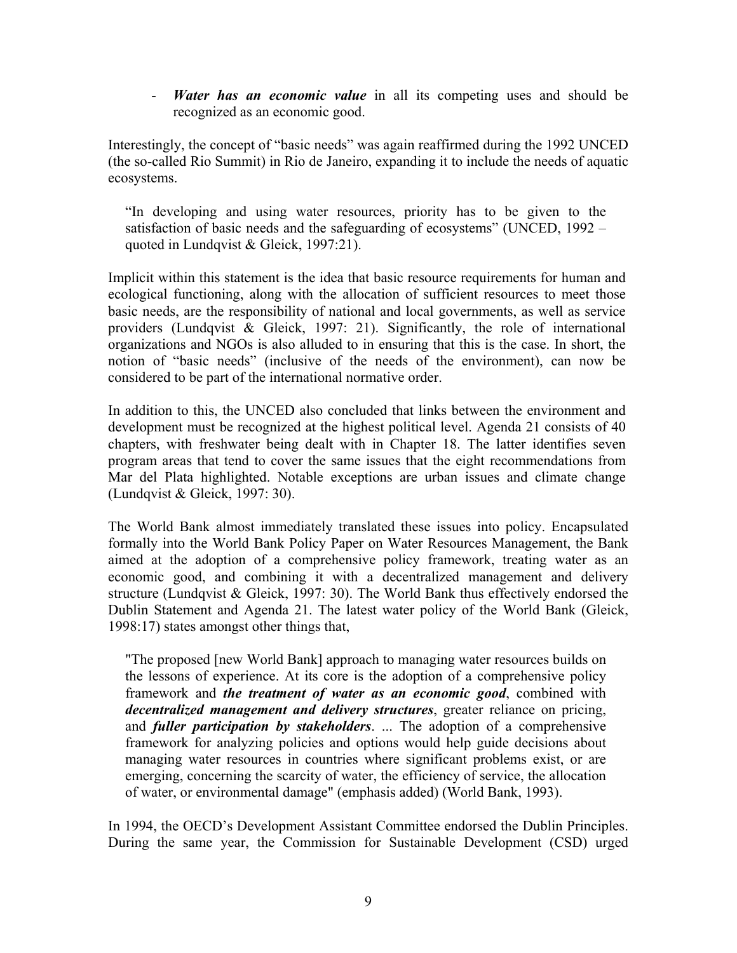- *Water has an economic value* in all its competing uses and should be recognized as an economic good.

Interestingly, the concept of "basic needs" was again reaffirmed during the 1992 UNCED (the so-called Rio Summit) in Rio de Janeiro, expanding it to include the needs of aquatic ecosystems.

"In developing and using water resources, priority has to be given to the satisfaction of basic needs and the safeguarding of ecosystems" (UNCED, 1992 – quoted in Lundqvist & Gleick, 1997:21).

Implicit within this statement is the idea that basic resource requirements for human and ecological functioning, along with the allocation of sufficient resources to meet those basic needs, are the responsibility of national and local governments, as well as service providers (Lundqvist & Gleick, 1997: 21). Significantly, the role of international organizations and NGOs is also alluded to in ensuring that this is the case. In short, the notion of "basic needs" (inclusive of the needs of the environment), can now be considered to be part of the international normative order.

In addition to this, the UNCED also concluded that links between the environment and development must be recognized at the highest political level. Agenda 21 consists of 40 chapters, with freshwater being dealt with in Chapter 18. The latter identifies seven program areas that tend to cover the same issues that the eight recommendations from Mar del Plata highlighted. Notable exceptions are urban issues and climate change (Lundqvist & Gleick, 1997: 30).

The World Bank almost immediately translated these issues into policy. Encapsulated formally into the World Bank Policy Paper on Water Resources Management, the Bank aimed at the adoption of a comprehensive policy framework, treating water as an economic good, and combining it with a decentralized management and delivery structure (Lundqvist & Gleick, 1997: 30). The World Bank thus effectively endorsed the Dublin Statement and Agenda 21. The latest water policy of the World Bank (Gleick, 1998:17) states amongst other things that,

"The proposed [new World Bank] approach to managing water resources builds on the lessons of experience. At its core is the adoption of a comprehensive policy framework and *the treatment of water as an economic good*, combined with *decentralized management and delivery structures*, greater reliance on pricing, and *fuller participation by stakeholders*. ... The adoption of a comprehensive framework for analyzing policies and options would help guide decisions about managing water resources in countries where significant problems exist, or are emerging, concerning the scarcity of water, the efficiency of service, the allocation of water, or environmental damage" (emphasis added) (World Bank, 1993).

In 1994, the OECD's Development Assistant Committee endorsed the Dublin Principles. During the same year, the Commission for Sustainable Development (CSD) urged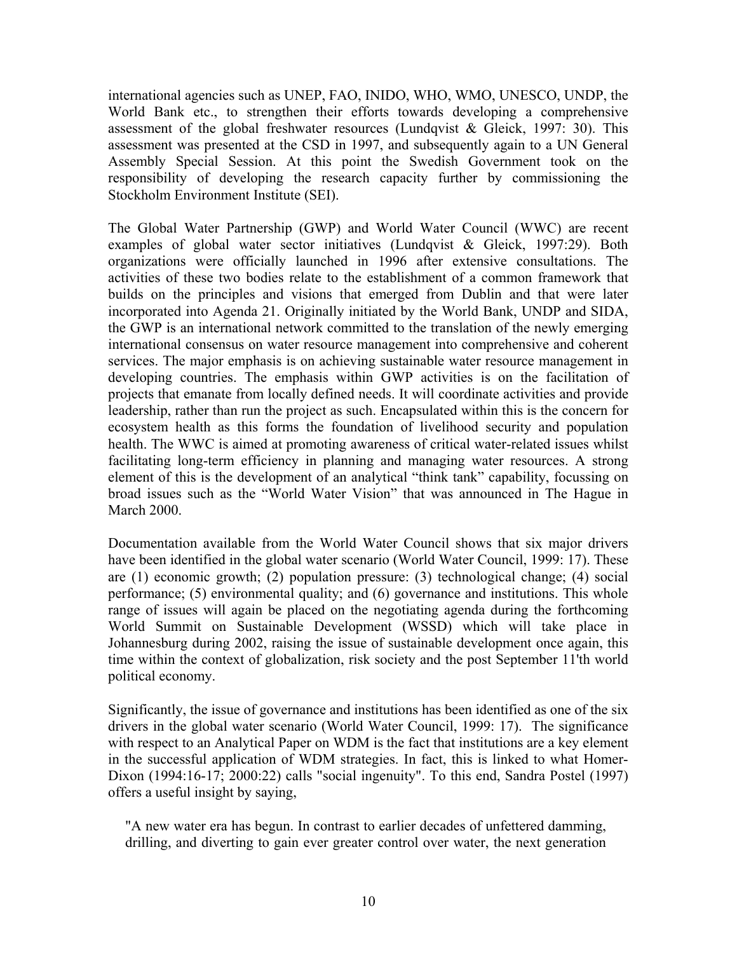international agencies such as UNEP, FAO, INIDO, WHO, WMO, UNESCO, UNDP, the World Bank etc., to strengthen their efforts towards developing a comprehensive assessment of the global freshwater resources (Lundqvist & Gleick, 1997: 30). This assessment was presented at the CSD in 1997, and subsequently again to a UN General Assembly Special Session. At this point the Swedish Government took on the responsibility of developing the research capacity further by commissioning the Stockholm Environment Institute (SEI).

The Global Water Partnership (GWP) and World Water Council (WWC) are recent examples of global water sector initiatives (Lundqvist & Gleick, 1997:29). Both organizations were officially launched in 1996 after extensive consultations. The activities of these two bodies relate to the establishment of a common framework that builds on the principles and visions that emerged from Dublin and that were later incorporated into Agenda 21. Originally initiated by the World Bank, UNDP and SIDA, the GWP is an international network committed to the translation of the newly emerging international consensus on water resource management into comprehensive and coherent services. The major emphasis is on achieving sustainable water resource management in developing countries. The emphasis within GWP activities is on the facilitation of projects that emanate from locally defined needs. It will coordinate activities and provide leadership, rather than run the project as such. Encapsulated within this is the concern for ecosystem health as this forms the foundation of livelihood security and population health. The WWC is aimed at promoting awareness of critical water-related issues whilst facilitating long-term efficiency in planning and managing water resources. A strong element of this is the development of an analytical "think tank" capability, focussing on broad issues such as the "World Water Vision" that was announced in The Hague in March 2000.

Documentation available from the World Water Council shows that six major drivers have been identified in the global water scenario (World Water Council, 1999: 17). These are (1) economic growth; (2) population pressure: (3) technological change; (4) social performance; (5) environmental quality; and (6) governance and institutions. This whole range of issues will again be placed on the negotiating agenda during the forthcoming World Summit on Sustainable Development (WSSD) which will take place in Johannesburg during 2002, raising the issue of sustainable development once again, this time within the context of globalization, risk society and the post September 11'th world political economy.

Significantly, the issue of governance and institutions has been identified as one of the six drivers in the global water scenario (World Water Council, 1999: 17). The significance with respect to an Analytical Paper on WDM is the fact that institutions are a key element in the successful application of WDM strategies. In fact, this is linked to what Homer-Dixon (1994:16-17; 2000:22) calls "social ingenuity". To this end, Sandra Postel (1997) offers a useful insight by saying,

"A new water era has begun. In contrast to earlier decades of unfettered damming, drilling, and diverting to gain ever greater control over water, the next generation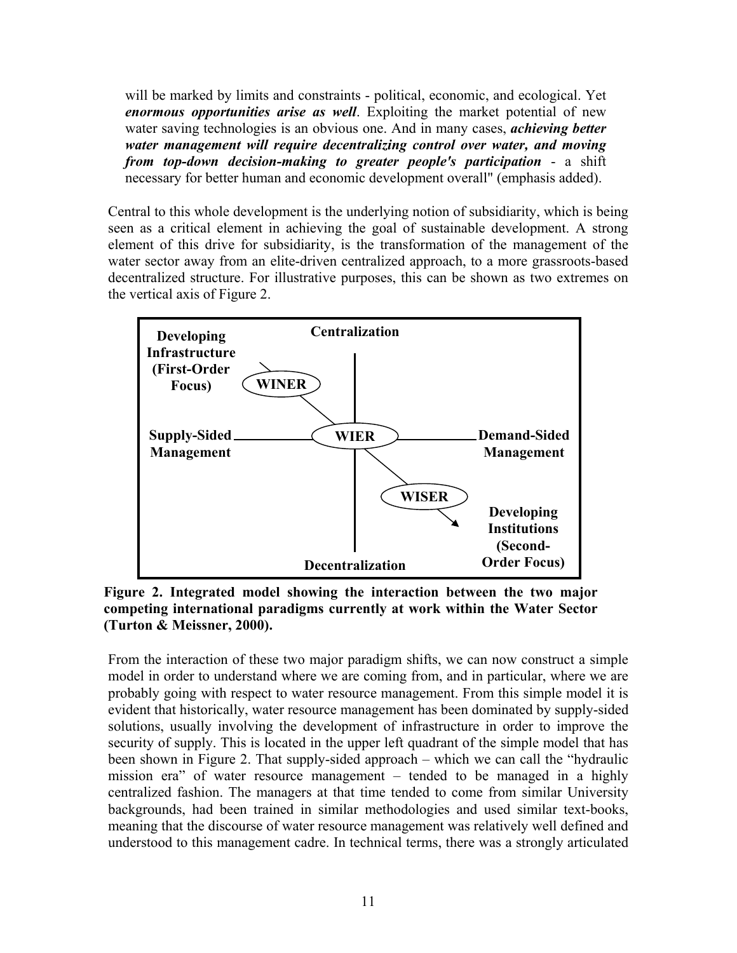will be marked by limits and constraints - political, economic, and ecological. Yet *enormous opportunities arise as well*. Exploiting the market potential of new water saving technologies is an obvious one. And in many cases, *achieving better water management will require decentralizing control over water, and moving from top-down decision-making to greater people's participation* - a shift necessary for better human and economic development overall" (emphasis added).

Central to this whole development is the underlying notion of subsidiarity, which is being seen as a critical element in achieving the goal of sustainable development. A strong element of this drive for subsidiarity, is the transformation of the management of the water sector away from an elite-driven centralized approach, to a more grassroots-based decentralized structure. For illustrative purposes, this can be shown as two extremes on the vertical axis of Figure 2.



**Figure 2. Integrated model showing the interaction between the two major competing international paradigms currently at work within the Water Sector (Turton & Meissner, 2000).** 

From the interaction of these two major paradigm shifts, we can now construct a simple model in order to understand where we are coming from, and in particular, where we are probably going with respect to water resource management. From this simple model it is evident that historically, water resource management has been dominated by supply-sided solutions, usually involving the development of infrastructure in order to improve the security of supply. This is located in the upper left quadrant of the simple model that has been shown in Figure 2. That supply-sided approach – which we can call the "hydraulic mission era" of water resource management – tended to be managed in a highly centralized fashion. The managers at that time tended to come from similar University backgrounds, had been trained in similar methodologies and used similar text-books, meaning that the discourse of water resource management was relatively well defined and understood to this management cadre. In technical terms, there was a strongly articulated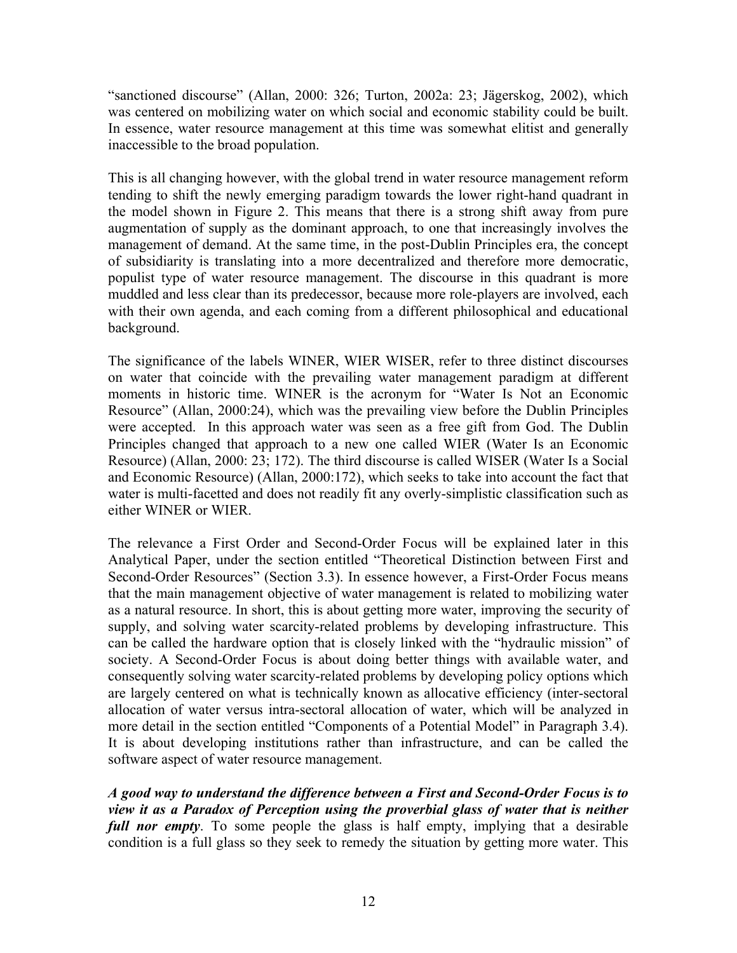"sanctioned discourse" (Allan, 2000: 326; Turton, 2002a: 23; Jägerskog, 2002), which was centered on mobilizing water on which social and economic stability could be built. In essence, water resource management at this time was somewhat elitist and generally inaccessible to the broad population.

This is all changing however, with the global trend in water resource management reform tending to shift the newly emerging paradigm towards the lower right-hand quadrant in the model shown in Figure 2. This means that there is a strong shift away from pure augmentation of supply as the dominant approach, to one that increasingly involves the management of demand. At the same time, in the post-Dublin Principles era, the concept of subsidiarity is translating into a more decentralized and therefore more democratic, populist type of water resource management. The discourse in this quadrant is more muddled and less clear than its predecessor, because more role-players are involved, each with their own agenda, and each coming from a different philosophical and educational background.

The significance of the labels WINER, WIER WISER, refer to three distinct discourses on water that coincide with the prevailing water management paradigm at different moments in historic time. WINER is the acronym for "Water Is Not an Economic Resource" (Allan, 2000:24), which was the prevailing view before the Dublin Principles were accepted. In this approach water was seen as a free gift from God. The Dublin Principles changed that approach to a new one called WIER (Water Is an Economic Resource) (Allan, 2000: 23; 172). The third discourse is called WISER (Water Is a Social and Economic Resource) (Allan, 2000:172), which seeks to take into account the fact that water is multi-facetted and does not readily fit any overly-simplistic classification such as either WINER or WIER.

The relevance a First Order and Second-Order Focus will be explained later in this Analytical Paper, under the section entitled "Theoretical Distinction between First and Second-Order Resources" (Section 3.3). In essence however, a First-Order Focus means that the main management objective of water management is related to mobilizing water as a natural resource. In short, this is about getting more water, improving the security of supply, and solving water scarcity-related problems by developing infrastructure. This can be called the hardware option that is closely linked with the "hydraulic mission" of society. A Second-Order Focus is about doing better things with available water, and consequently solving water scarcity-related problems by developing policy options which are largely centered on what is technically known as allocative efficiency (inter-sectoral allocation of water versus intra-sectoral allocation of water, which will be analyzed in more detail in the section entitled "Components of a Potential Model" in Paragraph 3.4). It is about developing institutions rather than infrastructure, and can be called the software aspect of water resource management.

*A good way to understand the difference between a First and Second-Order Focus is to view it as a Paradox of Perception using the proverbial glass of water that is neither full nor empty*. To some people the glass is half empty, implying that a desirable condition is a full glass so they seek to remedy the situation by getting more water. This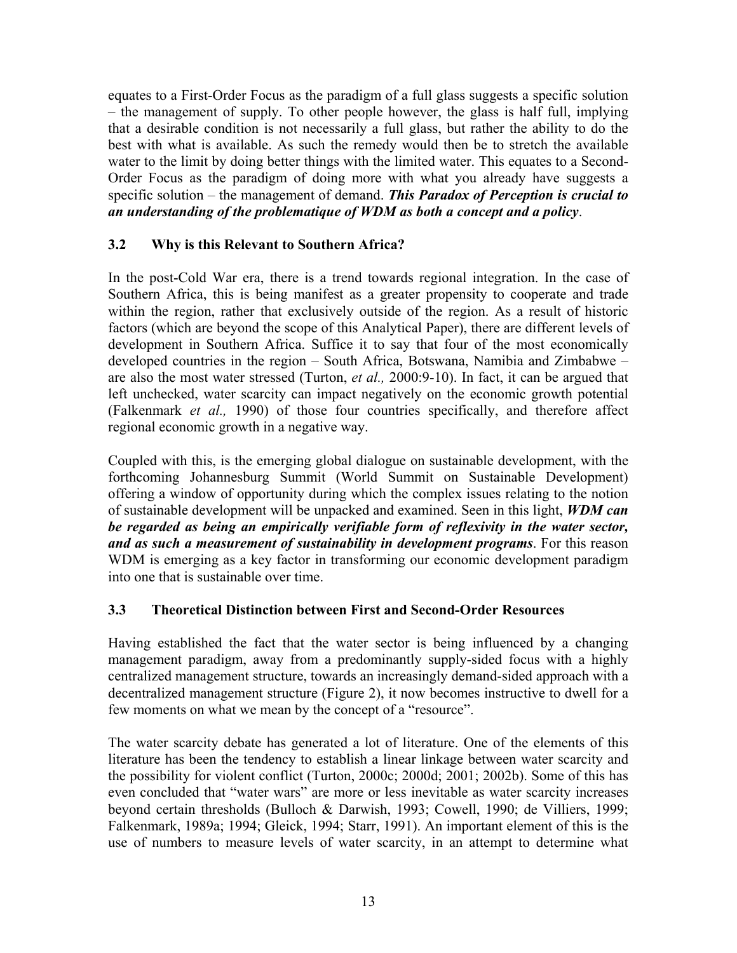equates to a First-Order Focus as the paradigm of a full glass suggests a specific solution – the management of supply. To other people however, the glass is half full, implying that a desirable condition is not necessarily a full glass, but rather the ability to do the best with what is available. As such the remedy would then be to stretch the available water to the limit by doing better things with the limited water. This equates to a Second-Order Focus as the paradigm of doing more with what you already have suggests a specific solution – the management of demand. *This Paradox of Perception is crucial to an understanding of the problematique of WDM as both a concept and a policy*.

## **3.2 Why is this Relevant to Southern Africa?**

In the post-Cold War era, there is a trend towards regional integration. In the case of Southern Africa, this is being manifest as a greater propensity to cooperate and trade within the region, rather that exclusively outside of the region. As a result of historic factors (which are beyond the scope of this Analytical Paper), there are different levels of development in Southern Africa. Suffice it to say that four of the most economically developed countries in the region – South Africa, Botswana, Namibia and Zimbabwe – are also the most water stressed (Turton, *et al.,* 2000:9-10). In fact, it can be argued that left unchecked, water scarcity can impact negatively on the economic growth potential (Falkenmark *et al.,* 1990) of those four countries specifically, and therefore affect regional economic growth in a negative way.

Coupled with this, is the emerging global dialogue on sustainable development, with the forthcoming Johannesburg Summit (World Summit on Sustainable Development) offering a window of opportunity during which the complex issues relating to the notion of sustainable development will be unpacked and examined. Seen in this light, *WDM can be regarded as being an empirically verifiable form of reflexivity in the water sector, and as such a measurement of sustainability in development programs*. For this reason WDM is emerging as a key factor in transforming our economic development paradigm into one that is sustainable over time.

## **3.3 Theoretical Distinction between First and Second-Order Resources**

Having established the fact that the water sector is being influenced by a changing management paradigm, away from a predominantly supply-sided focus with a highly centralized management structure, towards an increasingly demand-sided approach with a decentralized management structure (Figure 2), it now becomes instructive to dwell for a few moments on what we mean by the concept of a "resource".

The water scarcity debate has generated a lot of literature. One of the elements of this literature has been the tendency to establish a linear linkage between water scarcity and the possibility for violent conflict (Turton, 2000c; 2000d; 2001; 2002b). Some of this has even concluded that "water wars" are more or less inevitable as water scarcity increases beyond certain thresholds (Bulloch & Darwish, 1993; Cowell, 1990; de Villiers, 1999; Falkenmark, 1989a; 1994; Gleick, 1994; Starr, 1991). An important element of this is the use of numbers to measure levels of water scarcity, in an attempt to determine what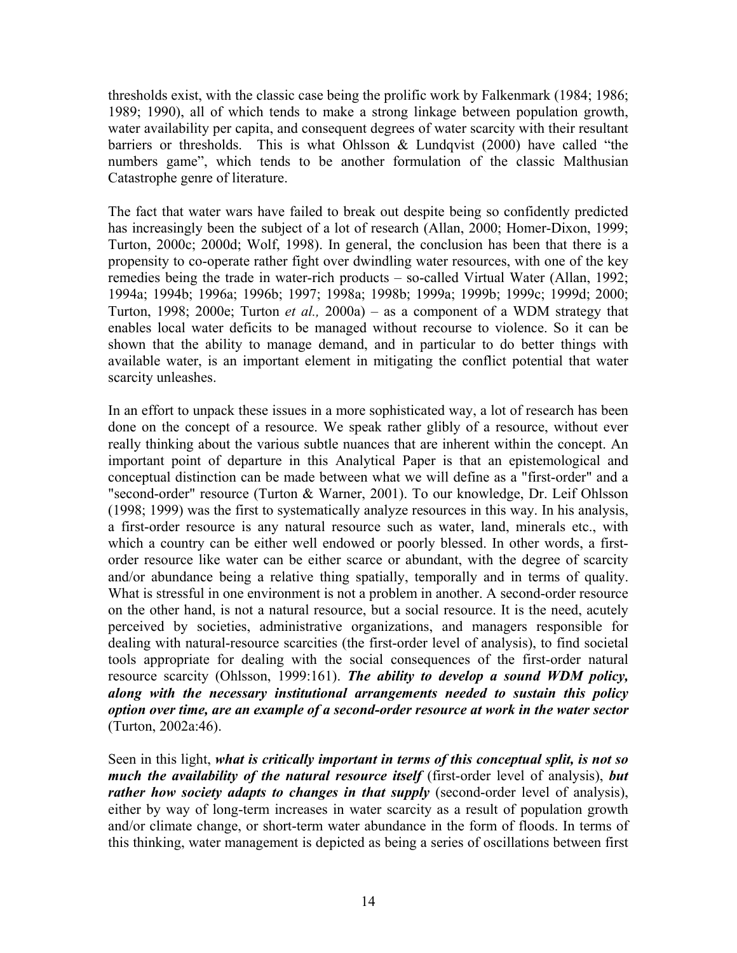thresholds exist, with the classic case being the prolific work by Falkenmark (1984; 1986; 1989; 1990), all of which tends to make a strong linkage between population growth, water availability per capita, and consequent degrees of water scarcity with their resultant barriers or thresholds. This is what Ohlsson & Lundqvist (2000) have called "the numbers game", which tends to be another formulation of the classic Malthusian Catastrophe genre of literature.

The fact that water wars have failed to break out despite being so confidently predicted has increasingly been the subject of a lot of research (Allan, 2000; Homer-Dixon, 1999; Turton, 2000c; 2000d; Wolf, 1998). In general, the conclusion has been that there is a propensity to co-operate rather fight over dwindling water resources, with one of the key remedies being the trade in water-rich products – so-called Virtual Water (Allan, 1992; 1994a; 1994b; 1996a; 1996b; 1997; 1998a; 1998b; 1999a; 1999b; 1999c; 1999d; 2000; Turton, 1998; 2000e; Turton *et al.,* 2000a) – as a component of a WDM strategy that enables local water deficits to be managed without recourse to violence. So it can be shown that the ability to manage demand, and in particular to do better things with available water, is an important element in mitigating the conflict potential that water scarcity unleashes.

In an effort to unpack these issues in a more sophisticated way, a lot of research has been done on the concept of a resource. We speak rather glibly of a resource, without ever really thinking about the various subtle nuances that are inherent within the concept. An important point of departure in this Analytical Paper is that an epistemological and conceptual distinction can be made between what we will define as a "first-order" and a "second-order" resource (Turton & Warner, 2001). To our knowledge, Dr. Leif Ohlsson (1998; 1999) was the first to systematically analyze resources in this way. In his analysis, a first-order resource is any natural resource such as water, land, minerals etc., with which a country can be either well endowed or poorly blessed. In other words, a firstorder resource like water can be either scarce or abundant, with the degree of scarcity and/or abundance being a relative thing spatially, temporally and in terms of quality. What is stressful in one environment is not a problem in another. A second-order resource on the other hand, is not a natural resource, but a social resource. It is the need, acutely perceived by societies, administrative organizations, and managers responsible for dealing with natural-resource scarcities (the first-order level of analysis), to find societal tools appropriate for dealing with the social consequences of the first-order natural resource scarcity (Ohlsson, 1999:161). *The ability to develop a sound WDM policy, along with the necessary institutional arrangements needed to sustain this policy option over time, are an example of a second-order resource at work in the water sector*  (Turton, 2002a:46).

Seen in this light, *what is critically important in terms of this conceptual split, is not so much the availability of the natural resource itself* (first-order level of analysis), *but rather how society adapts to changes in that supply* (second-order level of analysis), either by way of long-term increases in water scarcity as a result of population growth and/or climate change, or short-term water abundance in the form of floods. In terms of this thinking, water management is depicted as being a series of oscillations between first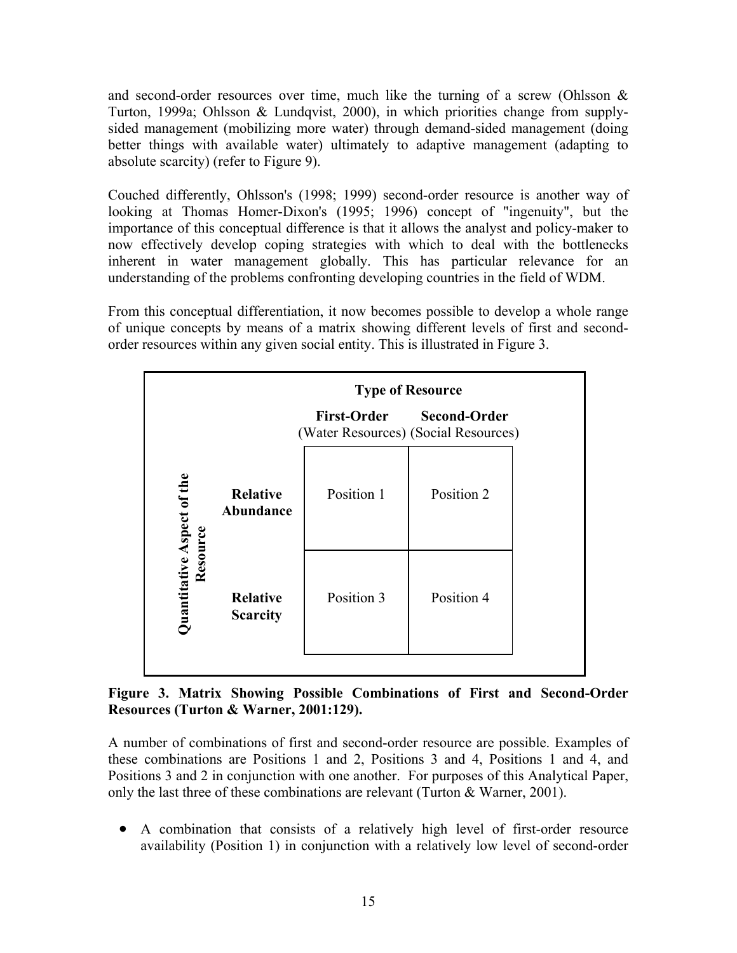and second-order resources over time, much like the turning of a screw (Ohlsson  $\&$ Turton, 1999a; Ohlsson & Lundqvist, 2000), in which priorities change from supplysided management (mobilizing more water) through demand-sided management (doing better things with available water) ultimately to adaptive management (adapting to absolute scarcity) (refer to Figure 9).

Couched differently, Ohlsson's (1998; 1999) second-order resource is another way of looking at Thomas Homer-Dixon's (1995; 1996) concept of "ingenuity", but the importance of this conceptual difference is that it allows the analyst and policy-maker to now effectively develop coping strategies with which to deal with the bottlenecks inherent in water management globally. This has particular relevance for an understanding of the problems confronting developing countries in the field of WDM.

From this conceptual differentiation, it now becomes possible to develop a whole range of unique concepts by means of a matrix showing different levels of first and secondorder resources within any given social entity. This is illustrated in Figure 3.

| <b>First-Order</b><br><b>Second-Order</b><br>(Water Resources) (Social Resources)                        |
|----------------------------------------------------------------------------------------------------------|
|                                                                                                          |
| Position 2<br><b>Relative</b><br>Position 1<br>Abundance                                                 |
| Quantitative Aspect of the<br>Resource<br>Position 3<br>Position 4<br><b>Relative</b><br><b>Scarcity</b> |

**Figure 3. Matrix Showing Possible Combinations of First and Second-Order Resources (Turton & Warner, 2001:129).** 

A number of combinations of first and second-order resource are possible. Examples of these combinations are Positions 1 and 2, Positions 3 and 4, Positions 1 and 4, and Positions 3 and 2 in conjunction with one another. For purposes of this Analytical Paper, only the last three of these combinations are relevant (Turton & Warner, 2001).

• A combination that consists of a relatively high level of first-order resource availability (Position 1) in conjunction with a relatively low level of second-order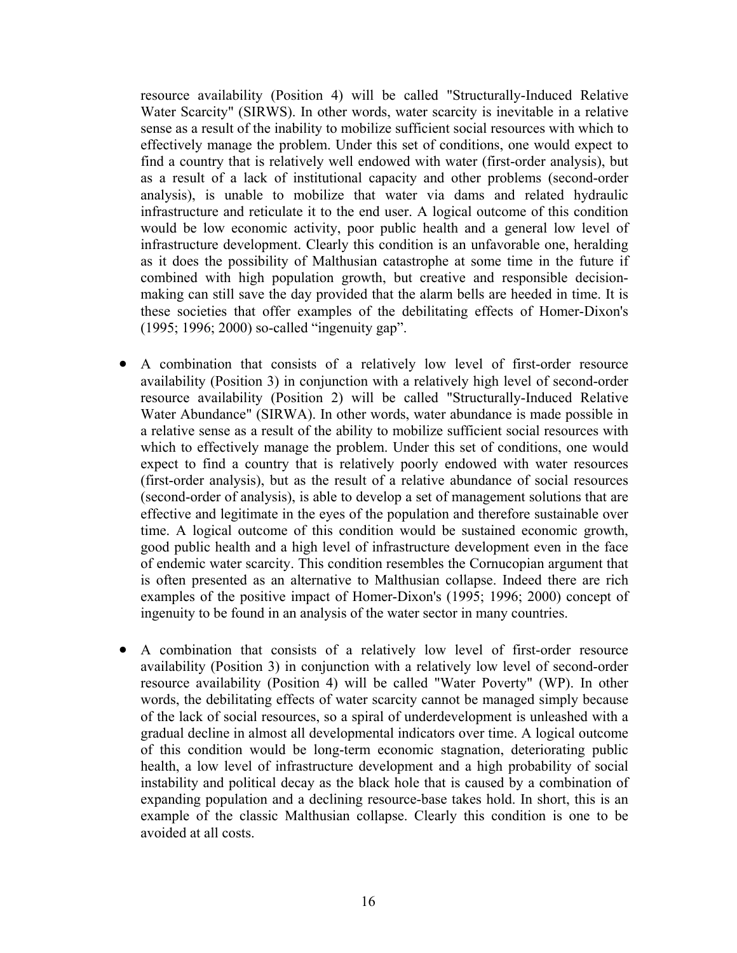resource availability (Position 4) will be called "Structurally-Induced Relative Water Scarcity" (SIRWS). In other words, water scarcity is inevitable in a relative sense as a result of the inability to mobilize sufficient social resources with which to effectively manage the problem. Under this set of conditions, one would expect to find a country that is relatively well endowed with water (first-order analysis), but as a result of a lack of institutional capacity and other problems (second-order analysis), is unable to mobilize that water via dams and related hydraulic infrastructure and reticulate it to the end user. A logical outcome of this condition would be low economic activity, poor public health and a general low level of infrastructure development. Clearly this condition is an unfavorable one, heralding as it does the possibility of Malthusian catastrophe at some time in the future if combined with high population growth, but creative and responsible decisionmaking can still save the day provided that the alarm bells are heeded in time. It is these societies that offer examples of the debilitating effects of Homer-Dixon's (1995; 1996; 2000) so-called "ingenuity gap".

- A combination that consists of a relatively low level of first-order resource availability (Position 3) in conjunction with a relatively high level of second-order resource availability (Position 2) will be called "Structurally-Induced Relative Water Abundance" (SIRWA). In other words, water abundance is made possible in a relative sense as a result of the ability to mobilize sufficient social resources with which to effectively manage the problem. Under this set of conditions, one would expect to find a country that is relatively poorly endowed with water resources (first-order analysis), but as the result of a relative abundance of social resources (second-order of analysis), is able to develop a set of management solutions that are effective and legitimate in the eyes of the population and therefore sustainable over time. A logical outcome of this condition would be sustained economic growth, good public health and a high level of infrastructure development even in the face of endemic water scarcity. This condition resembles the Cornucopian argument that is often presented as an alternative to Malthusian collapse. Indeed there are rich examples of the positive impact of Homer-Dixon's (1995; 1996; 2000) concept of ingenuity to be found in an analysis of the water sector in many countries.
- $\bullet$ A combination that consists of a relatively low level of first-order resource availability (Position 3) in conjunction with a relatively low level of second-order resource availability (Position 4) will be called "Water Poverty" (WP). In other words, the debilitating effects of water scarcity cannot be managed simply because of the lack of social resources, so a spiral of underdevelopment is unleashed with a gradual decline in almost all developmental indicators over time. A logical outcome of this condition would be long-term economic stagnation, deteriorating public health, a low level of infrastructure development and a high probability of social instability and political decay as the black hole that is caused by a combination of expanding population and a declining resource-base takes hold. In short, this is an example of the classic Malthusian collapse. Clearly this condition is one to be avoided at all costs.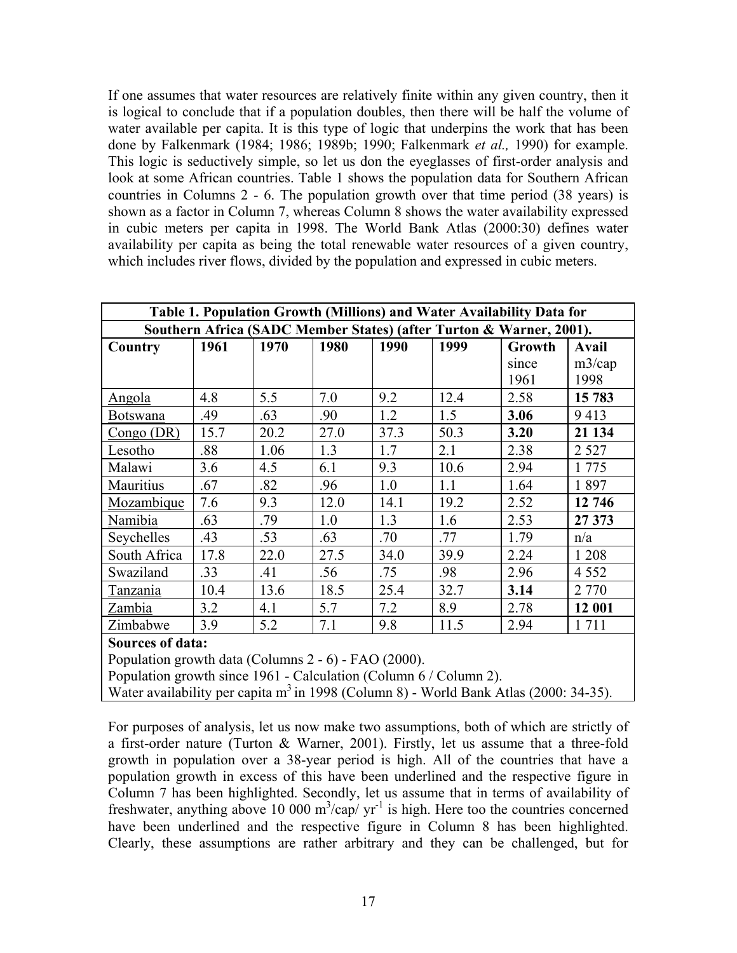If one assumes that water resources are relatively finite within any given country, then it is logical to conclude that if a population doubles, then there will be half the volume of water available per capita. It is this type of logic that underpins the work that has been done by Falkenmark (1984; 1986; 1989b; 1990; Falkenmark *et al.,* 1990) for example. This logic is seductively simple, so let us don the eyeglasses of first-order analysis and look at some African countries. Table 1 shows the population data for Southern African countries in Columns 2 - 6. The population growth over that time period (38 years) is shown as a factor in Column 7, whereas Column 8 shows the water availability expressed in cubic meters per capita in 1998. The World Bank Atlas (2000:30) defines water availability per capita as being the total renewable water resources of a given country, which includes river flows, divided by the population and expressed in cubic meters.

| Table 1. Population Growth (Millions) and Water Availability Data for |      |      |      |      |      |        |         |
|-----------------------------------------------------------------------|------|------|------|------|------|--------|---------|
| Southern Africa (SADC Member States) (after Turton & Warner, 2001).   |      |      |      |      |      |        |         |
| Country                                                               | 1961 | 1970 | 1980 | 1990 | 1999 | Growth | Avail   |
|                                                                       |      |      |      |      |      | since  | m3/cap  |
|                                                                       |      |      |      |      |      | 1961   | 1998    |
| Angola                                                                | 4.8  | 5.5  | 7.0  | 9.2  | 12.4 | 2.58   | 15 783  |
| <b>Botswana</b>                                                       | .49  | .63  | .90  | 1.2  | 1.5  | 3.06   | 9413    |
| Congo (DR)                                                            | 15.7 | 20.2 | 27.0 | 37.3 | 50.3 | 3.20   | 21 134  |
| Lesotho                                                               | .88  | 1.06 | 1.3  | 1.7  | 2.1  | 2.38   | 2 5 2 7 |
| Malawi                                                                | 3.6  | 4.5  | 6.1  | 9.3  | 10.6 | 2.94   | 1 7 7 5 |
| Mauritius                                                             | .67  | .82  | .96  | 1.0  | 1.1  | 1.64   | 1897    |
| Mozambique                                                            | 7.6  | 9.3  | 12.0 | 14.1 | 19.2 | 2.52   | 12 746  |
| Namibia                                                               | .63  | .79  | 1.0  | 1.3  | 1.6  | 2.53   | 27 373  |
| Seychelles                                                            | .43  | .53  | .63  | .70  | .77  | 1.79   | n/a     |
| South Africa                                                          | 17.8 | 22.0 | 27.5 | 34.0 | 39.9 | 2.24   | 1 2 0 8 |
| Swaziland                                                             | .33  | .41  | .56  | .75  | .98  | 2.96   | 4 5 5 2 |
| Tanzania                                                              | 10.4 | 13.6 | 18.5 | 25.4 | 32.7 | 3.14   | 2 7 7 0 |
| Zambia                                                                | 3.2  | 4.1  | 5.7  | 7.2  | 8.9  | 2.78   | 12 001  |
| Zimbabwe                                                              | 3.9  | 5.2  | 7.1  | 9.8  | 11.5 | 2.94   | 1 7 1 1 |
| <b>Sources of data:</b>                                               |      |      |      |      |      |        |         |
| Population growth data (Columns 2 - 6) - FAO (2000).                  |      |      |      |      |      |        |         |

Population growth since 1961 - Calculation (Column 6 / Column 2).

Water availability per capita m<sup>3</sup> in 1998 (Column 8) - World Bank Atlas (2000: 34-35).

For purposes of analysis, let us now make two assumptions, both of which are strictly of a first-order nature (Turton & Warner, 2001). Firstly, let us assume that a three-fold growth in population over a 38-year period is high. All of the countries that have a population growth in excess of this have been underlined and the respective figure in Column 7 has been highlighted. Secondly, let us assume that in terms of availability of freshwater, anything above 10 000  $m^3$ /cap/ yr<sup>-1</sup> is high. Here too the countries concerned have been underlined and the respective figure in Column 8 has been highlighted. Clearly, these assumptions are rather arbitrary and they can be challenged, but for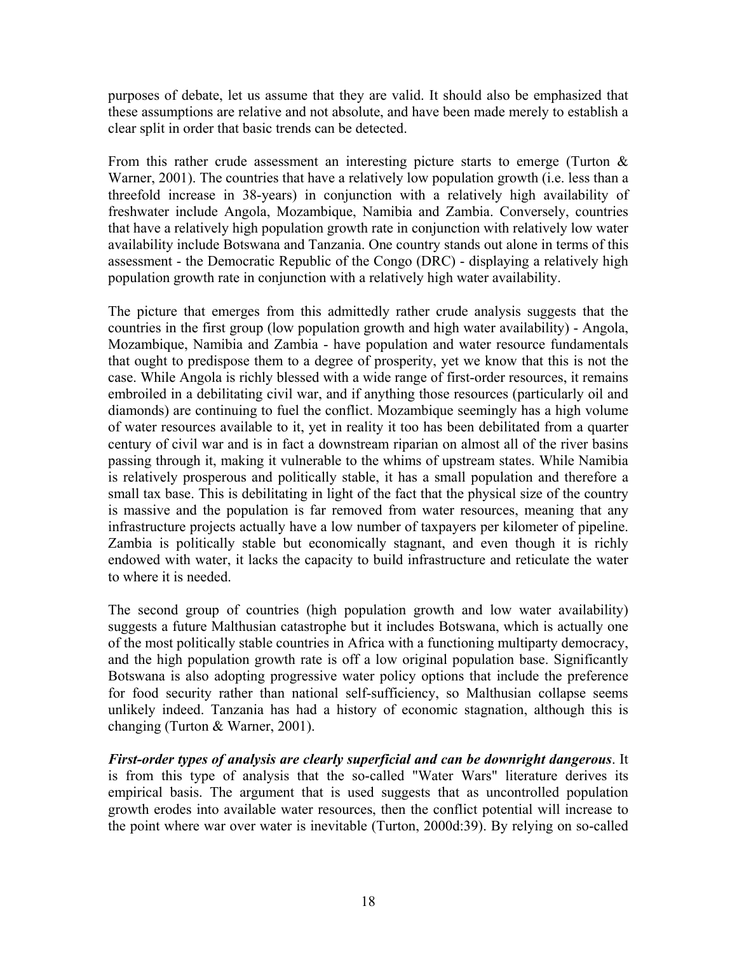purposes of debate, let us assume that they are valid. It should also be emphasized that these assumptions are relative and not absolute, and have been made merely to establish a clear split in order that basic trends can be detected.

From this rather crude assessment an interesting picture starts to emerge (Turton  $\&$ Warner, 2001). The countries that have a relatively low population growth (i.e. less than a threefold increase in 38-years) in conjunction with a relatively high availability of freshwater include Angola, Mozambique, Namibia and Zambia. Conversely, countries that have a relatively high population growth rate in conjunction with relatively low water availability include Botswana and Tanzania. One country stands out alone in terms of this assessment - the Democratic Republic of the Congo (DRC) - displaying a relatively high population growth rate in conjunction with a relatively high water availability.

The picture that emerges from this admittedly rather crude analysis suggests that the countries in the first group (low population growth and high water availability) - Angola, Mozambique, Namibia and Zambia - have population and water resource fundamentals that ought to predispose them to a degree of prosperity, yet we know that this is not the case. While Angola is richly blessed with a wide range of first-order resources, it remains embroiled in a debilitating civil war, and if anything those resources (particularly oil and diamonds) are continuing to fuel the conflict. Mozambique seemingly has a high volume of water resources available to it, yet in reality it too has been debilitated from a quarter century of civil war and is in fact a downstream riparian on almost all of the river basins passing through it, making it vulnerable to the whims of upstream states. While Namibia is relatively prosperous and politically stable, it has a small population and therefore a small tax base. This is debilitating in light of the fact that the physical size of the country is massive and the population is far removed from water resources, meaning that any infrastructure projects actually have a low number of taxpayers per kilometer of pipeline. Zambia is politically stable but economically stagnant, and even though it is richly endowed with water, it lacks the capacity to build infrastructure and reticulate the water to where it is needed.

The second group of countries (high population growth and low water availability) suggests a future Malthusian catastrophe but it includes Botswana, which is actually one of the most politically stable countries in Africa with a functioning multiparty democracy, and the high population growth rate is off a low original population base. Significantly Botswana is also adopting progressive water policy options that include the preference for food security rather than national self-sufficiency, so Malthusian collapse seems unlikely indeed. Tanzania has had a history of economic stagnation, although this is changing (Turton & Warner, 2001).

*First-order types of analysis are clearly superficial and can be downright dangerous*. It is from this type of analysis that the so-called "Water Wars" literature derives its empirical basis. The argument that is used suggests that as uncontrolled population growth erodes into available water resources, then the conflict potential will increase to the point where war over water is inevitable (Turton, 2000d:39). By relying on so-called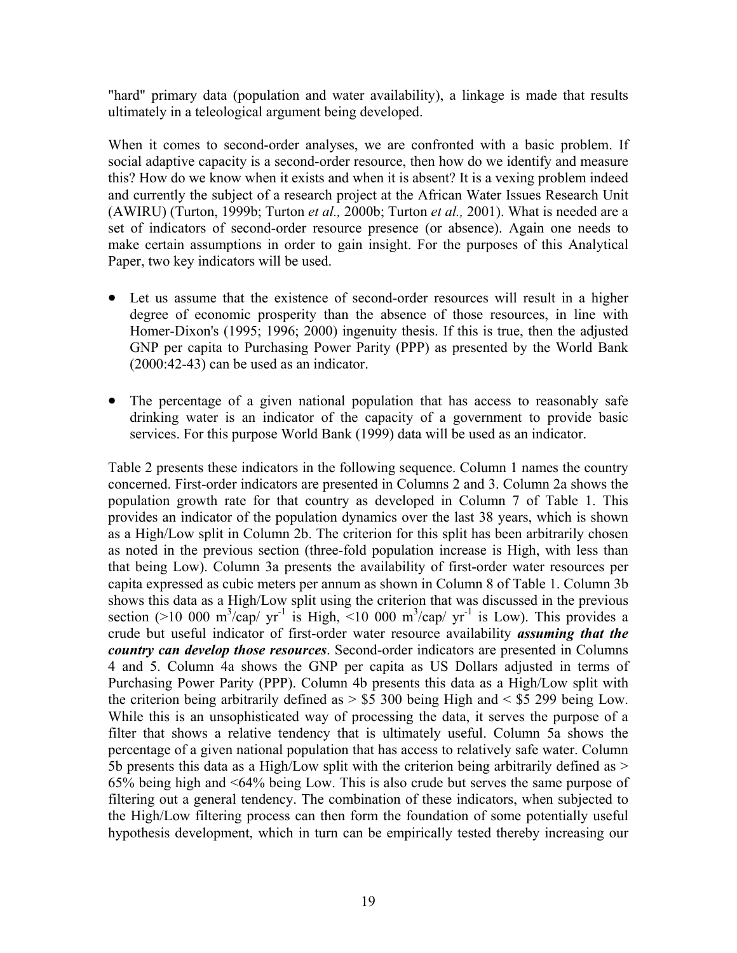"hard" primary data (population and water availability), a linkage is made that results ultimately in a teleological argument being developed.

When it comes to second-order analyses, we are confronted with a basic problem. If social adaptive capacity is a second-order resource, then how do we identify and measure this? How do we know when it exists and when it is absent? It is a vexing problem indeed and currently the subject of a research project at the African Water Issues Research Unit (AWIRU) (Turton, 1999b; Turton *et al.,* 2000b; Turton *et al.,* 2001). What is needed are a set of indicators of second-order resource presence (or absence). Again one needs to make certain assumptions in order to gain insight. For the purposes of this Analytical Paper, two key indicators will be used.

- Let us assume that the existence of second-order resources will result in a higher degree of economic prosperity than the absence of those resources, in line with Homer-Dixon's (1995; 1996; 2000) ingenuity thesis. If this is true, then the adjusted GNP per capita to Purchasing Power Parity (PPP) as presented by the World Bank (2000:42-43) can be used as an indicator.
- The percentage of a given national population that has access to reasonably safe drinking water is an indicator of the capacity of a government to provide basic services. For this purpose World Bank (1999) data will be used as an indicator.

Table 2 presents these indicators in the following sequence. Column 1 names the country concerned. First-order indicators are presented in Columns 2 and 3. Column 2a shows the population growth rate for that country as developed in Column 7 of Table 1. This provides an indicator of the population dynamics over the last 38 years, which is shown as a High/Low split in Column 2b. The criterion for this split has been arbitrarily chosen as noted in the previous section (three-fold population increase is High, with less than that being Low). Column 3a presents the availability of first-order water resources per capita expressed as cubic meters per annum as shown in Column 8 of Table 1. Column 3b shows this data as a High/Low split using the criterion that was discussed in the previous section (>10 000 m<sup>3</sup>/cap/ yr<sup>-1</sup> is High, <10 000 m<sup>3</sup>/cap/ yr<sup>-1</sup> is Low). This provides a crude but useful indicator of first-order water resource availability *assuming that the country can develop those resources*. Second-order indicators are presented in Columns 4 and 5. Column 4a shows the GNP per capita as US Dollars adjusted in terms of Purchasing Power Parity (PPP). Column 4b presents this data as a High/Low split with the criterion being arbitrarily defined as  $>$  \$5 300 being High and  $<$  \$5 299 being Low. While this is an unsophisticated way of processing the data, it serves the purpose of a filter that shows a relative tendency that is ultimately useful. Column 5a shows the percentage of a given national population that has access to relatively safe water. Column 5b presents this data as a High/Low split with the criterion being arbitrarily defined as > 65% being high and <64% being Low. This is also crude but serves the same purpose of filtering out a general tendency. The combination of these indicators, when subjected to the High/Low filtering process can then form the foundation of some potentially useful hypothesis development, which in turn can be empirically tested thereby increasing our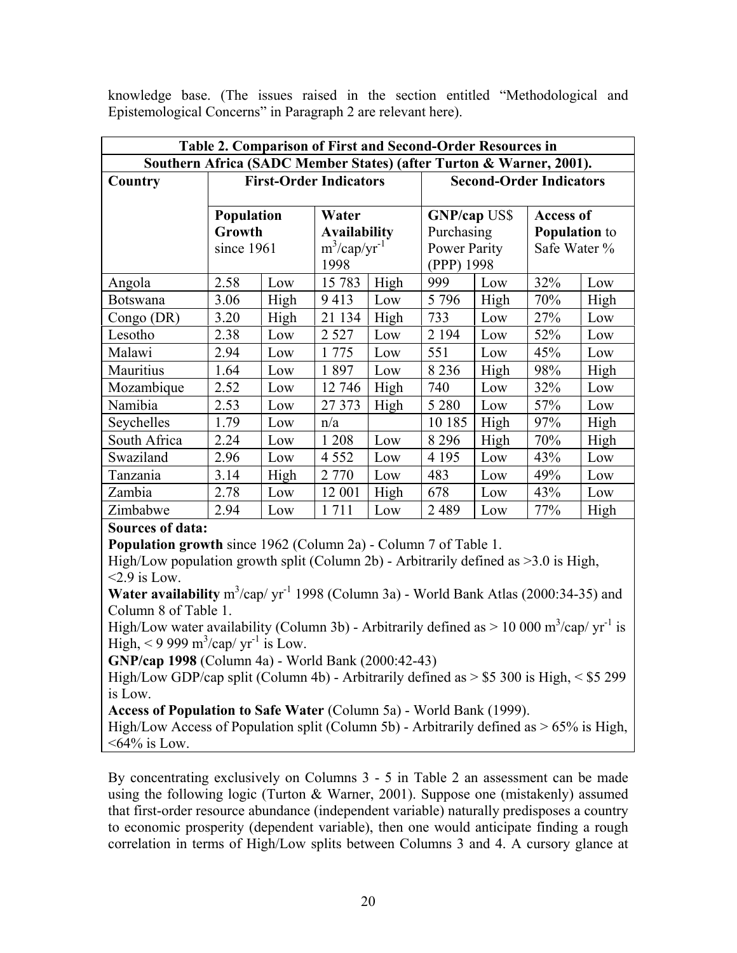| Table 2. Comparison of First and Second-Order Resources in          |                                    |      |                                                                     |                                |                                                                 |      |                                                          |      |
|---------------------------------------------------------------------|------------------------------------|------|---------------------------------------------------------------------|--------------------------------|-----------------------------------------------------------------|------|----------------------------------------------------------|------|
| Southern Africa (SADC Member States) (after Turton & Warner, 2001). |                                    |      |                                                                     |                                |                                                                 |      |                                                          |      |
| Country                                                             | <b>First-Order Indicators</b>      |      |                                                                     | <b>Second-Order Indicators</b> |                                                                 |      |                                                          |      |
|                                                                     | Population<br>Growth<br>since 1961 |      | Water<br><b>Availability</b><br>$m^3$ /cap/yr <sup>-1</sup><br>1998 |                                | <b>GNP/cap US\$</b><br>Purchasing<br>Power Parity<br>(PPP) 1998 |      | <b>Access of</b><br><b>Population</b> to<br>Safe Water % |      |
| Angola                                                              | 2.58                               | Low  | 15 783                                                              | High                           | 999                                                             | Low  | 32%                                                      | Low  |
| <b>Botswana</b>                                                     | 3.06                               | High | 9413                                                                | Low                            | 5 7 9 6                                                         | High | 70%                                                      | High |
| Congo (DR)                                                          | 3.20                               | High | 21 134                                                              | High                           | 733                                                             | Low  | 27%                                                      | Low  |
| Lesotho                                                             | 2.38                               | Low  | 2 5 2 7                                                             | Low                            | 2 1 9 4                                                         | Low  | 52%                                                      | Low  |
| Malawi                                                              | 2.94                               | Low  | 1 7 7 5                                                             | Low                            | 551                                                             | Low  | 45%                                                      | Low  |
| Mauritius                                                           | 1.64                               | Low  | 1897                                                                | Low                            | 8 2 3 6                                                         | High | 98%                                                      | High |
| Mozambique                                                          | 2.52                               | Low  | 12 746                                                              | High                           | 740                                                             | Low  | 32%                                                      | Low  |
| Namibia                                                             | 2.53                               | Low  | 27 373                                                              | High                           | 5 2 8 0                                                         | Low  | 57%                                                      | Low  |
| Seychelles                                                          | 1.79                               | Low  | n/a                                                                 |                                | 10 185                                                          | High | 97%                                                      | High |
| South Africa                                                        | 2.24                               | Low  | 1 2 0 8                                                             | Low                            | 8 2 9 6                                                         | High | 70%                                                      | High |
| Swaziland                                                           | 2.96                               | Low  | 4 5 5 2                                                             | Low                            | 4 1 9 5                                                         | Low  | 43%                                                      | Low  |
| Tanzania                                                            | 3.14                               | High | 2 7 7 0                                                             | Low                            | 483                                                             | Low  | 49%                                                      | Low  |
| Zambia                                                              | 2.78                               | Low  | 12 001                                                              | High                           | 678                                                             | Low  | 43%                                                      | Low  |
| Zimbabwe                                                            | 2.94                               | Low  | 1711                                                                | Low                            | 2489                                                            | Low  | 77%                                                      | High |

knowledge base. (The issues raised in the section entitled "Methodological and Epistemological Concerns" in Paragraph 2 are relevant here).

### **Sources of data:**

**Population growth** since 1962 (Column 2a) - Column 7 of Table 1.

High/Low population growth split (Column 2b) - Arbitrarily defined as >3.0 is High,  $\leq$  2.9 is Low.

**Water availability**  $m^3$ /cap/  $yr^{-1}$  1998 (Column 3a) - World Bank Atlas (2000:34-35) and Column 8 of Table 1.

High/Low water availability (Column 3b) - Arbitrarily defined as  $> 10000 \text{ m}^3/\text{cap/yr}^1$  is High, < 9 999 m<sup>3</sup>/cap/  $yr^{-1}$  is Low.

**GNP/cap 1998** (Column 4a) - World Bank (2000:42-43)

High/Low GDP/cap split (Column 4b) - Arbitrarily defined as > \$5 300 is High, < \$5 299 is Low.

**Access of Population to Safe Water** (Column 5a) - World Bank (1999).

High/Low Access of Population split (Column 5b) - Arbitrarily defined as > 65% is High,  $<64\%$  is Low.

By concentrating exclusively on Columns 3 - 5 in Table 2 an assessment can be made using the following logic (Turton & Warner, 2001). Suppose one (mistakenly) assumed that first-order resource abundance (independent variable) naturally predisposes a country to economic prosperity (dependent variable), then one would anticipate finding a rough correlation in terms of High/Low splits between Columns 3 and 4. A cursory glance at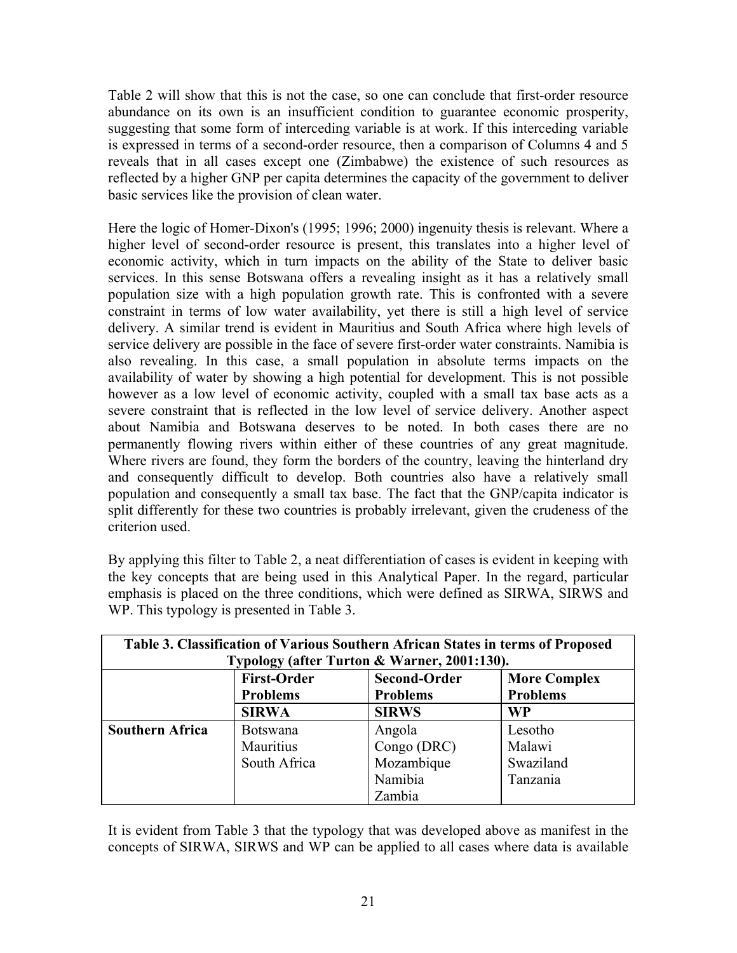Table 2 will show that this is not the case, so one can conclude that first-order resource abundance on its own is an insufficient condition to guarantee economic prosperity, suggesting that some form of interceding variable is at work. If this interceding variable is expressed in terms of a second-order resource, then a comparison of Columns 4 and 5 reveals that in all cases except one (Zimbabwe) the existence of such resources as reflected by a higher GNP per capita determines the capacity of the government to deliver basic services like the provision of clean water.

Here the logic of Homer-Dixon's (1995; 1996; 2000) ingenuity thesis is relevant. Where a higher level of second-order resource is present, this translates into a higher level of economic activity, which in turn impacts on the ability of the State to deliver basic services. In this sense Botswana offers a revealing insight as it has a relatively small population size with a high population growth rate. This is confronted with a severe constraint in terms of low water availability, yet there is still a high level of service delivery. A similar trend is evident in Mauritius and South Africa where high levels of service delivery are possible in the face of severe first-order water constraints. Namibia is also revealing. In this case, a small population in absolute terms impacts on the availability of water by showing a high potential for development. This is not possible however as a low level of economic activity, coupled with a small tax base acts as a severe constraint that is reflected in the low level of service delivery. Another aspect about Namibia and Botswana deserves to be noted. In both cases there are no permanently flowing rivers within either of these countries of any great magnitude. Where rivers are found, they form the borders of the country, leaving the hinterland dry and consequently difficult to develop. Both countries also have a relatively small population and consequently a small tax base. The fact that the GNP/capita indicator is split differently for these two countries is probably irrelevant, given the crudeness of the criterion used.

By applying this filter to Table 2, a neat differentiation of cases is evident in keeping with the key concepts that are being used in this Analytical Paper. In the regard, particular emphasis is placed on the three conditions, which were defined as SIRWA, SIRWS and WP. This typology is presented in Table 3.

| Table 3. Classification of Various Southern African States in terms of Proposed<br>Typology (after Turton & Warner, 2001:130). |                                       |                                                                                  |           |  |  |
|--------------------------------------------------------------------------------------------------------------------------------|---------------------------------------|----------------------------------------------------------------------------------|-----------|--|--|
|                                                                                                                                | <b>First-Order</b><br><b>Problems</b> | <b>Second-Order</b><br><b>More Complex</b><br><b>Problems</b><br><b>Problems</b> |           |  |  |
|                                                                                                                                | <b>SIRWA</b>                          | <b>SIRWS</b>                                                                     | <b>WP</b> |  |  |
| <b>Southern Africa</b>                                                                                                         | <b>Botswana</b>                       | Angola                                                                           | Lesotho   |  |  |
|                                                                                                                                | Mauritius                             | Congo (DRC)                                                                      | Malawi    |  |  |
|                                                                                                                                | South Africa                          | Mozambique                                                                       | Swaziland |  |  |
|                                                                                                                                |                                       | Namibia                                                                          | Tanzania  |  |  |
|                                                                                                                                |                                       | Zambia                                                                           |           |  |  |

It is evident from Table 3 that the typology that was developed above as manifest in the concepts of SIRWA, SIRWS and WP can be applied to all cases where data is available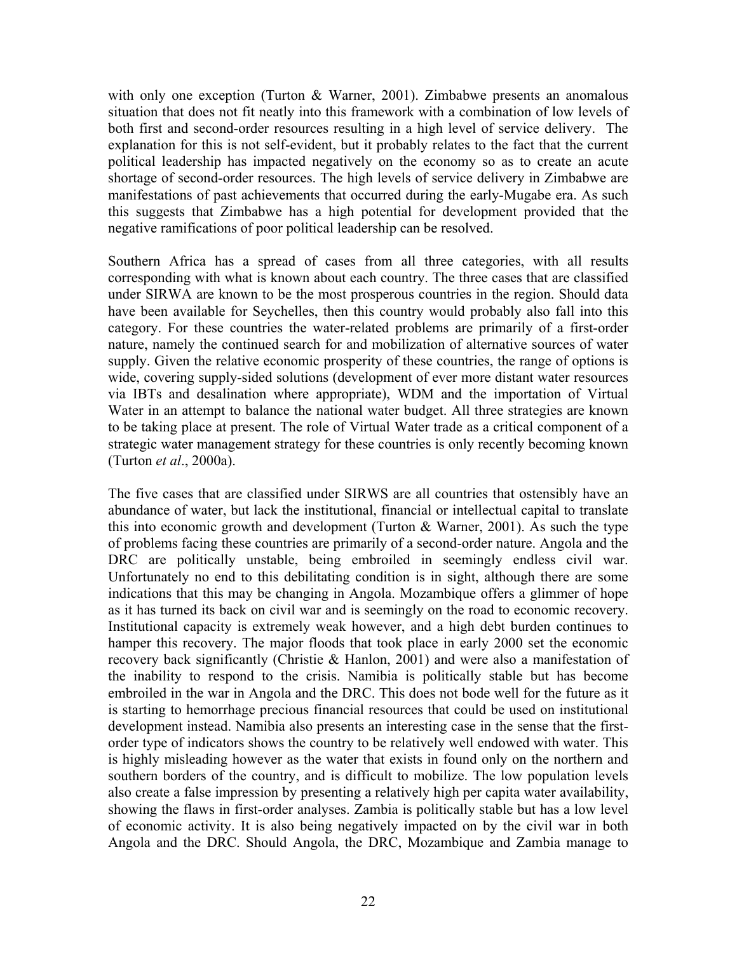with only one exception (Turton & Warner, 2001). Zimbabwe presents an anomalous situation that does not fit neatly into this framework with a combination of low levels of both first and second-order resources resulting in a high level of service delivery. The explanation for this is not self-evident, but it probably relates to the fact that the current political leadership has impacted negatively on the economy so as to create an acute shortage of second-order resources. The high levels of service delivery in Zimbabwe are manifestations of past achievements that occurred during the early-Mugabe era. As such this suggests that Zimbabwe has a high potential for development provided that the negative ramifications of poor political leadership can be resolved.

Southern Africa has a spread of cases from all three categories, with all results corresponding with what is known about each country. The three cases that are classified under SIRWA are known to be the most prosperous countries in the region. Should data have been available for Seychelles, then this country would probably also fall into this category. For these countries the water-related problems are primarily of a first-order nature, namely the continued search for and mobilization of alternative sources of water supply. Given the relative economic prosperity of these countries, the range of options is wide, covering supply-sided solutions (development of ever more distant water resources via IBTs and desalination where appropriate), WDM and the importation of Virtual Water in an attempt to balance the national water budget. All three strategies are known to be taking place at present. The role of Virtual Water trade as a critical component of a strategic water management strategy for these countries is only recently becoming known (Turton *et al*., 2000a).

The five cases that are classified under SIRWS are all countries that ostensibly have an abundance of water, but lack the institutional, financial or intellectual capital to translate this into economic growth and development (Turton  $& Warner, 2001$ ). As such the type of problems facing these countries are primarily of a second-order nature. Angola and the DRC are politically unstable, being embroiled in seemingly endless civil war. Unfortunately no end to this debilitating condition is in sight, although there are some indications that this may be changing in Angola. Mozambique offers a glimmer of hope as it has turned its back on civil war and is seemingly on the road to economic recovery. Institutional capacity is extremely weak however, and a high debt burden continues to hamper this recovery. The major floods that took place in early 2000 set the economic recovery back significantly (Christie & Hanlon, 2001) and were also a manifestation of the inability to respond to the crisis. Namibia is politically stable but has become embroiled in the war in Angola and the DRC. This does not bode well for the future as it is starting to hemorrhage precious financial resources that could be used on institutional development instead. Namibia also presents an interesting case in the sense that the firstorder type of indicators shows the country to be relatively well endowed with water. This is highly misleading however as the water that exists in found only on the northern and southern borders of the country, and is difficult to mobilize. The low population levels also create a false impression by presenting a relatively high per capita water availability, showing the flaws in first-order analyses. Zambia is politically stable but has a low level of economic activity. It is also being negatively impacted on by the civil war in both Angola and the DRC. Should Angola, the DRC, Mozambique and Zambia manage to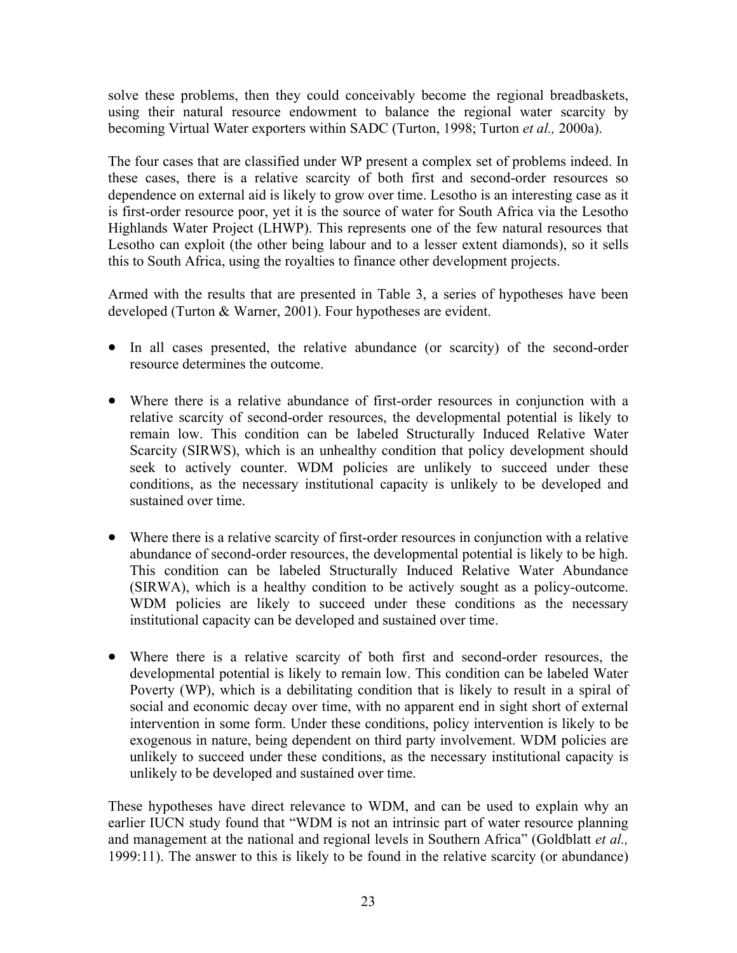solve these problems, then they could conceivably become the regional breadbaskets, using their natural resource endowment to balance the regional water scarcity by becoming Virtual Water exporters within SADC (Turton, 1998; Turton *et al.,* 2000a).

The four cases that are classified under WP present a complex set of problems indeed. In these cases, there is a relative scarcity of both first and second-order resources so dependence on external aid is likely to grow over time. Lesotho is an interesting case as it is first-order resource poor, yet it is the source of water for South Africa via the Lesotho Highlands Water Project (LHWP). This represents one of the few natural resources that Lesotho can exploit (the other being labour and to a lesser extent diamonds), so it sells this to South Africa, using the royalties to finance other development projects.

Armed with the results that are presented in Table 3, a series of hypotheses have been developed (Turton & Warner, 2001). Four hypotheses are evident.

- In all cases presented, the relative abundance (or scarcity) of the second-order resource determines the outcome.
- Where there is a relative abundance of first-order resources in conjunction with a relative scarcity of second-order resources, the developmental potential is likely to remain low. This condition can be labeled Structurally Induced Relative Water Scarcity (SIRWS), which is an unhealthy condition that policy development should seek to actively counter. WDM policies are unlikely to succeed under these conditions, as the necessary institutional capacity is unlikely to be developed and sustained over time.
- Where there is a relative scarcity of first-order resources in conjunction with a relative abundance of second-order resources, the developmental potential is likely to be high. This condition can be labeled Structurally Induced Relative Water Abundance (SIRWA), which is a healthy condition to be actively sought as a policy-outcome. WDM policies are likely to succeed under these conditions as the necessary institutional capacity can be developed and sustained over time.
- Where there is a relative scarcity of both first and second-order resources, the developmental potential is likely to remain low. This condition can be labeled Water Poverty (WP), which is a debilitating condition that is likely to result in a spiral of social and economic decay over time, with no apparent end in sight short of external intervention in some form. Under these conditions, policy intervention is likely to be exogenous in nature, being dependent on third party involvement. WDM policies are unlikely to succeed under these conditions, as the necessary institutional capacity is unlikely to be developed and sustained over time.

These hypotheses have direct relevance to WDM, and can be used to explain why an earlier IUCN study found that "WDM is not an intrinsic part of water resource planning and management at the national and regional levels in Southern Africa" (Goldblatt *et al.,* 1999:11). The answer to this is likely to be found in the relative scarcity (or abundance)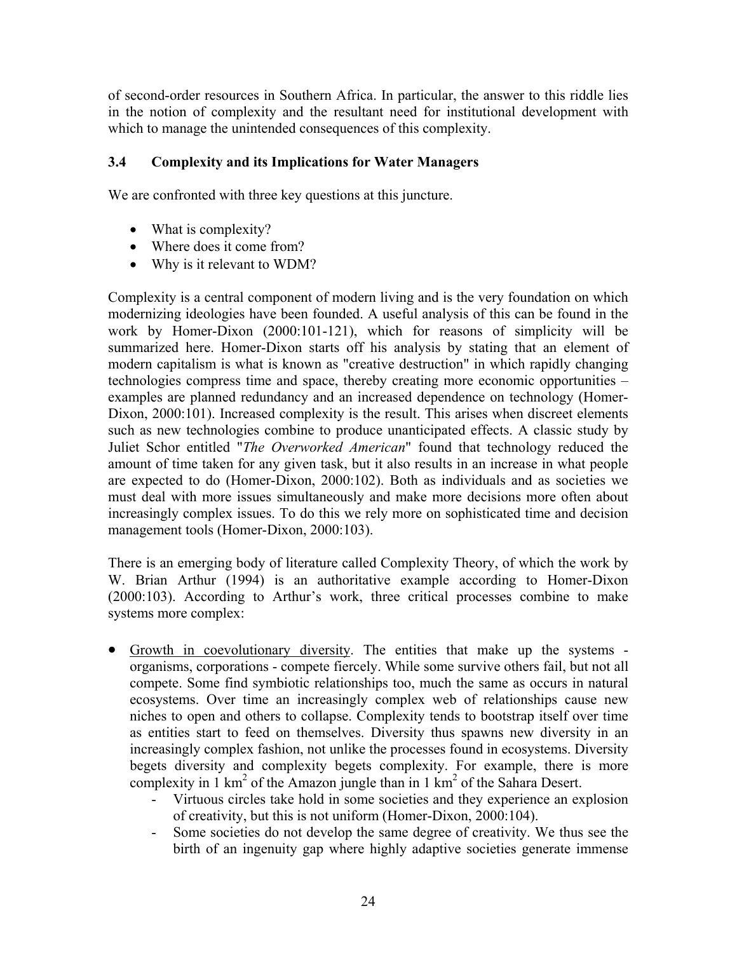of second-order resources in Southern Africa. In particular, the answer to this riddle lies in the notion of complexity and the resultant need for institutional development with which to manage the unintended consequences of this complexity.

## **3.4 Complexity and its Implications for Water Managers**

We are confronted with three key questions at this juncture.

- What is complexity?
- Where does it come from?
- Why is it relevant to WDM?

Complexity is a central component of modern living and is the very foundation on which modernizing ideologies have been founded. A useful analysis of this can be found in the work by Homer-Dixon (2000:101-121), which for reasons of simplicity will be summarized here. Homer-Dixon starts off his analysis by stating that an element of modern capitalism is what is known as "creative destruction" in which rapidly changing technologies compress time and space, thereby creating more economic opportunities – examples are planned redundancy and an increased dependence on technology (Homer-Dixon, 2000:101). Increased complexity is the result. This arises when discreet elements such as new technologies combine to produce unanticipated effects. A classic study by Juliet Schor entitled "*The Overworked American*" found that technology reduced the amount of time taken for any given task, but it also results in an increase in what people are expected to do (Homer-Dixon, 2000:102). Both as individuals and as societies we must deal with more issues simultaneously and make more decisions more often about increasingly complex issues. To do this we rely more on sophisticated time and decision management tools (Homer-Dixon, 2000:103).

There is an emerging body of literature called Complexity Theory, of which the work by W. Brian Arthur (1994) is an authoritative example according to Homer-Dixon (2000:103). According to Arthur's work, three critical processes combine to make systems more complex:

- Growth in coevolutionary diversity. The entities that make up the systems organisms, corporations - compete fiercely. While some survive others fail, but not all compete. Some find symbiotic relationships too, much the same as occurs in natural ecosystems. Over time an increasingly complex web of relationships cause new niches to open and others to collapse. Complexity tends to bootstrap itself over time as entities start to feed on themselves. Diversity thus spawns new diversity in an increasingly complex fashion, not unlike the processes found in ecosystems. Diversity begets diversity and complexity begets complexity. For example, there is more complexity in  $1 \text{ km}^2$  of the Amazon jungle than in  $1 \text{ km}^2$  of the Sahara Desert.
	- Virtuous circles take hold in some societies and they experience an explosion of creativity, but this is not uniform (Homer-Dixon, 2000:104).
	- Some societies do not develop the same degree of creativity. We thus see the birth of an ingenuity gap where highly adaptive societies generate immense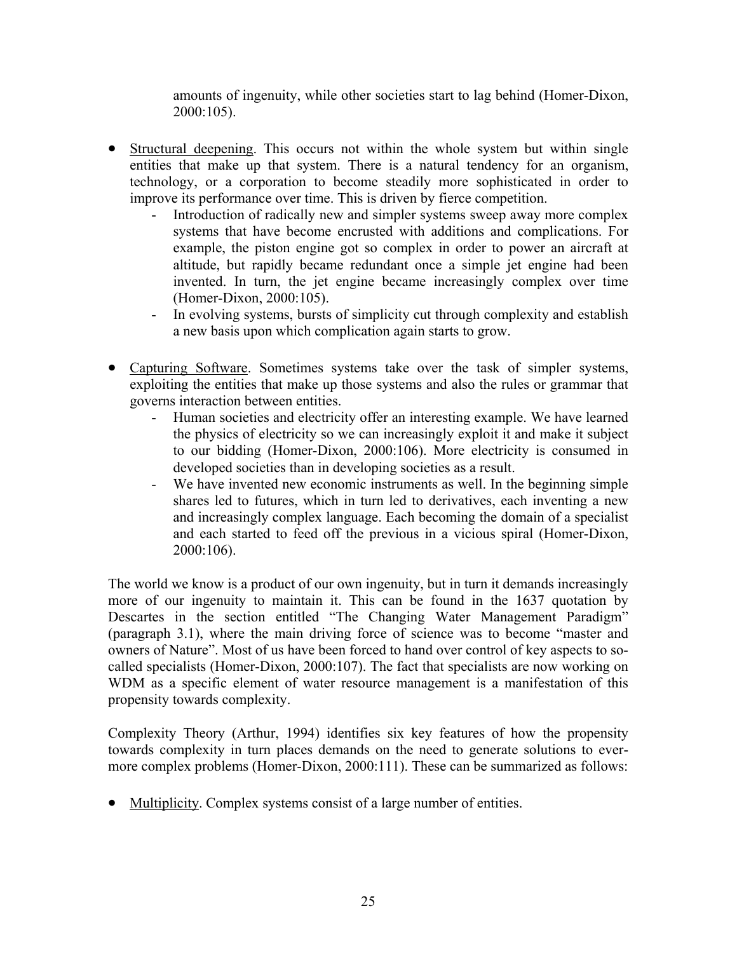amounts of ingenuity, while other societies start to lag behind (Homer-Dixon, 2000:105).

- Structural deepening. This occurs not within the whole system but within single entities that make up that system. There is a natural tendency for an organism, technology, or a corporation to become steadily more sophisticated in order to improve its performance over time. This is driven by fierce competition.
	- Introduction of radically new and simpler systems sweep away more complex systems that have become encrusted with additions and complications. For example, the piston engine got so complex in order to power an aircraft at altitude, but rapidly became redundant once a simple jet engine had been invented. In turn, the jet engine became increasingly complex over time (Homer-Dixon, 2000:105).
	- In evolving systems, bursts of simplicity cut through complexity and establish a new basis upon which complication again starts to grow.
- Capturing Software. Sometimes systems take over the task of simpler systems, exploiting the entities that make up those systems and also the rules or grammar that governs interaction between entities.
	- Human societies and electricity offer an interesting example. We have learned the physics of electricity so we can increasingly exploit it and make it subject to our bidding (Homer-Dixon, 2000:106). More electricity is consumed in developed societies than in developing societies as a result.
	- We have invented new economic instruments as well. In the beginning simple shares led to futures, which in turn led to derivatives, each inventing a new and increasingly complex language. Each becoming the domain of a specialist and each started to feed off the previous in a vicious spiral (Homer-Dixon, 2000:106).

The world we know is a product of our own ingenuity, but in turn it demands increasingly more of our ingenuity to maintain it. This can be found in the 1637 quotation by Descartes in the section entitled "The Changing Water Management Paradigm" (paragraph 3.1), where the main driving force of science was to become "master and owners of Nature". Most of us have been forced to hand over control of key aspects to socalled specialists (Homer-Dixon, 2000:107). The fact that specialists are now working on WDM as a specific element of water resource management is a manifestation of this propensity towards complexity.

Complexity Theory (Arthur, 1994) identifies six key features of how the propensity towards complexity in turn places demands on the need to generate solutions to evermore complex problems (Homer-Dixon, 2000:111). These can be summarized as follows:

• Multiplicity. Complex systems consist of a large number of entities.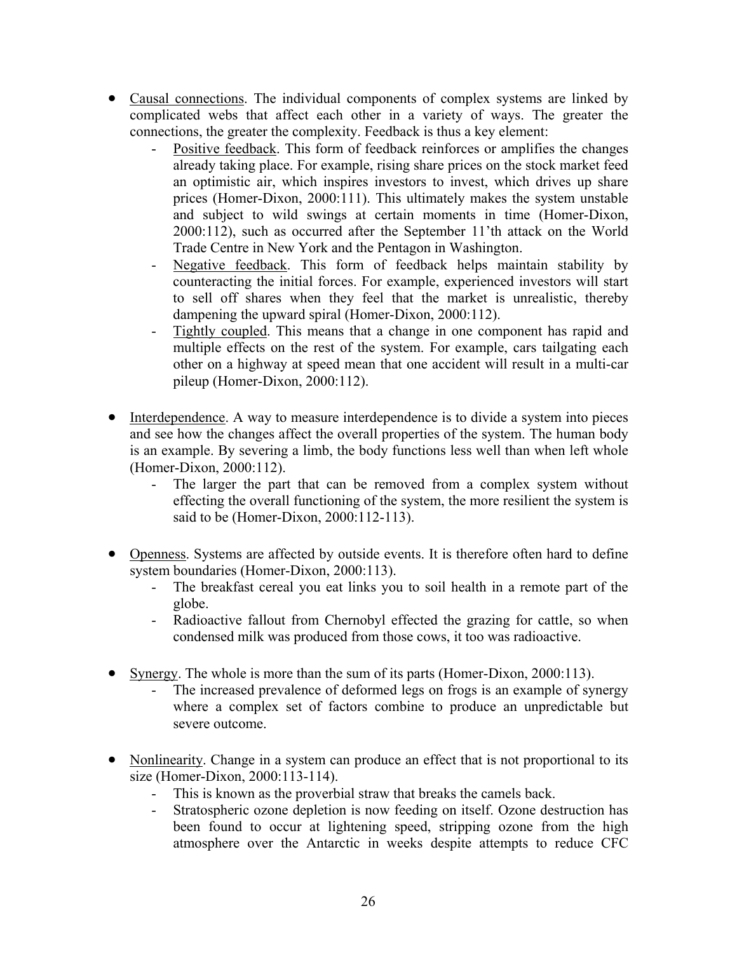- Causal connections. The individual components of complex systems are linked by complicated webs that affect each other in a variety of ways. The greater the connections, the greater the complexity. Feedback is thus a key element:
	- Positive feedback. This form of feedback reinforces or amplifies the changes already taking place. For example, rising share prices on the stock market feed an optimistic air, which inspires investors to invest, which drives up share prices (Homer-Dixon, 2000:111). This ultimately makes the system unstable and subject to wild swings at certain moments in time (Homer-Dixon, 2000:112), such as occurred after the September 11'th attack on the World Trade Centre in New York and the Pentagon in Washington.
	- Negative feedback. This form of feedback helps maintain stability by counteracting the initial forces. For example, experienced investors will start to sell off shares when they feel that the market is unrealistic, thereby dampening the upward spiral (Homer-Dixon, 2000:112).
	- Tightly coupled. This means that a change in one component has rapid and multiple effects on the rest of the system. For example, cars tailgating each other on a highway at speed mean that one accident will result in a multi-car pileup (Homer-Dixon, 2000:112).
- Interdependence. A way to measure interdependence is to divide a system into pieces and see how the changes affect the overall properties of the system. The human body is an example. By severing a limb, the body functions less well than when left whole (Homer-Dixon, 2000:112).
	- The larger the part that can be removed from a complex system without effecting the overall functioning of the system, the more resilient the system is said to be (Homer-Dixon, 2000:112-113).
- Openness. Systems are affected by outside events. It is therefore often hard to define system boundaries (Homer-Dixon, 2000:113).
	- The breakfast cereal you eat links you to soil health in a remote part of the globe.
	- Radioactive fallout from Chernobyl effected the grazing for cattle, so when condensed milk was produced from those cows, it too was radioactive.
- Synergy. The whole is more than the sum of its parts (Homer-Dixon, 2000:113).
	- The increased prevalence of deformed legs on frogs is an example of synergy where a complex set of factors combine to produce an unpredictable but severe outcome.
- Nonlinearity. Change in a system can produce an effect that is not proportional to its size (Homer-Dixon, 2000:113-114).
	- This is known as the proverbial straw that breaks the camels back.
	- Stratospheric ozone depletion is now feeding on itself. Ozone destruction has been found to occur at lightening speed, stripping ozone from the high atmosphere over the Antarctic in weeks despite attempts to reduce CFC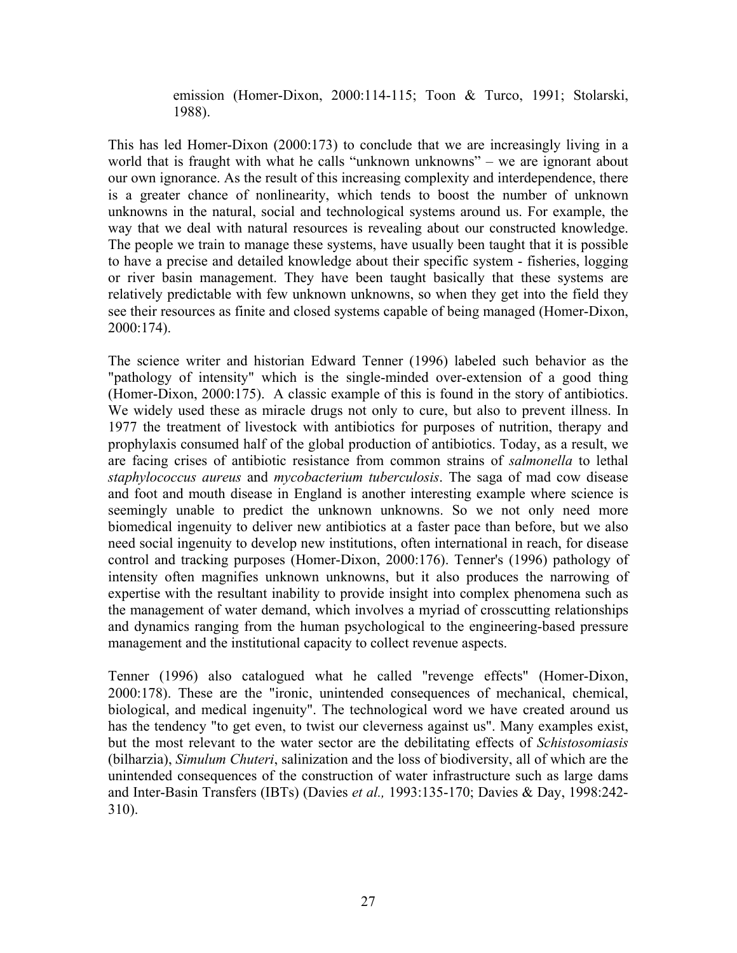emission (Homer-Dixon, 2000:114-115; Toon & Turco, 1991; Stolarski, 1988).

This has led Homer-Dixon (2000:173) to conclude that we are increasingly living in a world that is fraught with what he calls "unknown unknowns" – we are ignorant about our own ignorance. As the result of this increasing complexity and interdependence, there is a greater chance of nonlinearity, which tends to boost the number of unknown unknowns in the natural, social and technological systems around us. For example, the way that we deal with natural resources is revealing about our constructed knowledge. The people we train to manage these systems, have usually been taught that it is possible to have a precise and detailed knowledge about their specific system - fisheries, logging or river basin management. They have been taught basically that these systems are relatively predictable with few unknown unknowns, so when they get into the field they see their resources as finite and closed systems capable of being managed (Homer-Dixon, 2000:174).

The science writer and historian Edward Tenner (1996) labeled such behavior as the "pathology of intensity" which is the single-minded over-extension of a good thing (Homer-Dixon, 2000:175). A classic example of this is found in the story of antibiotics. We widely used these as miracle drugs not only to cure, but also to prevent illness. In 1977 the treatment of livestock with antibiotics for purposes of nutrition, therapy and prophylaxis consumed half of the global production of antibiotics. Today, as a result, we are facing crises of antibiotic resistance from common strains of *salmonella* to lethal *staphylococcus aureus* and *mycobacterium tuberculosis*. The saga of mad cow disease and foot and mouth disease in England is another interesting example where science is seemingly unable to predict the unknown unknowns. So we not only need more biomedical ingenuity to deliver new antibiotics at a faster pace than before, but we also need social ingenuity to develop new institutions, often international in reach, for disease control and tracking purposes (Homer-Dixon, 2000:176). Tenner's (1996) pathology of intensity often magnifies unknown unknowns, but it also produces the narrowing of expertise with the resultant inability to provide insight into complex phenomena such as the management of water demand, which involves a myriad of crosscutting relationships and dynamics ranging from the human psychological to the engineering-based pressure management and the institutional capacity to collect revenue aspects.

Tenner (1996) also catalogued what he called "revenge effects" (Homer-Dixon, 2000:178). These are the "ironic, unintended consequences of mechanical, chemical, biological, and medical ingenuity". The technological word we have created around us has the tendency "to get even, to twist our cleverness against us". Many examples exist, but the most relevant to the water sector are the debilitating effects of *Schistosomiasis*  (bilharzia), *Simulum Chuteri*, salinization and the loss of biodiversity, all of which are the unintended consequences of the construction of water infrastructure such as large dams and Inter-Basin Transfers (IBTs) (Davies *et al.,* 1993:135-170; Davies & Day, 1998:242- 310).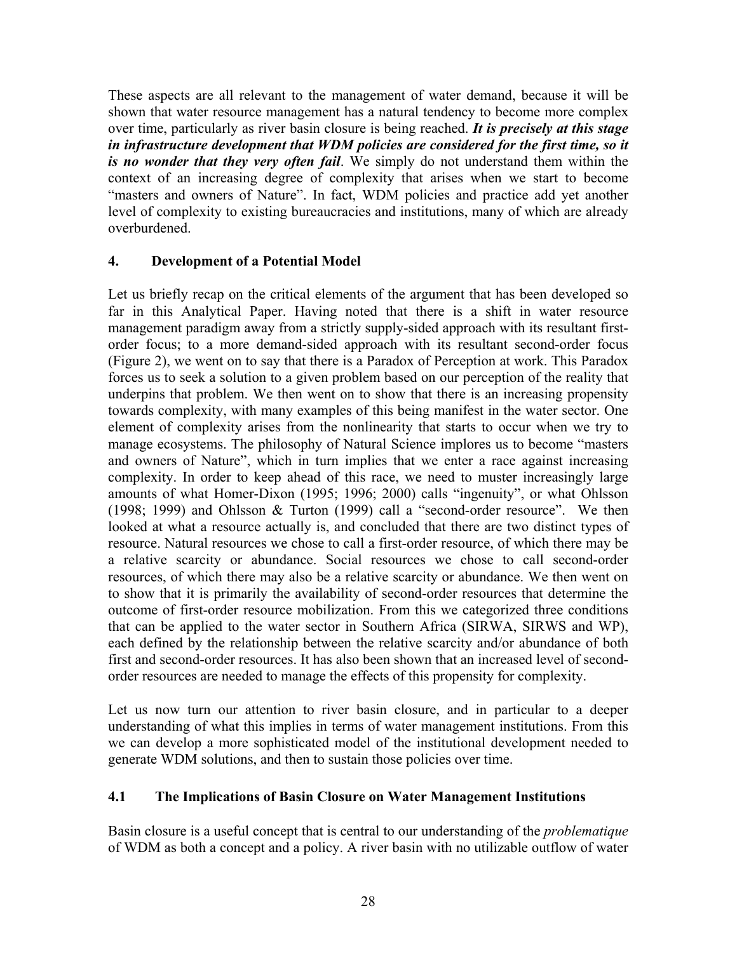These aspects are all relevant to the management of water demand, because it will be shown that water resource management has a natural tendency to become more complex over time, particularly as river basin closure is being reached. *It is precisely at this stage in infrastructure development that WDM policies are considered for the first time, so it is no wonder that they very often fail*. We simply do not understand them within the context of an increasing degree of complexity that arises when we start to become "masters and owners of Nature". In fact, WDM policies and practice add yet another level of complexity to existing bureaucracies and institutions, many of which are already overburdened.

## **4. Development of a Potential Model**

Let us briefly recap on the critical elements of the argument that has been developed so far in this Analytical Paper. Having noted that there is a shift in water resource management paradigm away from a strictly supply-sided approach with its resultant firstorder focus; to a more demand-sided approach with its resultant second-order focus (Figure 2), we went on to say that there is a Paradox of Perception at work. This Paradox forces us to seek a solution to a given problem based on our perception of the reality that underpins that problem. We then went on to show that there is an increasing propensity towards complexity, with many examples of this being manifest in the water sector. One element of complexity arises from the nonlinearity that starts to occur when we try to manage ecosystems. The philosophy of Natural Science implores us to become "masters and owners of Nature", which in turn implies that we enter a race against increasing complexity. In order to keep ahead of this race, we need to muster increasingly large amounts of what Homer-Dixon (1995; 1996; 2000) calls "ingenuity", or what Ohlsson (1998; 1999) and Ohlsson & Turton (1999) call a "second-order resource". We then looked at what a resource actually is, and concluded that there are two distinct types of resource. Natural resources we chose to call a first-order resource, of which there may be a relative scarcity or abundance. Social resources we chose to call second-order resources, of which there may also be a relative scarcity or abundance. We then went on to show that it is primarily the availability of second-order resources that determine the outcome of first-order resource mobilization. From this we categorized three conditions that can be applied to the water sector in Southern Africa (SIRWA, SIRWS and WP), each defined by the relationship between the relative scarcity and/or abundance of both first and second-order resources. It has also been shown that an increased level of secondorder resources are needed to manage the effects of this propensity for complexity.

Let us now turn our attention to river basin closure, and in particular to a deeper understanding of what this implies in terms of water management institutions. From this we can develop a more sophisticated model of the institutional development needed to generate WDM solutions, and then to sustain those policies over time.

## **4.1 The Implications of Basin Closure on Water Management Institutions**

Basin closure is a useful concept that is central to our understanding of the *problematique* of WDM as both a concept and a policy. A river basin with no utilizable outflow of water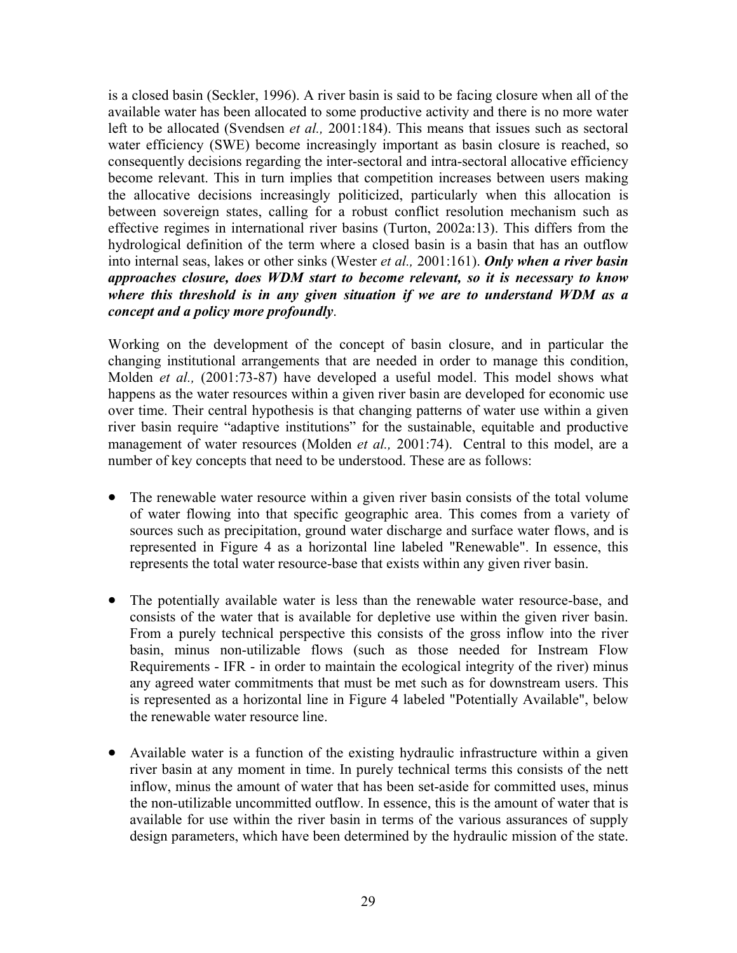is a closed basin (Seckler, 1996). A river basin is said to be facing closure when all of the available water has been allocated to some productive activity and there is no more water left to be allocated (Svendsen *et al.,* 2001:184). This means that issues such as sectoral water efficiency (SWE) become increasingly important as basin closure is reached, so consequently decisions regarding the inter-sectoral and intra-sectoral allocative efficiency become relevant. This in turn implies that competition increases between users making the allocative decisions increasingly politicized, particularly when this allocation is between sovereign states, calling for a robust conflict resolution mechanism such as effective regimes in international river basins (Turton, 2002a:13). This differs from the hydrological definition of the term where a closed basin is a basin that has an outflow into internal seas, lakes or other sinks (Wester *et al.,* 2001:161). *Only when a river basin approaches closure, does WDM start to become relevant, so it is necessary to know where this threshold is in any given situation if we are to understand WDM as a concept and a policy more profoundly*.

Working on the development of the concept of basin closure, and in particular the changing institutional arrangements that are needed in order to manage this condition, Molden *et al.,* (2001:73-87) have developed a useful model. This model shows what happens as the water resources within a given river basin are developed for economic use over time. Their central hypothesis is that changing patterns of water use within a given river basin require "adaptive institutions" for the sustainable, equitable and productive management of water resources (Molden *et al.,* 2001:74). Central to this model, are a number of key concepts that need to be understood. These are as follows:

- The renewable water resource within a given river basin consists of the total volume of water flowing into that specific geographic area. This comes from a variety of sources such as precipitation, ground water discharge and surface water flows, and is represented in Figure 4 as a horizontal line labeled "Renewable". In essence, this represents the total water resource-base that exists within any given river basin.
- The potentially available water is less than the renewable water resource-base, and consists of the water that is available for depletive use within the given river basin. From a purely technical perspective this consists of the gross inflow into the river basin, minus non-utilizable flows (such as those needed for Instream Flow Requirements - IFR - in order to maintain the ecological integrity of the river) minus any agreed water commitments that must be met such as for downstream users. This is represented as a horizontal line in Figure 4 labeled "Potentially Available", below the renewable water resource line.
- Available water is a function of the existing hydraulic infrastructure within a given river basin at any moment in time. In purely technical terms this consists of the nett inflow, minus the amount of water that has been set-aside for committed uses, minus the non-utilizable uncommitted outflow. In essence, this is the amount of water that is available for use within the river basin in terms of the various assurances of supply design parameters, which have been determined by the hydraulic mission of the state.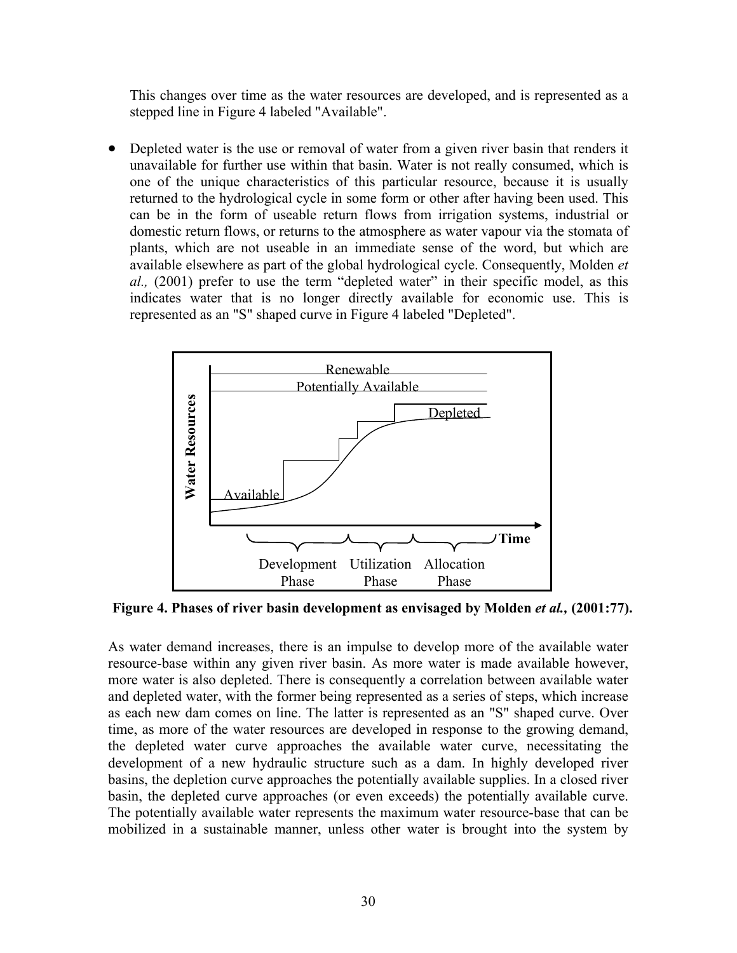This changes over time as the water resources are developed, and is represented as a stepped line in Figure 4 labeled "Available".

• Depleted water is the use or removal of water from a given river basin that renders it unavailable for further use within that basin. Water is not really consumed, which is one of the unique characteristics of this particular resource, because it is usually returned to the hydrological cycle in some form or other after having been used. This can be in the form of useable return flows from irrigation systems, industrial or domestic return flows, or returns to the atmosphere as water vapour via the stomata of plants, which are not useable in an immediate sense of the word, but which are available elsewhere as part of the global hydrological cycle. Consequently, Molden *et al.,* (2001) prefer to use the term "depleted water" in their specific model, as this indicates water that is no longer directly available for economic use. This is represented as an "S" shaped curve in Figure 4 labeled "Depleted".



**Figure 4. Phases of river basin development as envisaged by Molden** *et al.,* **(2001:77).** 

As water demand increases, there is an impulse to develop more of the available water resource-base within any given river basin. As more water is made available however, more water is also depleted. There is consequently a correlation between available water and depleted water, with the former being represented as a series of steps, which increase as each new dam comes on line. The latter is represented as an "S" shaped curve. Over time, as more of the water resources are developed in response to the growing demand, the depleted water curve approaches the available water curve, necessitating the development of a new hydraulic structure such as a dam. In highly developed river basins, the depletion curve approaches the potentially available supplies. In a closed river basin, the depleted curve approaches (or even exceeds) the potentially available curve. The potentially available water represents the maximum water resource-base that can be mobilized in a sustainable manner, unless other water is brought into the system by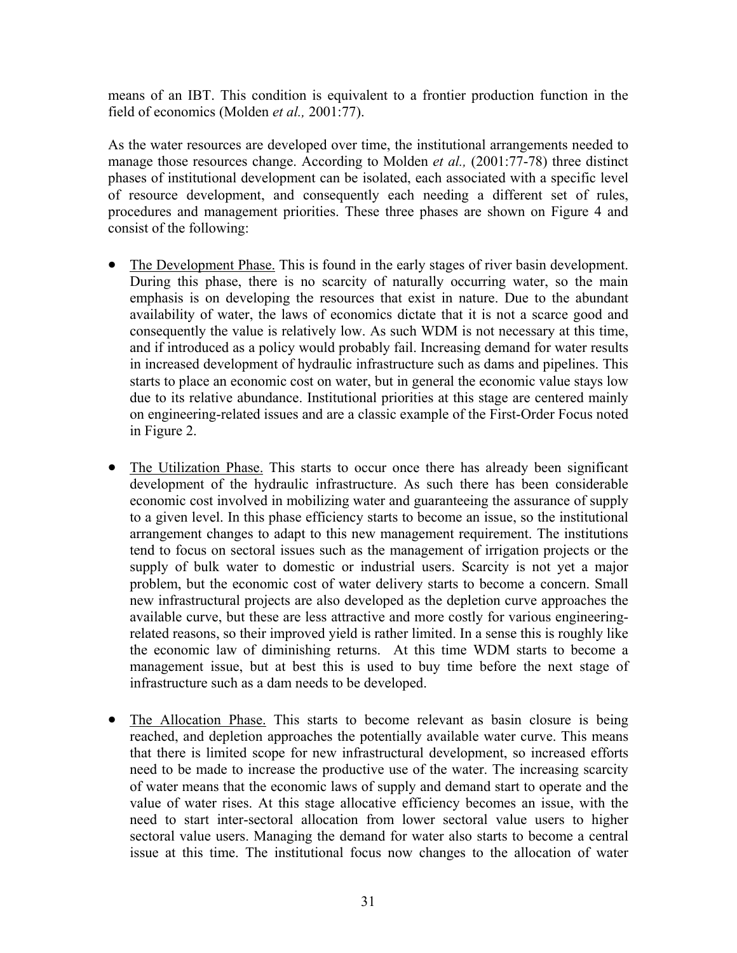means of an IBT. This condition is equivalent to a frontier production function in the field of economics (Molden *et al.,* 2001:77).

As the water resources are developed over time, the institutional arrangements needed to manage those resources change. According to Molden *et al.,* (2001:77-78) three distinct phases of institutional development can be isolated, each associated with a specific level of resource development, and consequently each needing a different set of rules, procedures and management priorities. These three phases are shown on Figure 4 and consist of the following:

- The Development Phase. This is found in the early stages of river basin development. During this phase, there is no scarcity of naturally occurring water, so the main emphasis is on developing the resources that exist in nature. Due to the abundant availability of water, the laws of economics dictate that it is not a scarce good and consequently the value is relatively low. As such WDM is not necessary at this time, and if introduced as a policy would probably fail. Increasing demand for water results in increased development of hydraulic infrastructure such as dams and pipelines. This starts to place an economic cost on water, but in general the economic value stays low due to its relative abundance. Institutional priorities at this stage are centered mainly on engineering-related issues and are a classic example of the First-Order Focus noted in Figure 2.
- The Utilization Phase. This starts to occur once there has already been significant development of the hydraulic infrastructure. As such there has been considerable economic cost involved in mobilizing water and guaranteeing the assurance of supply to a given level. In this phase efficiency starts to become an issue, so the institutional arrangement changes to adapt to this new management requirement. The institutions tend to focus on sectoral issues such as the management of irrigation projects or the supply of bulk water to domestic or industrial users. Scarcity is not yet a major problem, but the economic cost of water delivery starts to become a concern. Small new infrastructural projects are also developed as the depletion curve approaches the available curve, but these are less attractive and more costly for various engineeringrelated reasons, so their improved yield is rather limited. In a sense this is roughly like the economic law of diminishing returns. At this time WDM starts to become a management issue, but at best this is used to buy time before the next stage of infrastructure such as a dam needs to be developed.
- The Allocation Phase. This starts to become relevant as basin closure is being reached, and depletion approaches the potentially available water curve. This means that there is limited scope for new infrastructural development, so increased efforts need to be made to increase the productive use of the water. The increasing scarcity of water means that the economic laws of supply and demand start to operate and the value of water rises. At this stage allocative efficiency becomes an issue, with the need to start inter-sectoral allocation from lower sectoral value users to higher sectoral value users. Managing the demand for water also starts to become a central issue at this time. The institutional focus now changes to the allocation of water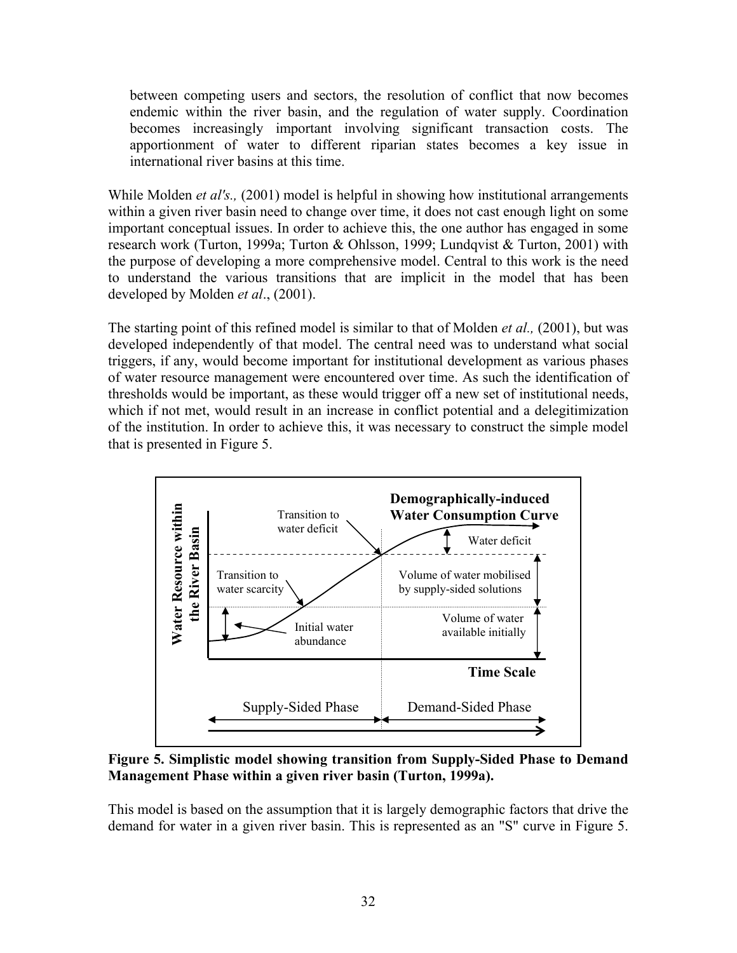between competing users and sectors, the resolution of conflict that now becomes endemic within the river basin, and the regulation of water supply. Coordination becomes increasingly important involving significant transaction costs. The apportionment of water to different riparian states becomes a key issue in international river basins at this time.

While Molden *et al's.,* (2001) model is helpful in showing how institutional arrangements within a given river basin need to change over time, it does not cast enough light on some important conceptual issues. In order to achieve this, the one author has engaged in some research work (Turton, 1999a; Turton & Ohlsson, 1999; Lundqvist & Turton, 2001) with the purpose of developing a more comprehensive model. Central to this work is the need to understand the various transitions that are implicit in the model that has been developed by Molden *et al*., (2001).

The starting point of this refined model is similar to that of Molden *et al.,* (2001), but was developed independently of that model. The central need was to understand what social triggers, if any, would become important for institutional development as various phases of water resource management were encountered over time. As such the identification of thresholds would be important, as these would trigger off a new set of institutional needs, which if not met, would result in an increase in conflict potential and a delegitimization of the institution. In order to achieve this, it was necessary to construct the simple model that is presented in Figure 5.



**Figure 5. Simplistic model showing transition from Supply-Sided Phase to Demand Management Phase within a given river basin (Turton, 1999a).**

This model is based on the assumption that it is largely demographic factors that drive the demand for water in a given river basin. This is represented as an "S" curve in Figure 5.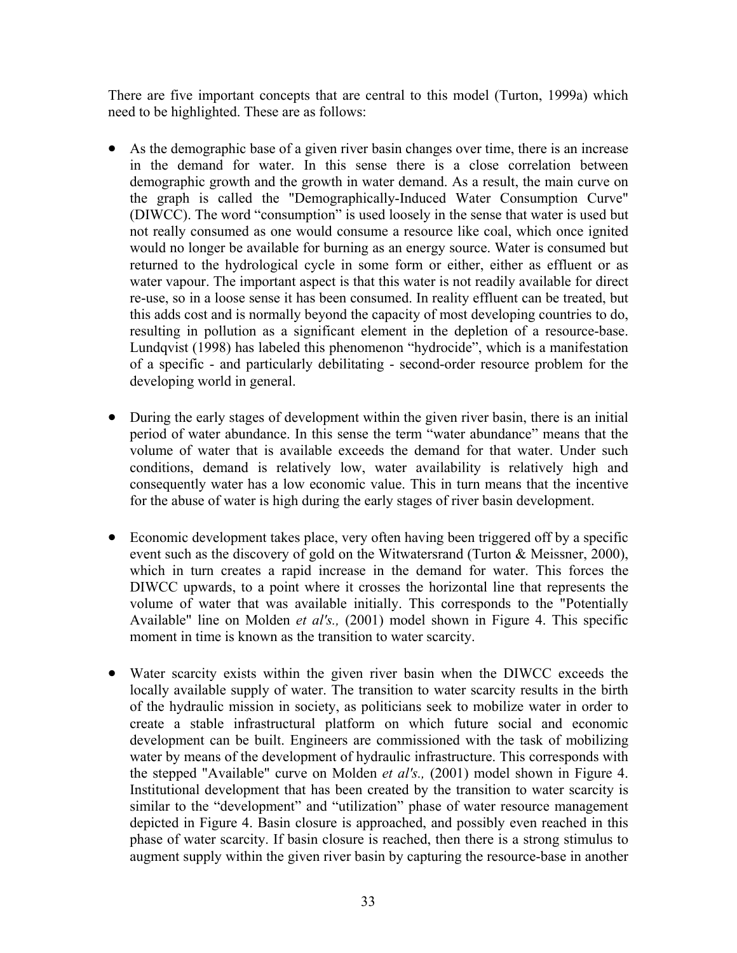There are five important concepts that are central to this model (Turton, 1999a) which need to be highlighted. These are as follows:

- As the demographic base of a given river basin changes over time, there is an increase in the demand for water. In this sense there is a close correlation between demographic growth and the growth in water demand. As a result, the main curve on the graph is called the "Demographically-Induced Water Consumption Curve" (DIWCC). The word "consumption" is used loosely in the sense that water is used but not really consumed as one would consume a resource like coal, which once ignited would no longer be available for burning as an energy source. Water is consumed but returned to the hydrological cycle in some form or either, either as effluent or as water vapour. The important aspect is that this water is not readily available for direct re-use, so in a loose sense it has been consumed. In reality effluent can be treated, but this adds cost and is normally beyond the capacity of most developing countries to do, resulting in pollution as a significant element in the depletion of a resource-base. Lundqvist (1998) has labeled this phenomenon "hydrocide", which is a manifestation of a specific - and particularly debilitating - second-order resource problem for the developing world in general.
- $\bullet$ During the early stages of development within the given river basin, there is an initial period of water abundance. In this sense the term "water abundance" means that the volume of water that is available exceeds the demand for that water. Under such conditions, demand is relatively low, water availability is relatively high and consequently water has a low economic value. This in turn means that the incentive for the abuse of water is high during the early stages of river basin development.
- $\bullet$ Economic development takes place, very often having been triggered off by a specific event such as the discovery of gold on the Witwatersrand (Turton & Meissner, 2000), which in turn creates a rapid increase in the demand for water. This forces the DIWCC upwards, to a point where it crosses the horizontal line that represents the volume of water that was available initially. This corresponds to the "Potentially Available" line on Molden *et al's.,* (2001) model shown in Figure 4. This specific moment in time is known as the transition to water scarcity.
- Water scarcity exists within the given river basin when the DIWCC exceeds the locally available supply of water. The transition to water scarcity results in the birth of the hydraulic mission in society, as politicians seek to mobilize water in order to create a stable infrastructural platform on which future social and economic development can be built. Engineers are commissioned with the task of mobilizing water by means of the development of hydraulic infrastructure. This corresponds with the stepped "Available" curve on Molden *et al's.,* (2001) model shown in Figure 4. Institutional development that has been created by the transition to water scarcity is similar to the "development" and "utilization" phase of water resource management depicted in Figure 4. Basin closure is approached, and possibly even reached in this phase of water scarcity. If basin closure is reached, then there is a strong stimulus to augment supply within the given river basin by capturing the resource-base in another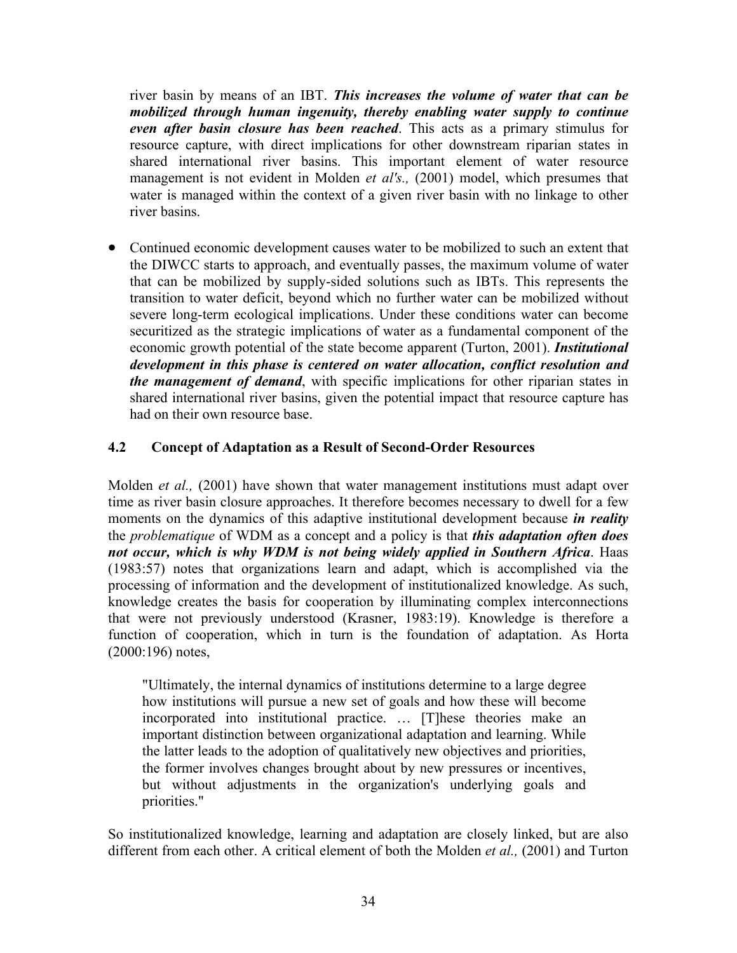river basin by means of an IBT. *This increases the volume of water that can be mobilized through human ingenuity, thereby enabling water supply to continue even after basin closure has been reached*. This acts as a primary stimulus for resource capture, with direct implications for other downstream riparian states in shared international river basins. This important element of water resource management is not evident in Molden *et al's.,* (2001) model, which presumes that water is managed within the context of a given river basin with no linkage to other river basins.

• Continued economic development causes water to be mobilized to such an extent that the DIWCC starts to approach, and eventually passes, the maximum volume of water that can be mobilized by supply-sided solutions such as IBTs. This represents the transition to water deficit, beyond which no further water can be mobilized without severe long-term ecological implications. Under these conditions water can become securitized as the strategic implications of water as a fundamental component of the economic growth potential of the state become apparent (Turton, 2001). *Institutional development in this phase is centered on water allocation, conflict resolution and the management of demand*, with specific implications for other riparian states in shared international river basins, given the potential impact that resource capture has had on their own resource base.

## **4.2 Concept of Adaptation as a Result of Second-Order Resources**

Molden *et al.,* (2001) have shown that water management institutions must adapt over time as river basin closure approaches. It therefore becomes necessary to dwell for a few moments on the dynamics of this adaptive institutional development because *in reality* the *problematique* of WDM as a concept and a policy is that *this adaptation often does not occur, which is why WDM is not being widely applied in Southern Africa*. Haas (1983:57) notes that organizations learn and adapt, which is accomplished via the processing of information and the development of institutionalized knowledge. As such, knowledge creates the basis for cooperation by illuminating complex interconnections that were not previously understood (Krasner, 1983:19). Knowledge is therefore a function of cooperation, which in turn is the foundation of adaptation. As Horta (2000:196) notes,

"Ultimately, the internal dynamics of institutions determine to a large degree how institutions will pursue a new set of goals and how these will become incorporated into institutional practice. … [T]hese theories make an important distinction between organizational adaptation and learning. While the latter leads to the adoption of qualitatively new objectives and priorities, the former involves changes brought about by new pressures or incentives, but without adjustments in the organization's underlying goals and priorities."

So institutionalized knowledge, learning and adaptation are closely linked, but are also different from each other. A critical element of both the Molden *et al.,* (2001) and Turton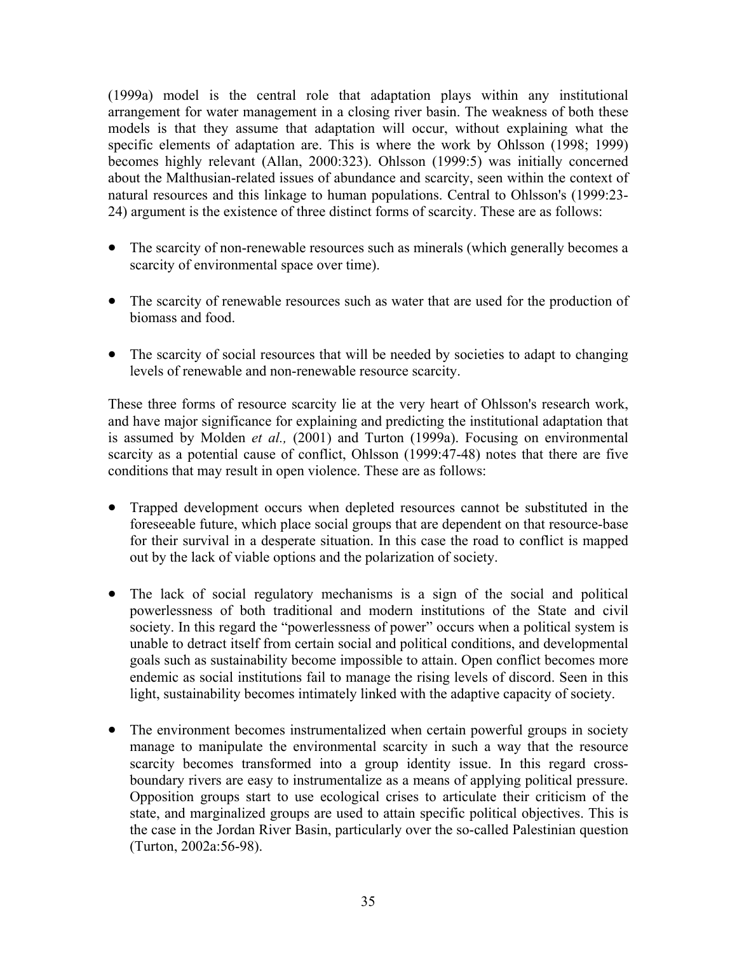(1999a) model is the central role that adaptation plays within any institutional arrangement for water management in a closing river basin. The weakness of both these models is that they assume that adaptation will occur, without explaining what the specific elements of adaptation are. This is where the work by Ohlsson (1998; 1999) becomes highly relevant (Allan, 2000:323). Ohlsson (1999:5) was initially concerned about the Malthusian-related issues of abundance and scarcity, seen within the context of natural resources and this linkage to human populations. Central to Ohlsson's (1999:23- 24) argument is the existence of three distinct forms of scarcity. These are as follows:

- The scarcity of non-renewable resources such as minerals (which generally becomes a scarcity of environmental space over time).
- The scarcity of renewable resources such as water that are used for the production of biomass and food.
- The scarcity of social resources that will be needed by societies to adapt to changing levels of renewable and non-renewable resource scarcity.

These three forms of resource scarcity lie at the very heart of Ohlsson's research work, and have major significance for explaining and predicting the institutional adaptation that is assumed by Molden *et al.,* (2001) and Turton (1999a). Focusing on environmental scarcity as a potential cause of conflict, Ohlsson (1999:47-48) notes that there are five conditions that may result in open violence. These are as follows:

- Trapped development occurs when depleted resources cannot be substituted in the foreseeable future, which place social groups that are dependent on that resource-base for their survival in a desperate situation. In this case the road to conflict is mapped out by the lack of viable options and the polarization of society.
- The lack of social regulatory mechanisms is a sign of the social and political powerlessness of both traditional and modern institutions of the State and civil society. In this regard the "powerlessness of power" occurs when a political system is unable to detract itself from certain social and political conditions, and developmental goals such as sustainability become impossible to attain. Open conflict becomes more endemic as social institutions fail to manage the rising levels of discord. Seen in this light, sustainability becomes intimately linked with the adaptive capacity of society.
- The environment becomes instrumentalized when certain powerful groups in society manage to manipulate the environmental scarcity in such a way that the resource scarcity becomes transformed into a group identity issue. In this regard crossboundary rivers are easy to instrumentalize as a means of applying political pressure. Opposition groups start to use ecological crises to articulate their criticism of the state, and marginalized groups are used to attain specific political objectives. This is the case in the Jordan River Basin, particularly over the so-called Palestinian question (Turton, 2002a:56-98).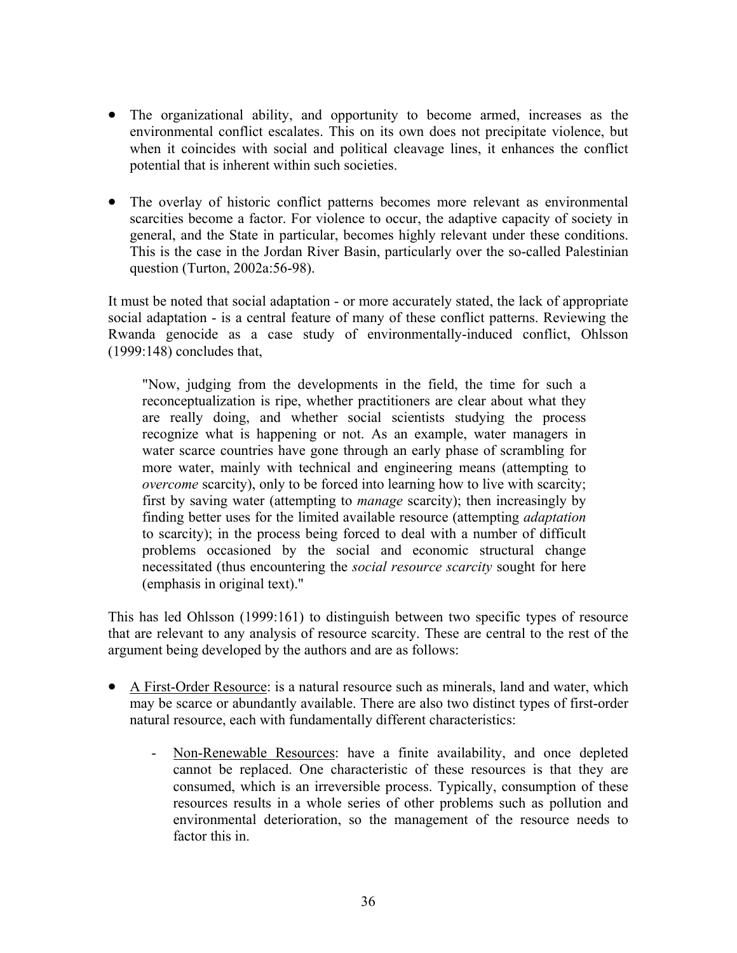- The organizational ability, and opportunity to become armed, increases as the environmental conflict escalates. This on its own does not precipitate violence, but when it coincides with social and political cleavage lines, it enhances the conflict potential that is inherent within such societies.
- $\bullet$ The overlay of historic conflict patterns becomes more relevant as environmental scarcities become a factor. For violence to occur, the adaptive capacity of society in general, and the State in particular, becomes highly relevant under these conditions. This is the case in the Jordan River Basin, particularly over the so-called Palestinian question (Turton, 2002a:56-98).

It must be noted that social adaptation - or more accurately stated, the lack of appropriate social adaptation - is a central feature of many of these conflict patterns. Reviewing the Rwanda genocide as a case study of environmentally-induced conflict, Ohlsson (1999:148) concludes that,

"Now, judging from the developments in the field, the time for such a reconceptualization is ripe, whether practitioners are clear about what they are really doing, and whether social scientists studying the process recognize what is happening or not. As an example, water managers in water scarce countries have gone through an early phase of scrambling for more water, mainly with technical and engineering means (attempting to *overcome* scarcity), only to be forced into learning how to live with scarcity; first by saving water (attempting to *manage* scarcity); then increasingly by finding better uses for the limited available resource (attempting *adaptation* to scarcity); in the process being forced to deal with a number of difficult problems occasioned by the social and economic structural change necessitated (thus encountering the *social resource scarcity* sought for here (emphasis in original text)."

This has led Ohlsson (1999:161) to distinguish between two specific types of resource that are relevant to any analysis of resource scarcity. These are central to the rest of the argument being developed by the authors and are as follows:

- A First-Order Resource: is a natural resource such as minerals, land and water, which may be scarce or abundantly available. There are also two distinct types of first-order natural resource, each with fundamentally different characteristics:
	- Non-Renewable Resources: have a finite availability, and once depleted cannot be replaced. One characteristic of these resources is that they are consumed, which is an irreversible process. Typically, consumption of these resources results in a whole series of other problems such as pollution and environmental deterioration, so the management of the resource needs to factor this in.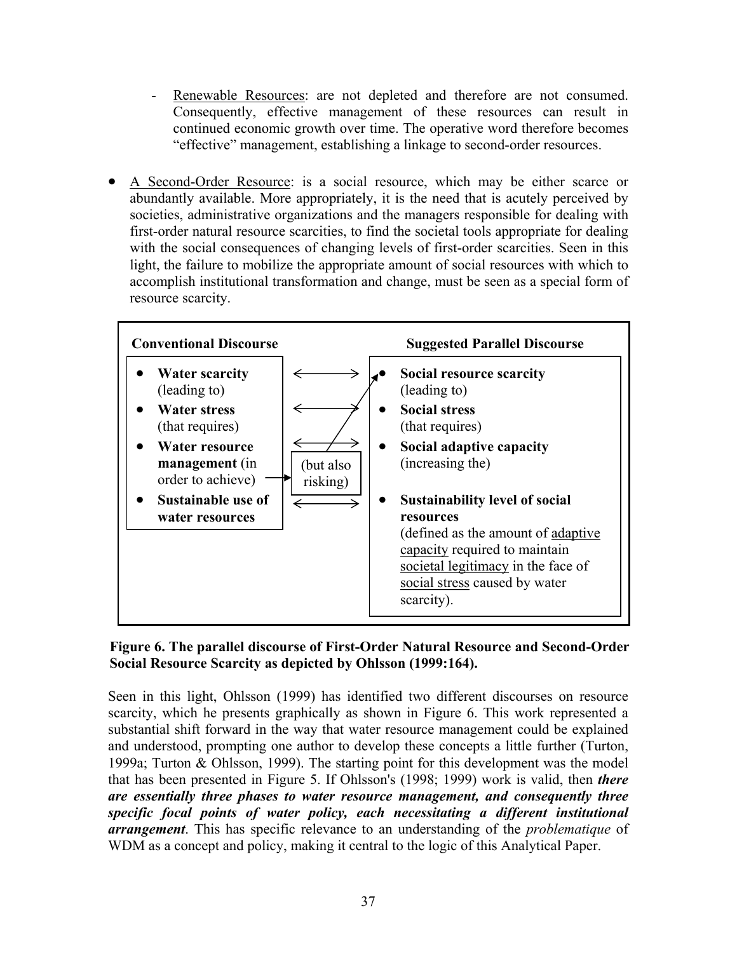- Renewable Resources: are not depleted and therefore are not consumed. Consequently, effective management of these resources can result in continued economic growth over time. The operative word therefore becomes "effective" management, establishing a linkage to second-order resources.
- A Second-Order Resource: is a social resource, which may be either scarce or abundantly available. More appropriately, it is the need that is acutely perceived by societies, administrative organizations and the managers responsible for dealing with first-order natural resource scarcities, to find the societal tools appropriate for dealing with the social consequences of changing levels of first-order scarcities. Seen in this light, the failure to mobilize the appropriate amount of social resources with which to accomplish institutional transformation and change, must be seen as a special form of resource scarcity.



## **Figure 6. The parallel discourse of First-Order Natural Resource and Second-Order Social Resource Scarcity as depicted by Ohlsson (1999:164).**

Seen in this light, Ohlsson (1999) has identified two different discourses on resource scarcity, which he presents graphically as shown in Figure 6. This work represented a substantial shift forward in the way that water resource management could be explained and understood, prompting one author to develop these concepts a little further (Turton, 1999a; Turton & Ohlsson, 1999). The starting point for this development was the model that has been presented in Figure 5. If Ohlsson's (1998; 1999) work is valid, then *there are essentially three phases to water resource management, and consequently three specific focal points of water policy, each necessitating a different institutional arrangement*. This has specific relevance to an understanding of the *problematique* of WDM as a concept and policy, making it central to the logic of this Analytical Paper.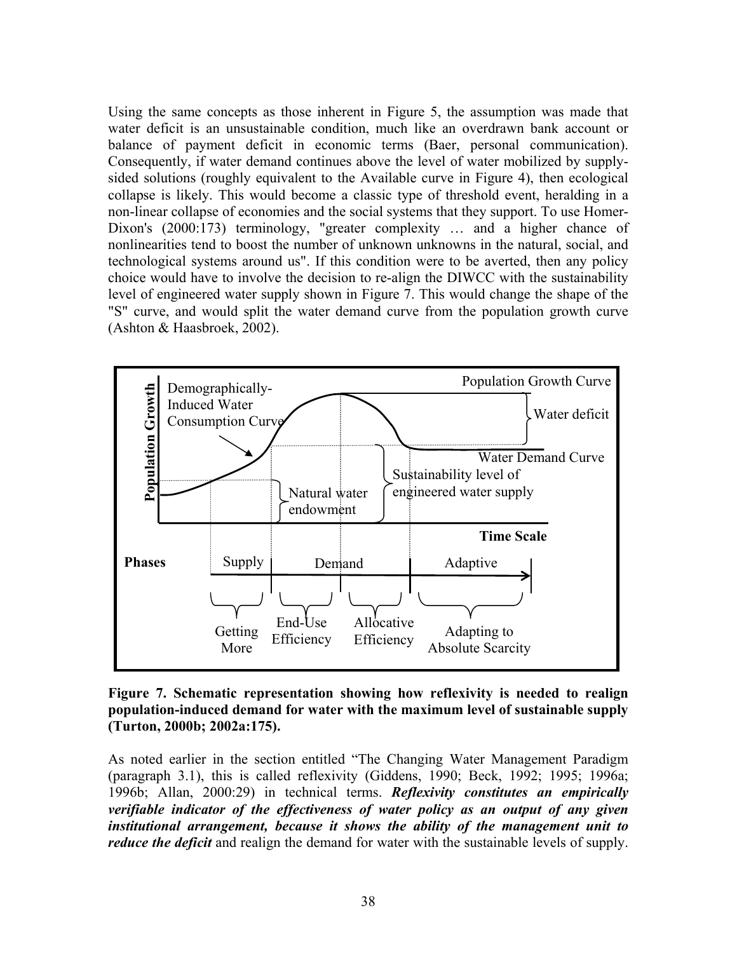Using the same concepts as those inherent in Figure 5, the assumption was made that water deficit is an unsustainable condition, much like an overdrawn bank account or balance of payment deficit in economic terms (Baer, personal communication). Consequently, if water demand continues above the level of water mobilized by supplysided solutions (roughly equivalent to the Available curve in Figure 4), then ecological collapse is likely. This would become a classic type of threshold event, heralding in a non-linear collapse of economies and the social systems that they support. To use Homer-Dixon's (2000:173) terminology, "greater complexity … and a higher chance of nonlinearities tend to boost the number of unknown unknowns in the natural, social, and technological systems around us". If this condition were to be averted, then any policy choice would have to involve the decision to re-align the DIWCC with the sustainability level of engineered water supply shown in Figure 7. This would change the shape of the "S" curve, and would split the water demand curve from the population growth curve (Ashton & Haasbroek, 2002).



**Figure 7. Schematic representation showing how reflexivity is needed to realign population-induced demand for water with the maximum level of sustainable supply (Turton, 2000b; 2002a:175).** 

As noted earlier in the section entitled "The Changing Water Management Paradigm (paragraph 3.1), this is called reflexivity (Giddens, 1990; Beck, 1992; 1995; 1996a; 1996b; Allan, 2000:29) in technical terms. *Reflexivity constitutes an empirically verifiable indicator of the effectiveness of water policy as an output of any given institutional arrangement, because it shows the ability of the management unit to reduce the deficit* and realign the demand for water with the sustainable levels of supply.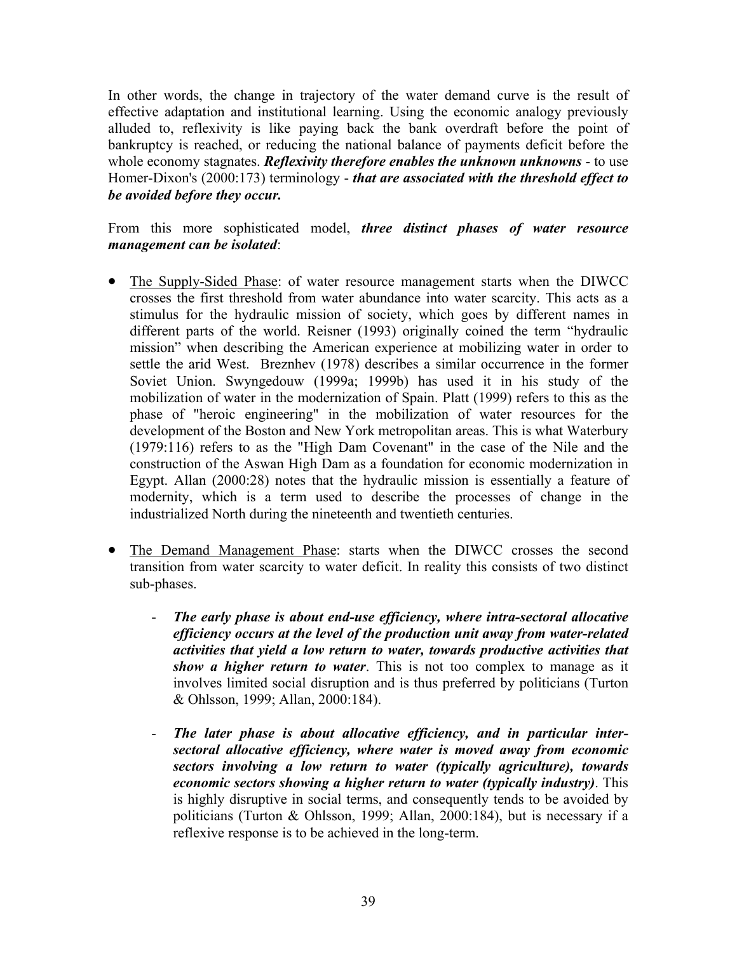In other words, the change in trajectory of the water demand curve is the result of effective adaptation and institutional learning. Using the economic analogy previously alluded to, reflexivity is like paying back the bank overdraft before the point of bankruptcy is reached, or reducing the national balance of payments deficit before the whole economy stagnates. *Reflexivity therefore enables the unknown unknowns* - to use Homer-Dixon's (2000:173) terminology - *that are associated with the threshold effect to be avoided before they occur.* 

From this more sophisticated model, *three distinct phases of water resource management can be isolated*:

- The Supply-Sided Phase: of water resource management starts when the DIWCC crosses the first threshold from water abundance into water scarcity. This acts as a stimulus for the hydraulic mission of society, which goes by different names in different parts of the world. Reisner (1993) originally coined the term "hydraulic mission" when describing the American experience at mobilizing water in order to settle the arid West. Breznhev (1978) describes a similar occurrence in the former Soviet Union. Swyngedouw (1999a; 1999b) has used it in his study of the mobilization of water in the modernization of Spain. Platt (1999) refers to this as the phase of "heroic engineering" in the mobilization of water resources for the development of the Boston and New York metropolitan areas. This is what Waterbury (1979:116) refers to as the "High Dam Covenant" in the case of the Nile and the construction of the Aswan High Dam as a foundation for economic modernization in Egypt. Allan (2000:28) notes that the hydraulic mission is essentially a feature of modernity, which is a term used to describe the processes of change in the industrialized North during the nineteenth and twentieth centuries.
- The Demand Management Phase: starts when the DIWCC crosses the second transition from water scarcity to water deficit. In reality this consists of two distinct sub-phases.
	- *The early phase is about end-use efficiency, where intra-sectoral allocative efficiency occurs at the level of the production unit away from water-related activities that yield a low return to water, towards productive activities that show a higher return to water*. This is not too complex to manage as it involves limited social disruption and is thus preferred by politicians (Turton & Ohlsson, 1999; Allan, 2000:184).
	- The later phase is about allocative efficiency, and in particular inter*sectoral allocative efficiency, where water is moved away from economic sectors involving a low return to water (typically agriculture), towards economic sectors showing a higher return to water (typically industry)*. This is highly disruptive in social terms, and consequently tends to be avoided by politicians (Turton & Ohlsson, 1999; Allan, 2000:184), but is necessary if a reflexive response is to be achieved in the long-term.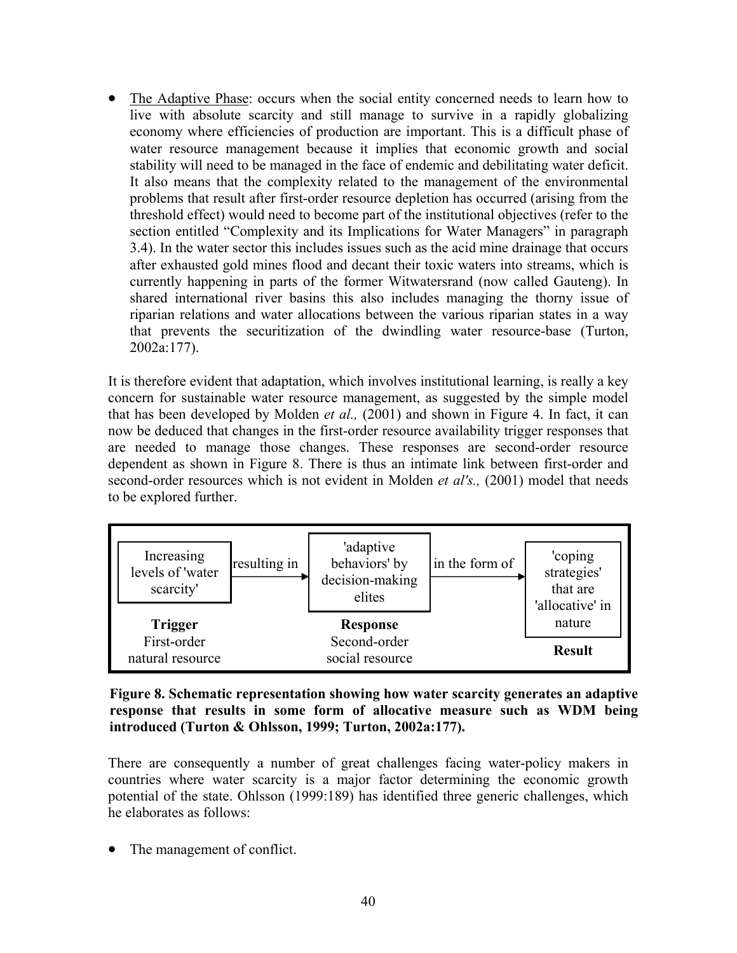The Adaptive Phase: occurs when the social entity concerned needs to learn how to live with absolute scarcity and still manage to survive in a rapidly globalizing economy where efficiencies of production are important. This is a difficult phase of water resource management because it implies that economic growth and social stability will need to be managed in the face of endemic and debilitating water deficit. It also means that the complexity related to the management of the environmental problems that result after first-order resource depletion has occurred (arising from the threshold effect) would need to become part of the institutional objectives (refer to the section entitled "Complexity and its Implications for Water Managers" in paragraph 3.4). In the water sector this includes issues such as the acid mine drainage that occurs after exhausted gold mines flood and decant their toxic waters into streams, which is currently happening in parts of the former Witwatersrand (now called Gauteng). In shared international river basins this also includes managing the thorny issue of riparian relations and water allocations between the various riparian states in a way that prevents the securitization of the dwindling water resource-base (Turton, 2002a:177).

It is therefore evident that adaptation, which involves institutional learning, is really a key concern for sustainable water resource management, as suggested by the simple model that has been developed by Molden *et al.,* (2001) and shown in Figure 4. In fact, it can now be deduced that changes in the first-order resource availability trigger responses that are needed to manage those changes. These responses are second-order resource dependent as shown in Figure 8. There is thus an intimate link between first-order and second-order resources which is not evident in Molden *et al's.,* (2001) model that needs to be explored further.



**Figure 8. Schematic representation showing how water scarcity generates an adaptive response that results in some form of allocative measure such as WDM being introduced (Turton & Ohlsson, 1999; Turton, 2002a:177).** 

There are consequently a number of great challenges facing water-policy makers in countries where water scarcity is a major factor determining the economic growth potential of the state. Ohlsson (1999:189) has identified three generic challenges, which he elaborates as follows:

• The management of conflict.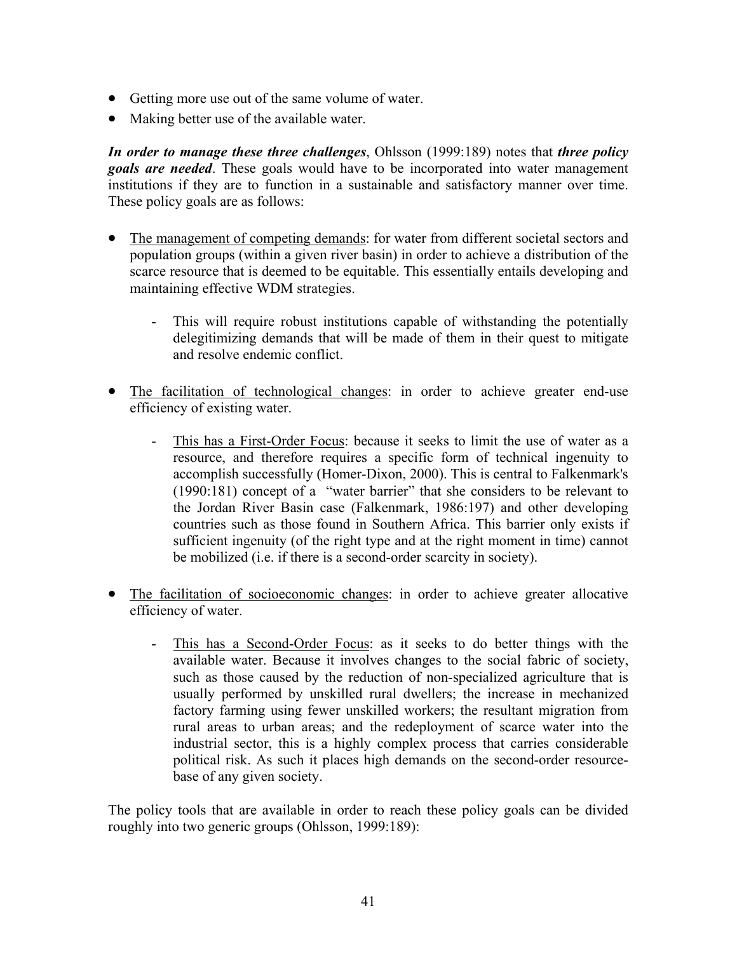- Getting more use out of the same volume of water.
- Making better use of the available water.

*In order to manage these three challenges*, Ohlsson (1999:189) notes that *three policy goals are needed*. These goals would have to be incorporated into water management institutions if they are to function in a sustainable and satisfactory manner over time. These policy goals are as follows:

- The management of competing demands: for water from different societal sectors and population groups (within a given river basin) in order to achieve a distribution of the scarce resource that is deemed to be equitable. This essentially entails developing and maintaining effective WDM strategies.
	- This will require robust institutions capable of withstanding the potentially delegitimizing demands that will be made of them in their quest to mitigate and resolve endemic conflict.
- The facilitation of technological changes: in order to achieve greater end-use efficiency of existing water.
	- This has a First-Order Focus: because it seeks to limit the use of water as a resource, and therefore requires a specific form of technical ingenuity to accomplish successfully (Homer-Dixon, 2000). This is central to Falkenmark's (1990:181) concept of a "water barrier" that she considers to be relevant to the Jordan River Basin case (Falkenmark, 1986:197) and other developing countries such as those found in Southern Africa. This barrier only exists if sufficient ingenuity (of the right type and at the right moment in time) cannot be mobilized (i.e. if there is a second-order scarcity in society).
- The facilitation of socioeconomic changes: in order to achieve greater allocative efficiency of water.
	- This has a Second-Order Focus: as it seeks to do better things with the available water. Because it involves changes to the social fabric of society, such as those caused by the reduction of non-specialized agriculture that is usually performed by unskilled rural dwellers; the increase in mechanized factory farming using fewer unskilled workers; the resultant migration from rural areas to urban areas; and the redeployment of scarce water into the industrial sector, this is a highly complex process that carries considerable political risk. As such it places high demands on the second-order resourcebase of any given society.

The policy tools that are available in order to reach these policy goals can be divided roughly into two generic groups (Ohlsson, 1999:189):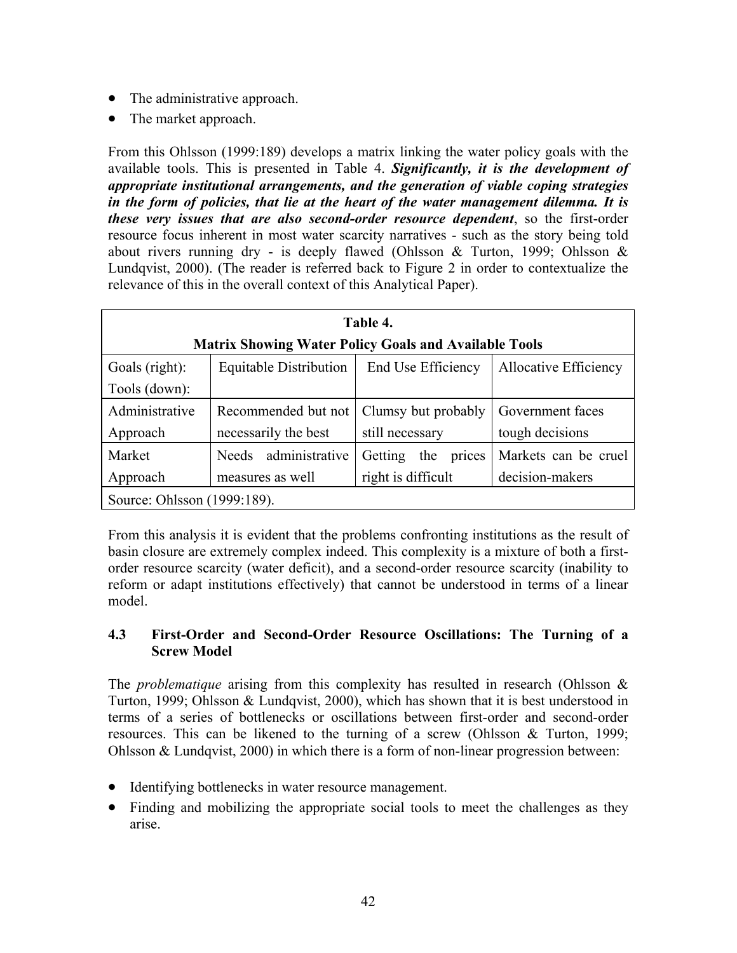- The administrative approach.
- The market approach.

From this Ohlsson (1999:189) develops a matrix linking the water policy goals with the available tools. This is presented in Table 4. *Significantly, it is the development of appropriate institutional arrangements, and the generation of viable coping strategies in the form of policies, that lie at the heart of the water management dilemma. It is these very issues that are also second-order resource dependent*, so the first-order resource focus inherent in most water scarcity narratives - such as the story being told about rivers running dry - is deeply flawed (Ohlsson  $\&$  Turton, 1999; Ohlsson  $\&$ Lundqvist, 2000). (The reader is referred back to Figure 2 in order to contextualize the relevance of this in the overall context of this Analytical Paper).

| Table 4.                                                     |                               |                          |                              |
|--------------------------------------------------------------|-------------------------------|--------------------------|------------------------------|
| <b>Matrix Showing Water Policy Goals and Available Tools</b> |                               |                          |                              |
| Goals (right):                                               | <b>Equitable Distribution</b> | End Use Efficiency       | <b>Allocative Efficiency</b> |
| Tools (down):                                                |                               |                          |                              |
| Administrative                                               | Recommended but not           | Clumsy but probably      | Government faces             |
| Approach                                                     | necessarily the best          | still necessary          | tough decisions              |
| Market                                                       | administrative<br>Needs       | Getting<br>the<br>prices | Markets can be cruel         |
| Approach                                                     | measures as well              | right is difficult       | decision-makers              |
| Source: Ohlsson (1999:189).                                  |                               |                          |                              |

From this analysis it is evident that the problems confronting institutions as the result of basin closure are extremely complex indeed. This complexity is a mixture of both a firstorder resource scarcity (water deficit), and a second-order resource scarcity (inability to reform or adapt institutions effectively) that cannot be understood in terms of a linear model.

## **4.3 First-Order and Second-Order Resource Oscillations: The Turning of a Screw Model**

The *problematique* arising from this complexity has resulted in research (Ohlsson & Turton, 1999; Ohlsson & Lundqvist, 2000), which has shown that it is best understood in terms of a series of bottlenecks or oscillations between first-order and second-order resources. This can be likened to the turning of a screw (Ohlsson & Turton, 1999; Ohlsson & Lundqvist, 2000) in which there is a form of non-linear progression between:

- Identifying bottlenecks in water resource management.
- Finding and mobilizing the appropriate social tools to meet the challenges as they arise.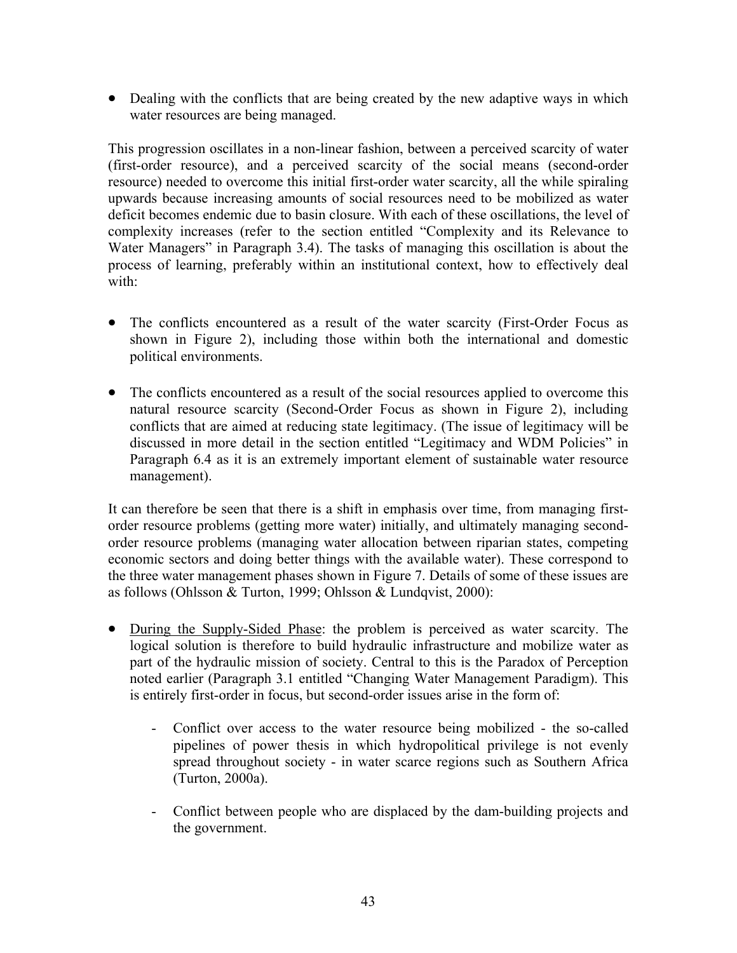• Dealing with the conflicts that are being created by the new adaptive ways in which water resources are being managed.

This progression oscillates in a non-linear fashion, between a perceived scarcity of water (first-order resource), and a perceived scarcity of the social means (second-order resource) needed to overcome this initial first-order water scarcity, all the while spiraling upwards because increasing amounts of social resources need to be mobilized as water deficit becomes endemic due to basin closure. With each of these oscillations, the level of complexity increases (refer to the section entitled "Complexity and its Relevance to Water Managers" in Paragraph 3.4). The tasks of managing this oscillation is about the process of learning, preferably within an institutional context, how to effectively deal with:

- The conflicts encountered as a result of the water scarcity (First-Order Focus as shown in Figure 2), including those within both the international and domestic political environments.
- The conflicts encountered as a result of the social resources applied to overcome this natural resource scarcity (Second-Order Focus as shown in Figure 2), including conflicts that are aimed at reducing state legitimacy. (The issue of legitimacy will be discussed in more detail in the section entitled "Legitimacy and WDM Policies" in Paragraph 6.4 as it is an extremely important element of sustainable water resource management).

It can therefore be seen that there is a shift in emphasis over time, from managing firstorder resource problems (getting more water) initially, and ultimately managing secondorder resource problems (managing water allocation between riparian states, competing economic sectors and doing better things with the available water). These correspond to the three water management phases shown in Figure 7. Details of some of these issues are as follows (Ohlsson & Turton, 1999; Ohlsson & Lundqvist, 2000):

- During the Supply-Sided Phase: the problem is perceived as water scarcity. The logical solution is therefore to build hydraulic infrastructure and mobilize water as part of the hydraulic mission of society. Central to this is the Paradox of Perception noted earlier (Paragraph 3.1 entitled "Changing Water Management Paradigm). This is entirely first-order in focus, but second-order issues arise in the form of:
	- Conflict over access to the water resource being mobilized the so-called pipelines of power thesis in which hydropolitical privilege is not evenly spread throughout society - in water scarce regions such as Southern Africa (Turton, 2000a).
	- Conflict between people who are displaced by the dam-building projects and the government.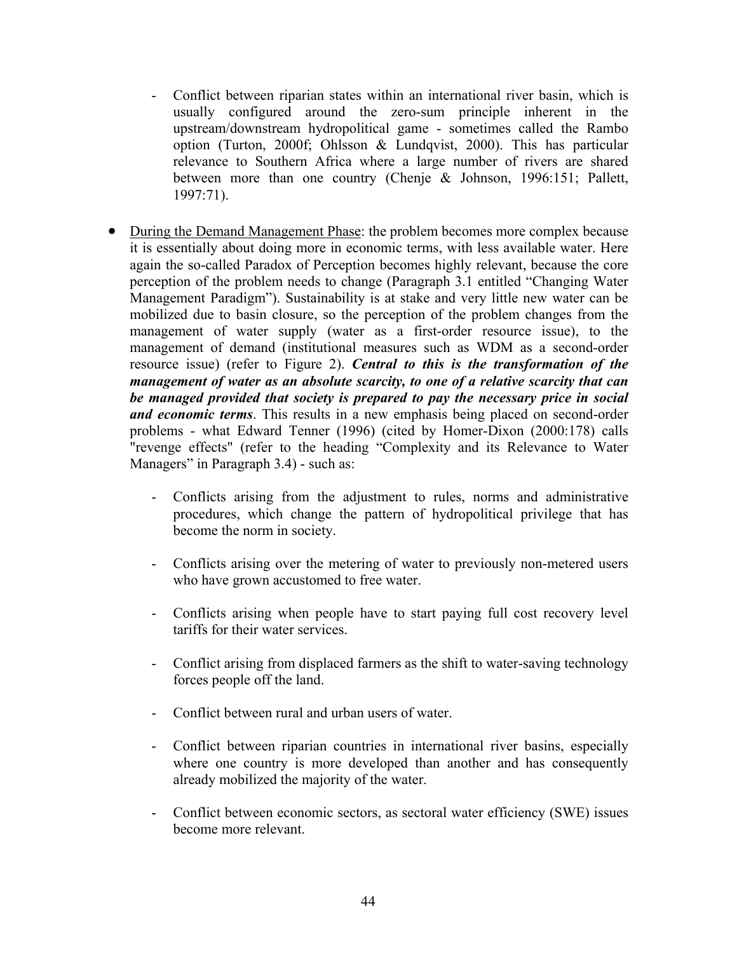- Conflict between riparian states within an international river basin, which is usually configured around the zero-sum principle inherent in the upstream/downstream hydropolitical game - sometimes called the Rambo option (Turton, 2000f; Ohlsson & Lundqvist, 2000). This has particular relevance to Southern Africa where a large number of rivers are shared between more than one country (Chenje & Johnson, 1996:151; Pallett, 1997:71).
- During the Demand Management Phase: the problem becomes more complex because it is essentially about doing more in economic terms, with less available water. Here again the so-called Paradox of Perception becomes highly relevant, because the core perception of the problem needs to change (Paragraph 3.1 entitled "Changing Water Management Paradigm"). Sustainability is at stake and very little new water can be mobilized due to basin closure, so the perception of the problem changes from the management of water supply (water as a first-order resource issue), to the management of demand (institutional measures such as WDM as a second-order resource issue) (refer to Figure 2). *Central to this is the transformation of the management of water as an absolute scarcity, to one of a relative scarcity that can be managed provided that society is prepared to pay the necessary price in social and economic terms*. This results in a new emphasis being placed on second-order problems - what Edward Tenner (1996) (cited by Homer-Dixon (2000:178) calls "revenge effects" (refer to the heading "Complexity and its Relevance to Water Managers" in Paragraph 3.4) - such as:
	- Conflicts arising from the adjustment to rules, norms and administrative procedures, which change the pattern of hydropolitical privilege that has become the norm in society.
	- Conflicts arising over the metering of water to previously non-metered users who have grown accustomed to free water.
	- Conflicts arising when people have to start paying full cost recovery level tariffs for their water services.
	- Conflict arising from displaced farmers as the shift to water-saving technology forces people off the land.
	- Conflict between rural and urban users of water.
	- Conflict between riparian countries in international river basins, especially where one country is more developed than another and has consequently already mobilized the majority of the water.
	- Conflict between economic sectors, as sectoral water efficiency (SWE) issues become more relevant.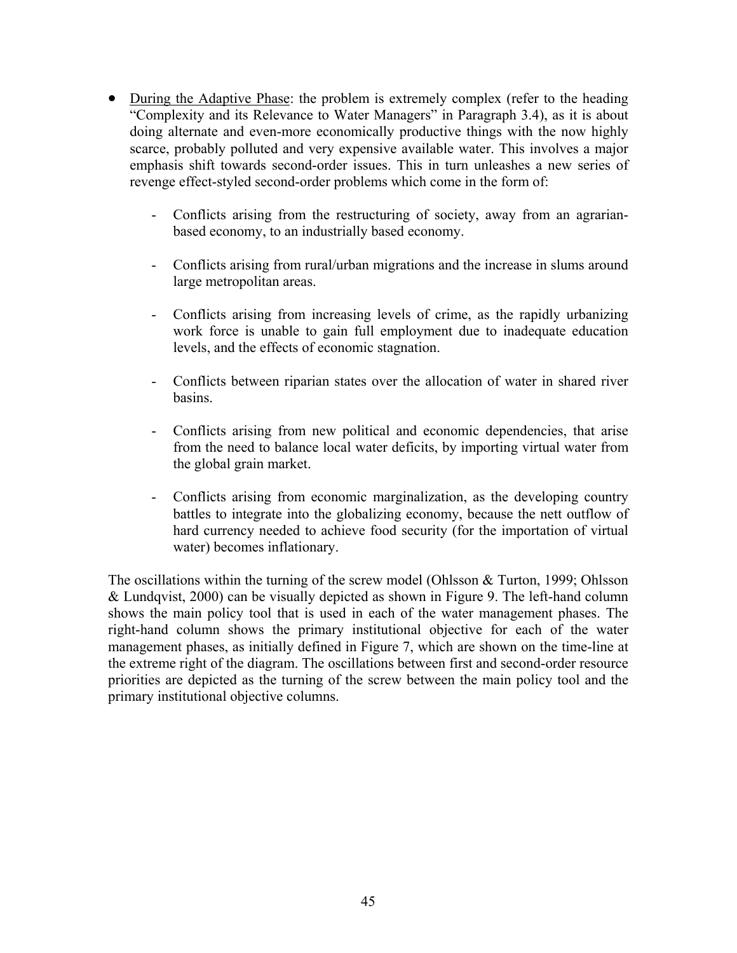- During the Adaptive Phase: the problem is extremely complex (refer to the heading "Complexity and its Relevance to Water Managers" in Paragraph 3.4), as it is about doing alternate and even-more economically productive things with the now highly scarce, probably polluted and very expensive available water. This involves a major emphasis shift towards second-order issues. This in turn unleashes a new series of revenge effect-styled second-order problems which come in the form of:
	- Conflicts arising from the restructuring of society, away from an agrarianbased economy, to an industrially based economy.
	- Conflicts arising from rural/urban migrations and the increase in slums around large metropolitan areas.
	- Conflicts arising from increasing levels of crime, as the rapidly urbanizing work force is unable to gain full employment due to inadequate education levels, and the effects of economic stagnation.
	- Conflicts between riparian states over the allocation of water in shared river basins.
	- Conflicts arising from new political and economic dependencies, that arise from the need to balance local water deficits, by importing virtual water from the global grain market.
	- Conflicts arising from economic marginalization, as the developing country battles to integrate into the globalizing economy, because the nett outflow of hard currency needed to achieve food security (for the importation of virtual water) becomes inflationary.

The oscillations within the turning of the screw model (Ohlsson & Turton, 1999; Ohlsson & Lundqvist, 2000) can be visually depicted as shown in Figure 9. The left-hand column shows the main policy tool that is used in each of the water management phases. The right-hand column shows the primary institutional objective for each of the water management phases, as initially defined in Figure 7, which are shown on the time-line at the extreme right of the diagram. The oscillations between first and second-order resource priorities are depicted as the turning of the screw between the main policy tool and the primary institutional objective columns.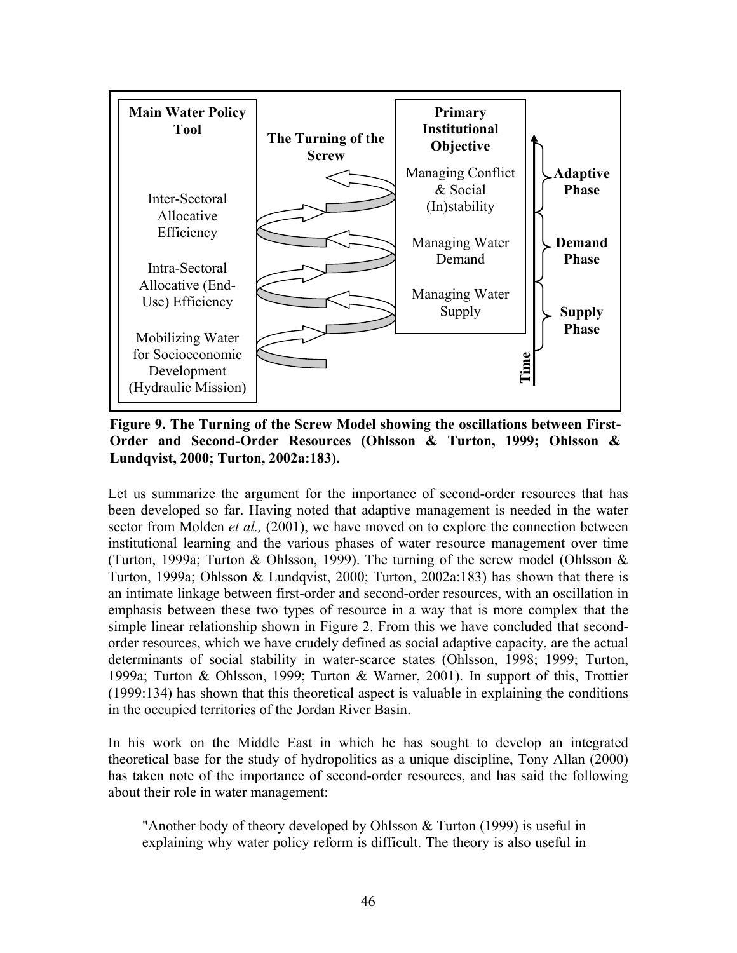

**Figure 9. The Turning of the Screw Model showing the oscillations between First-Order and Second-Order Resources (Ohlsson & Turton, 1999; Ohlsson & Lundqvist, 2000; Turton, 2002a:183).** 

Let us summarize the argument for the importance of second-order resources that has been developed so far. Having noted that adaptive management is needed in the water sector from Molden *et al.,* (2001), we have moved on to explore the connection between institutional learning and the various phases of water resource management over time (Turton, 1999a; Turton & Ohlsson, 1999). The turning of the screw model (Ohlsson & Turton, 1999a; Ohlsson & Lundqvist, 2000; Turton, 2002a:183) has shown that there is an intimate linkage between first-order and second-order resources, with an oscillation in emphasis between these two types of resource in a way that is more complex that the simple linear relationship shown in Figure 2. From this we have concluded that secondorder resources, which we have crudely defined as social adaptive capacity, are the actual determinants of social stability in water-scarce states (Ohlsson, 1998; 1999; Turton, 1999a; Turton & Ohlsson, 1999; Turton & Warner, 2001). In support of this, Trottier (1999:134) has shown that this theoretical aspect is valuable in explaining the conditions in the occupied territories of the Jordan River Basin.

In his work on the Middle East in which he has sought to develop an integrated theoretical base for the study of hydropolitics as a unique discipline, Tony Allan (2000) has taken note of the importance of second-order resources, and has said the following about their role in water management:

"Another body of theory developed by Ohlsson  $&$  Turton (1999) is useful in explaining why water policy reform is difficult. The theory is also useful in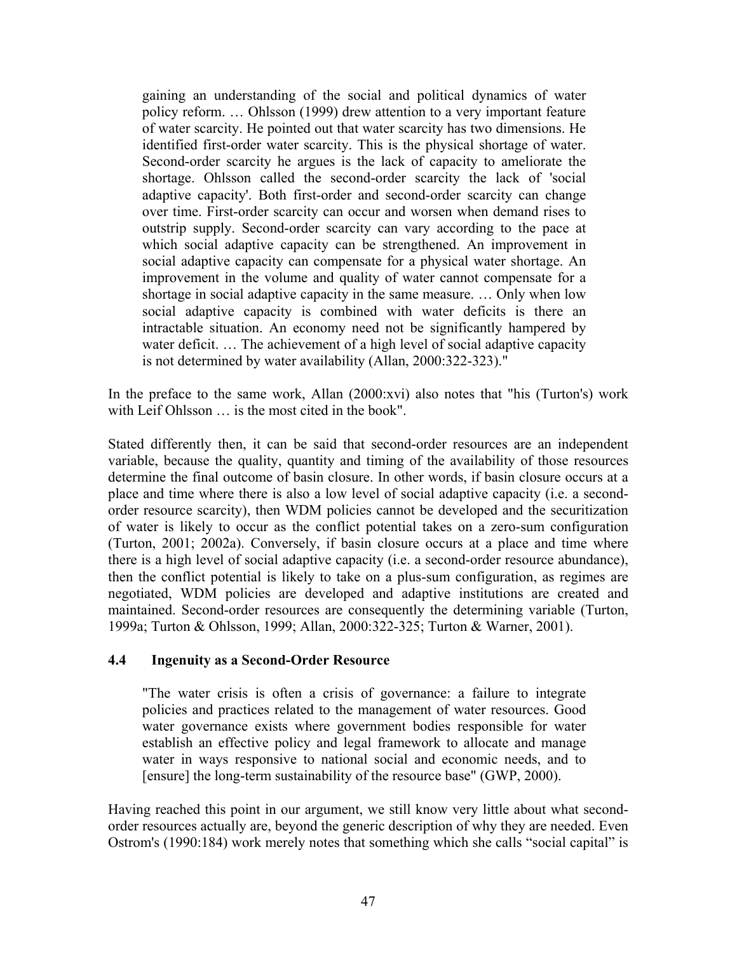gaining an understanding of the social and political dynamics of water policy reform. … Ohlsson (1999) drew attention to a very important feature of water scarcity. He pointed out that water scarcity has two dimensions. He identified first-order water scarcity. This is the physical shortage of water. Second-order scarcity he argues is the lack of capacity to ameliorate the shortage. Ohlsson called the second-order scarcity the lack of 'social adaptive capacity'. Both first-order and second-order scarcity can change over time. First-order scarcity can occur and worsen when demand rises to outstrip supply. Second-order scarcity can vary according to the pace at which social adaptive capacity can be strengthened. An improvement in social adaptive capacity can compensate for a physical water shortage. An improvement in the volume and quality of water cannot compensate for a shortage in social adaptive capacity in the same measure. … Only when low social adaptive capacity is combined with water deficits is there an intractable situation. An economy need not be significantly hampered by water deficit. … The achievement of a high level of social adaptive capacity is not determined by water availability (Allan, 2000:322-323)."

In the preface to the same work, Allan (2000:xvi) also notes that "his (Turton's) work with Leif Ohlsson ... is the most cited in the book".

Stated differently then, it can be said that second-order resources are an independent variable, because the quality, quantity and timing of the availability of those resources determine the final outcome of basin closure. In other words, if basin closure occurs at a place and time where there is also a low level of social adaptive capacity (i.e. a secondorder resource scarcity), then WDM policies cannot be developed and the securitization of water is likely to occur as the conflict potential takes on a zero-sum configuration (Turton, 2001; 2002a). Conversely, if basin closure occurs at a place and time where there is a high level of social adaptive capacity (i.e. a second-order resource abundance), then the conflict potential is likely to take on a plus-sum configuration, as regimes are negotiated, WDM policies are developed and adaptive institutions are created and maintained. Second-order resources are consequently the determining variable (Turton, 1999a; Turton & Ohlsson, 1999; Allan, 2000:322-325; Turton & Warner, 2001).

#### **4.4 Ingenuity as a Second-Order Resource**

"The water crisis is often a crisis of governance: a failure to integrate policies and practices related to the management of water resources. Good water governance exists where government bodies responsible for water establish an effective policy and legal framework to allocate and manage water in ways responsive to national social and economic needs, and to [ensure] the long-term sustainability of the resource base" (GWP, 2000).

Having reached this point in our argument, we still know very little about what secondorder resources actually are, beyond the generic description of why they are needed. Even Ostrom's (1990:184) work merely notes that something which she calls "social capital" is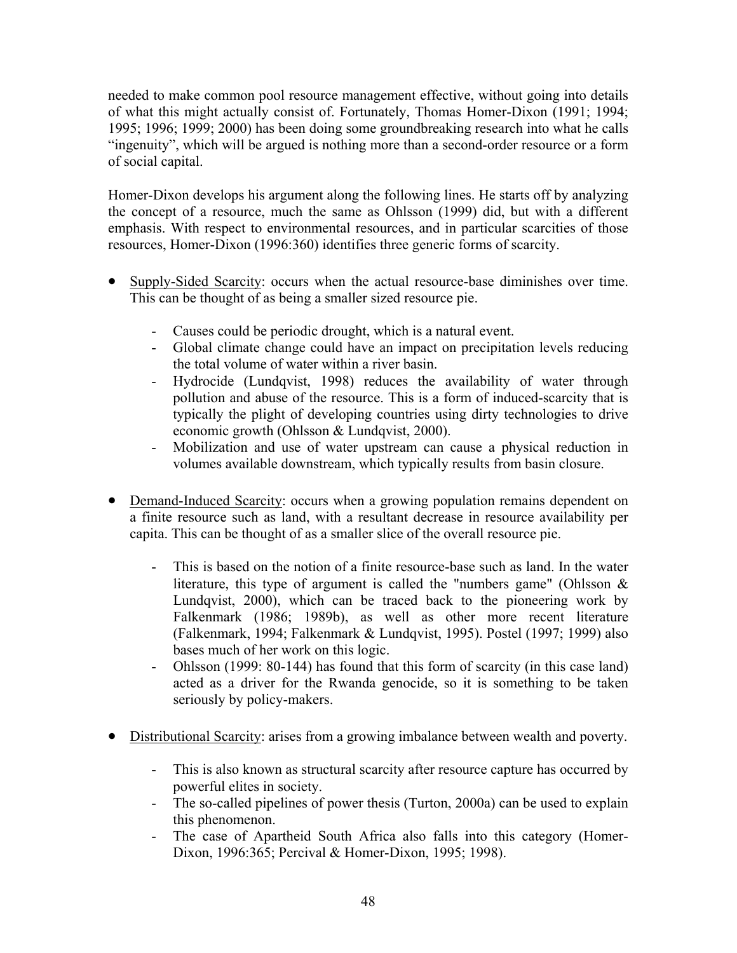needed to make common pool resource management effective, without going into details of what this might actually consist of. Fortunately, Thomas Homer-Dixon (1991; 1994; 1995; 1996; 1999; 2000) has been doing some groundbreaking research into what he calls "ingenuity", which will be argued is nothing more than a second-order resource or a form of social capital.

Homer-Dixon develops his argument along the following lines. He starts off by analyzing the concept of a resource, much the same as Ohlsson (1999) did, but with a different emphasis. With respect to environmental resources, and in particular scarcities of those resources, Homer-Dixon (1996:360) identifies three generic forms of scarcity.

- Supply-Sided Scarcity: occurs when the actual resource-base diminishes over time. This can be thought of as being a smaller sized resource pie.
	- Causes could be periodic drought, which is a natural event.
	- Global climate change could have an impact on precipitation levels reducing the total volume of water within a river basin.
	- Hydrocide (Lundqvist, 1998) reduces the availability of water through pollution and abuse of the resource. This is a form of induced-scarcity that is typically the plight of developing countries using dirty technologies to drive economic growth (Ohlsson & Lundqvist, 2000).
	- Mobilization and use of water upstream can cause a physical reduction in volumes available downstream, which typically results from basin closure.
- Demand-Induced Scarcity: occurs when a growing population remains dependent on a finite resource such as land, with a resultant decrease in resource availability per capita. This can be thought of as a smaller slice of the overall resource pie.
	- This is based on the notion of a finite resource-base such as land. In the water literature, this type of argument is called the "numbers game" (Ohlsson  $\&$ Lundqvist, 2000), which can be traced back to the pioneering work by Falkenmark (1986; 1989b), as well as other more recent literature (Falkenmark, 1994; Falkenmark & Lundqvist, 1995). Postel (1997; 1999) also bases much of her work on this logic.
	- Ohlsson (1999: 80-144) has found that this form of scarcity (in this case land) acted as a driver for the Rwanda genocide, so it is something to be taken seriously by policy-makers.
- Distributional Scarcity: arises from a growing imbalance between wealth and poverty.
	- This is also known as structural scarcity after resource capture has occurred by powerful elites in society.
	- The so-called pipelines of power thesis (Turton, 2000a) can be used to explain this phenomenon.
	- The case of Apartheid South Africa also falls into this category (Homer-Dixon, 1996:365; Percival & Homer-Dixon, 1995; 1998).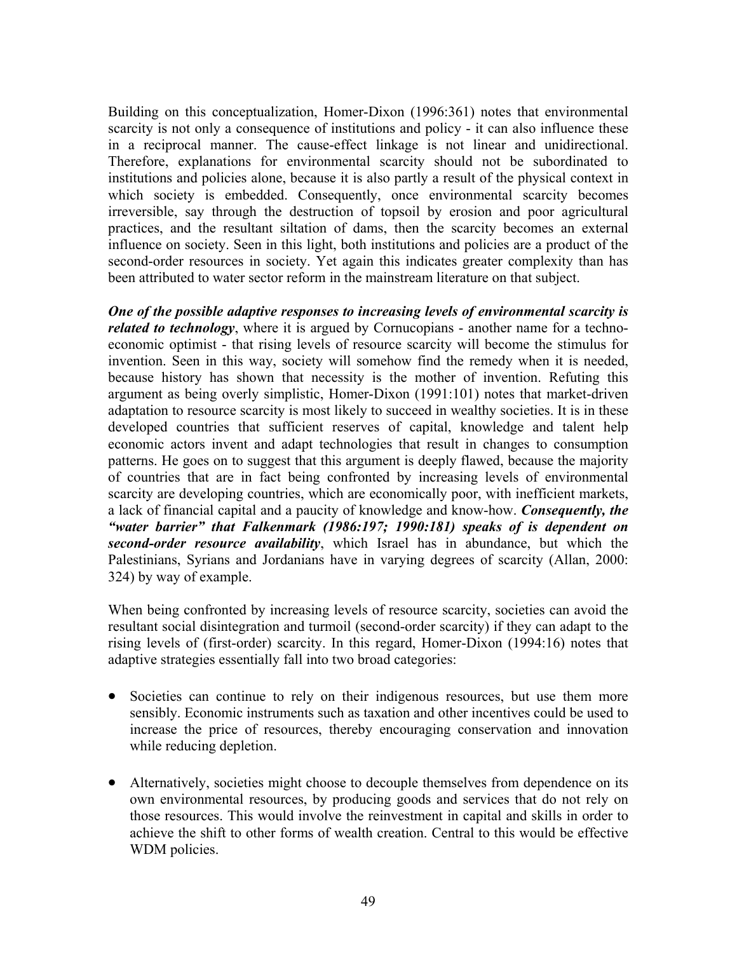Building on this conceptualization, Homer-Dixon (1996:361) notes that environmental scarcity is not only a consequence of institutions and policy - it can also influence these in a reciprocal manner. The cause-effect linkage is not linear and unidirectional. Therefore, explanations for environmental scarcity should not be subordinated to institutions and policies alone, because it is also partly a result of the physical context in which society is embedded. Consequently, once environmental scarcity becomes irreversible, say through the destruction of topsoil by erosion and poor agricultural practices, and the resultant siltation of dams, then the scarcity becomes an external influence on society. Seen in this light, both institutions and policies are a product of the second-order resources in society. Yet again this indicates greater complexity than has been attributed to water sector reform in the mainstream literature on that subject.

*One of the possible adaptive responses to increasing levels of environmental scarcity is related to technology*, where it is argued by Cornucopians - another name for a technoeconomic optimist - that rising levels of resource scarcity will become the stimulus for invention. Seen in this way, society will somehow find the remedy when it is needed, because history has shown that necessity is the mother of invention. Refuting this argument as being overly simplistic, Homer-Dixon (1991:101) notes that market-driven adaptation to resource scarcity is most likely to succeed in wealthy societies. It is in these developed countries that sufficient reserves of capital, knowledge and talent help economic actors invent and adapt technologies that result in changes to consumption patterns. He goes on to suggest that this argument is deeply flawed, because the majority of countries that are in fact being confronted by increasing levels of environmental scarcity are developing countries, which are economically poor, with inefficient markets, a lack of financial capital and a paucity of knowledge and know-how. *Consequently, the "water barrier" that Falkenmark (1986:197; 1990:181) speaks of is dependent on second-order resource availability*, which Israel has in abundance, but which the Palestinians, Syrians and Jordanians have in varying degrees of scarcity (Allan, 2000: 324) by way of example.

When being confronted by increasing levels of resource scarcity, societies can avoid the resultant social disintegration and turmoil (second-order scarcity) if they can adapt to the rising levels of (first-order) scarcity. In this regard, Homer-Dixon (1994:16) notes that adaptive strategies essentially fall into two broad categories:

- Societies can continue to rely on their indigenous resources, but use them more sensibly. Economic instruments such as taxation and other incentives could be used to increase the price of resources, thereby encouraging conservation and innovation while reducing depletion.
- Alternatively, societies might choose to decouple themselves from dependence on its own environmental resources, by producing goods and services that do not rely on those resources. This would involve the reinvestment in capital and skills in order to achieve the shift to other forms of wealth creation. Central to this would be effective WDM policies.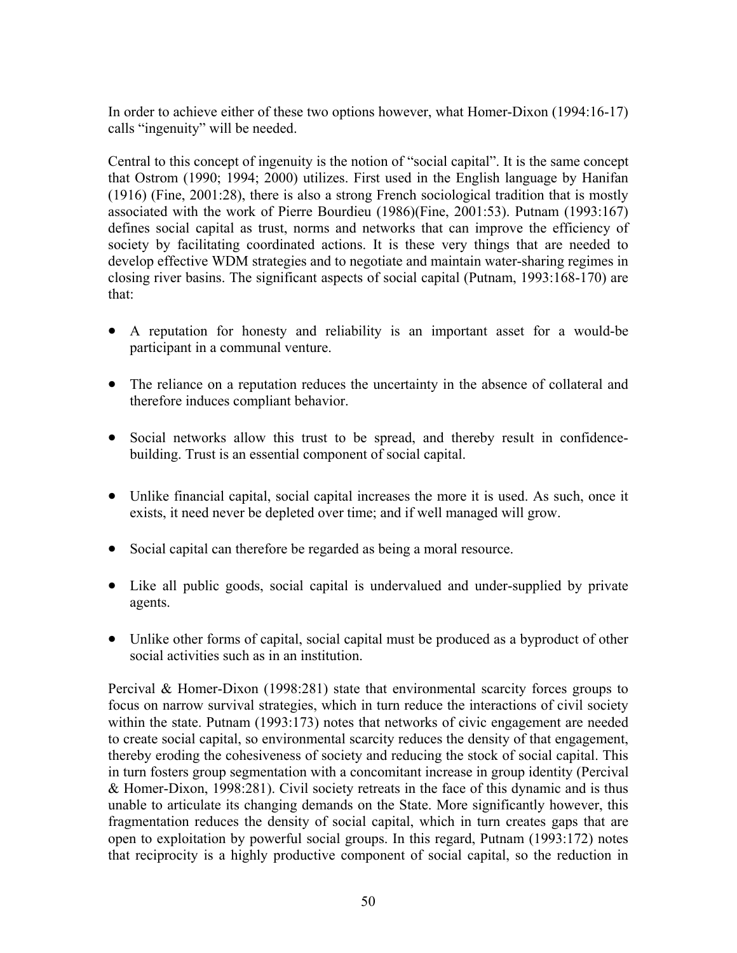In order to achieve either of these two options however, what Homer-Dixon (1994:16-17) calls "ingenuity" will be needed.

Central to this concept of ingenuity is the notion of "social capital". It is the same concept that Ostrom (1990; 1994; 2000) utilizes. First used in the English language by Hanifan (1916) (Fine, 2001:28), there is also a strong French sociological tradition that is mostly associated with the work of Pierre Bourdieu (1986)(Fine, 2001:53). Putnam (1993:167) defines social capital as trust, norms and networks that can improve the efficiency of society by facilitating coordinated actions. It is these very things that are needed to develop effective WDM strategies and to negotiate and maintain water-sharing regimes in closing river basins. The significant aspects of social capital (Putnam, 1993:168-170) are that:

- A reputation for honesty and reliability is an important asset for a would-be participant in a communal venture.
- The reliance on a reputation reduces the uncertainty in the absence of collateral and therefore induces compliant behavior.
- Social networks allow this trust to be spread, and thereby result in confidencebuilding. Trust is an essential component of social capital.
- Unlike financial capital, social capital increases the more it is used. As such, once it exists, it need never be depleted over time; and if well managed will grow.
- Social capital can therefore be regarded as being a moral resource.
- Like all public goods, social capital is undervalued and under-supplied by private agents.
- Unlike other forms of capital, social capital must be produced as a byproduct of other social activities such as in an institution.

Percival & Homer-Dixon (1998:281) state that environmental scarcity forces groups to focus on narrow survival strategies, which in turn reduce the interactions of civil society within the state. Putnam (1993:173) notes that networks of civic engagement are needed to create social capital, so environmental scarcity reduces the density of that engagement, thereby eroding the cohesiveness of society and reducing the stock of social capital. This in turn fosters group segmentation with a concomitant increase in group identity (Percival & Homer-Dixon, 1998:281). Civil society retreats in the face of this dynamic and is thus unable to articulate its changing demands on the State. More significantly however, this fragmentation reduces the density of social capital, which in turn creates gaps that are open to exploitation by powerful social groups. In this regard, Putnam (1993:172) notes that reciprocity is a highly productive component of social capital, so the reduction in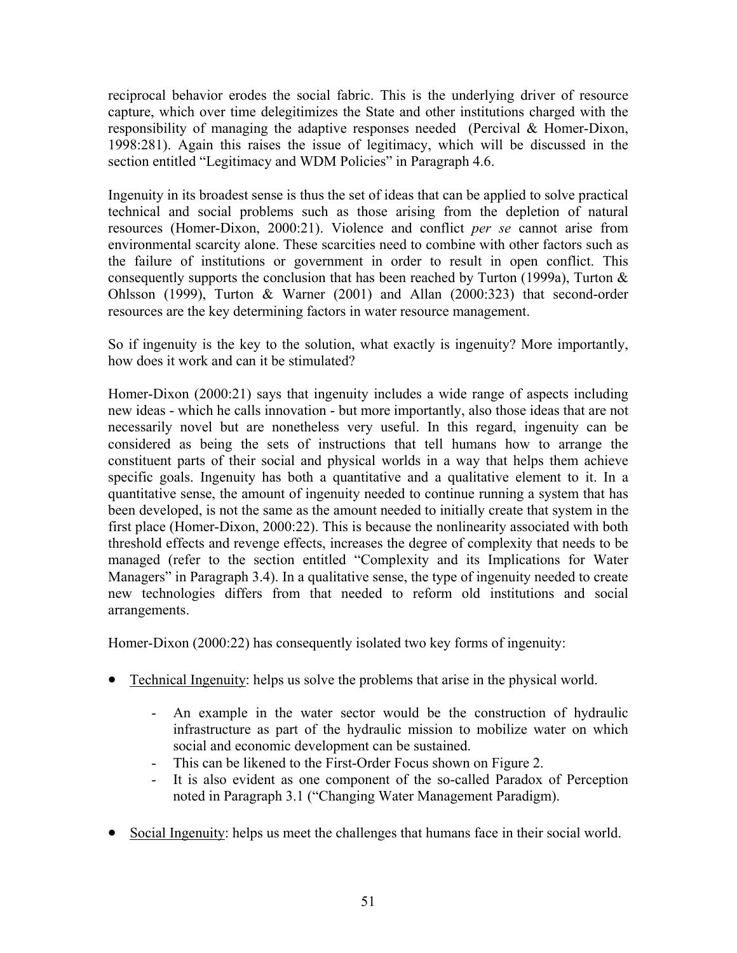reciprocal behavior erodes the social fabric. This is the underlying driver of resource capture, which over time delegitimizes the State and other institutions charged with the responsibility of managing the adaptive responses needed (Percival & Homer-Dixon, 1998:281). Again this raises the issue of legitimacy, which will be discussed in the section entitled "Legitimacy and WDM Policies" in Paragraph 4.6.

Ingenuity in its broadest sense is thus the set of ideas that can be applied to solve practical technical and social problems such as those arising from the depletion of natural resources (Homer-Dixon, 2000:21). Violence and conflict *per se* cannot arise from environmental scarcity alone. These scarcities need to combine with other factors such as the failure of institutions or government in order to result in open conflict. This consequently supports the conclusion that has been reached by Turton (1999a), Turton  $\&$ Ohlsson (1999), Turton & Warner (2001) and Allan (2000:323) that second-order resources are the key determining factors in water resource management.

So if ingenuity is the key to the solution, what exactly is ingenuity? More importantly, how does it work and can it be stimulated?

Homer-Dixon (2000:21) says that ingenuity includes a wide range of aspects including new ideas - which he calls innovation - but more importantly, also those ideas that are not necessarily novel but are nonetheless very useful. In this regard, ingenuity can be considered as being the sets of instructions that tell humans how to arrange the constituent parts of their social and physical worlds in a way that helps them achieve specific goals. Ingenuity has both a quantitative and a qualitative element to it. In a quantitative sense, the amount of ingenuity needed to continue running a system that has been developed, is not the same as the amount needed to initially create that system in the first place (Homer-Dixon, 2000:22). This is because the nonlinearity associated with both threshold effects and revenge effects, increases the degree of complexity that needs to be managed (refer to the section entitled "Complexity and its Implications for Water Managers" in Paragraph 3.4). In a qualitative sense, the type of ingenuity needed to create new technologies differs from that needed to reform old institutions and social arrangements.

Homer-Dixon (2000:22) has consequently isolated two key forms of ingenuity:

- Technical Ingenuity: helps us solve the problems that arise in the physical world.
	- An example in the water sector would be the construction of hydraulic infrastructure as part of the hydraulic mission to mobilize water on which social and economic development can be sustained.
	- This can be likened to the First-Order Focus shown on Figure 2.
	- It is also evident as one component of the so-called Paradox of Perception noted in Paragraph 3.1 ("Changing Water Management Paradigm).
- Social Ingenuity: helps us meet the challenges that humans face in their social world.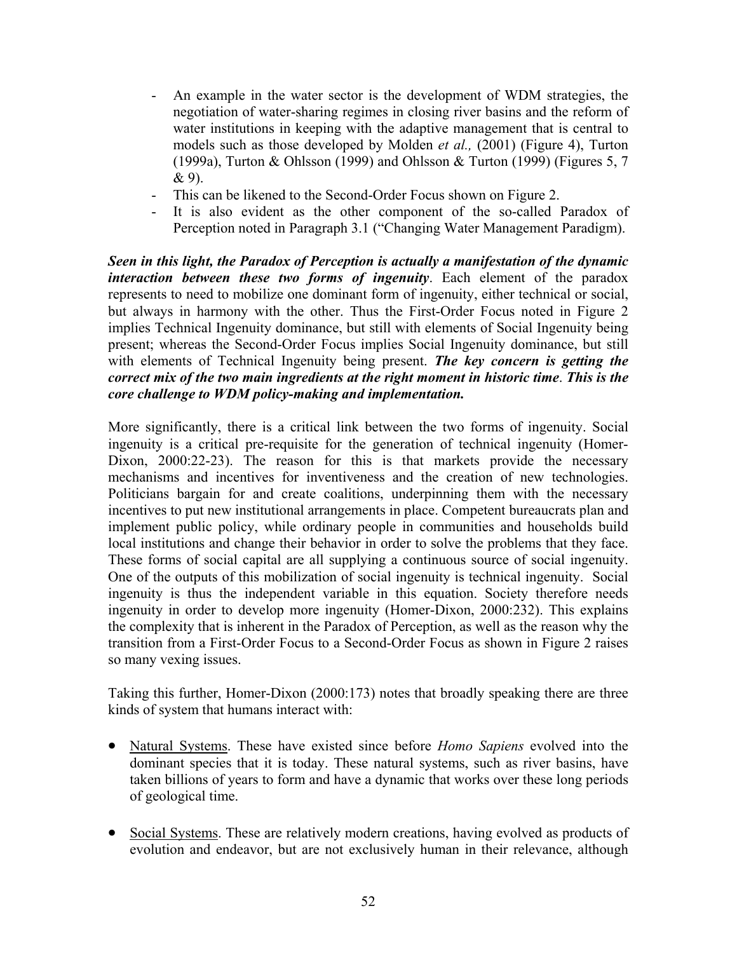- An example in the water sector is the development of WDM strategies, the negotiation of water-sharing regimes in closing river basins and the reform of water institutions in keeping with the adaptive management that is central to models such as those developed by Molden *et al.,* (2001) (Figure 4), Turton (1999a), Turton & Ohlsson (1999) and Ohlsson & Turton (1999) (Figures 5, 7  $& 9$ ).
- This can be likened to the Second-Order Focus shown on Figure 2.
- It is also evident as the other component of the so-called Paradox of Perception noted in Paragraph 3.1 ("Changing Water Management Paradigm).

*Seen in this light, the Paradox of Perception is actually a manifestation of the dynamic interaction between these two forms of ingenuity*. Each element of the paradox represents to need to mobilize one dominant form of ingenuity, either technical or social, but always in harmony with the other. Thus the First-Order Focus noted in Figure 2 implies Technical Ingenuity dominance, but still with elements of Social Ingenuity being present; whereas the Second-Order Focus implies Social Ingenuity dominance, but still with elements of Technical Ingenuity being present. *The key concern is getting the correct mix of the two main ingredients at the right moment in historic time*. *This is the core challenge to WDM policy-making and implementation.* 

More significantly, there is a critical link between the two forms of ingenuity. Social ingenuity is a critical pre-requisite for the generation of technical ingenuity (Homer-Dixon, 2000:22-23). The reason for this is that markets provide the necessary mechanisms and incentives for inventiveness and the creation of new technologies. Politicians bargain for and create coalitions, underpinning them with the necessary incentives to put new institutional arrangements in place. Competent bureaucrats plan and implement public policy, while ordinary people in communities and households build local institutions and change their behavior in order to solve the problems that they face. These forms of social capital are all supplying a continuous source of social ingenuity. One of the outputs of this mobilization of social ingenuity is technical ingenuity. Social ingenuity is thus the independent variable in this equation. Society therefore needs ingenuity in order to develop more ingenuity (Homer-Dixon, 2000:232). This explains the complexity that is inherent in the Paradox of Perception, as well as the reason why the transition from a First-Order Focus to a Second-Order Focus as shown in Figure 2 raises so many vexing issues.

Taking this further, Homer-Dixon (2000:173) notes that broadly speaking there are three kinds of system that humans interact with:

- Natural Systems. These have existed since before *Homo Sapiens* evolved into the dominant species that it is today. These natural systems, such as river basins, have taken billions of years to form and have a dynamic that works over these long periods of geological time.
- Social Systems. These are relatively modern creations, having evolved as products of evolution and endeavor, but are not exclusively human in their relevance, although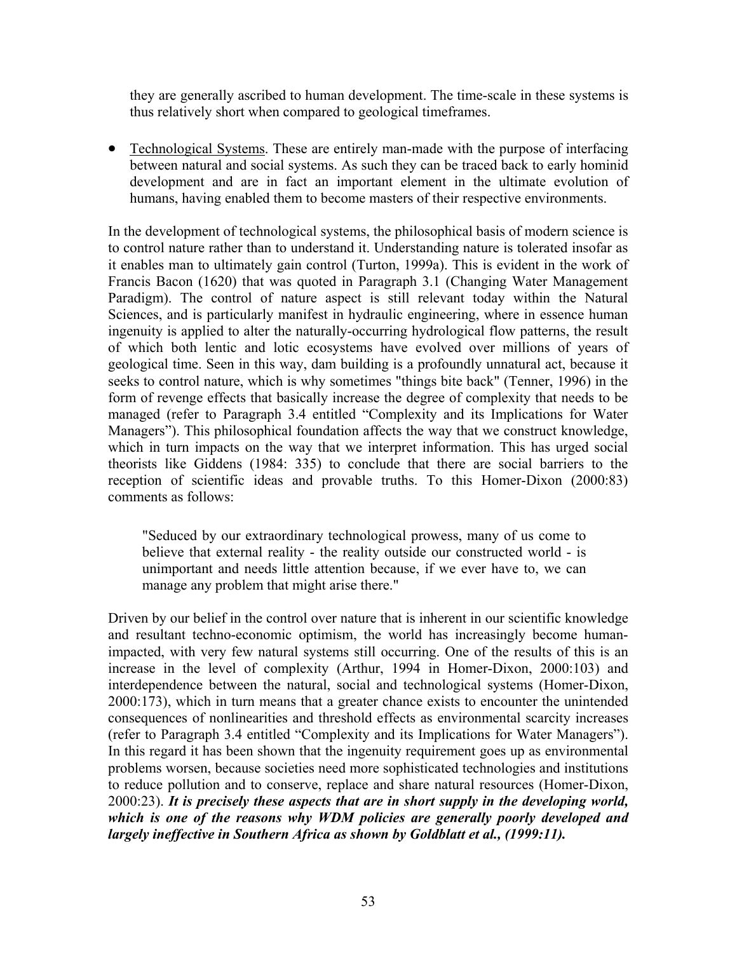they are generally ascribed to human development. The time-scale in these systems is thus relatively short when compared to geological timeframes.

• Technological Systems. These are entirely man-made with the purpose of interfacing between natural and social systems. As such they can be traced back to early hominid development and are in fact an important element in the ultimate evolution of humans, having enabled them to become masters of their respective environments.

In the development of technological systems, the philosophical basis of modern science is to control nature rather than to understand it. Understanding nature is tolerated insofar as it enables man to ultimately gain control (Turton, 1999a). This is evident in the work of Francis Bacon (1620) that was quoted in Paragraph 3.1 (Changing Water Management Paradigm). The control of nature aspect is still relevant today within the Natural Sciences, and is particularly manifest in hydraulic engineering, where in essence human ingenuity is applied to alter the naturally-occurring hydrological flow patterns, the result of which both lentic and lotic ecosystems have evolved over millions of years of geological time. Seen in this way, dam building is a profoundly unnatural act, because it seeks to control nature, which is why sometimes "things bite back" (Tenner, 1996) in the form of revenge effects that basically increase the degree of complexity that needs to be managed (refer to Paragraph 3.4 entitled "Complexity and its Implications for Water Managers"). This philosophical foundation affects the way that we construct knowledge, which in turn impacts on the way that we interpret information. This has urged social theorists like Giddens (1984: 335) to conclude that there are social barriers to the reception of scientific ideas and provable truths. To this Homer-Dixon (2000:83) comments as follows:

"Seduced by our extraordinary technological prowess, many of us come to believe that external reality - the reality outside our constructed world - is unimportant and needs little attention because, if we ever have to, we can manage any problem that might arise there."

Driven by our belief in the control over nature that is inherent in our scientific knowledge and resultant techno-economic optimism, the world has increasingly become humanimpacted, with very few natural systems still occurring. One of the results of this is an increase in the level of complexity (Arthur, 1994 in Homer-Dixon, 2000:103) and interdependence between the natural, social and technological systems (Homer-Dixon, 2000:173), which in turn means that a greater chance exists to encounter the unintended consequences of nonlinearities and threshold effects as environmental scarcity increases (refer to Paragraph 3.4 entitled "Complexity and its Implications for Water Managers"). In this regard it has been shown that the ingenuity requirement goes up as environmental problems worsen, because societies need more sophisticated technologies and institutions to reduce pollution and to conserve, replace and share natural resources (Homer-Dixon, 2000:23). *It is precisely these aspects that are in short supply in the developing world, which is one of the reasons why WDM policies are generally poorly developed and largely ineffective in Southern Africa as shown by Goldblatt et al., (1999:11).*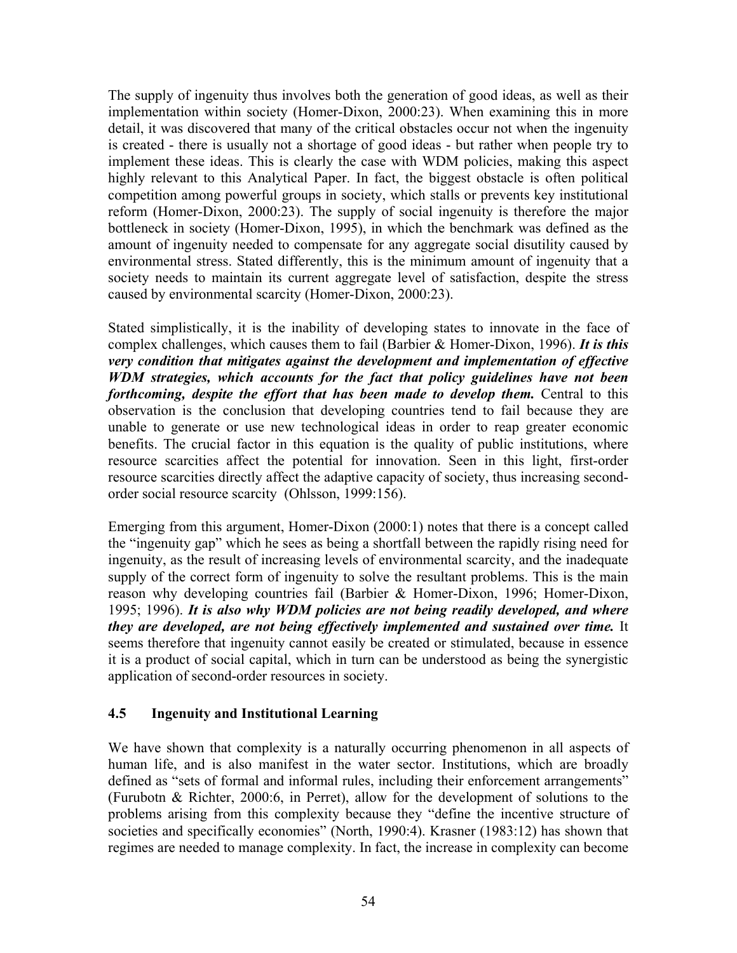The supply of ingenuity thus involves both the generation of good ideas, as well as their implementation within society (Homer-Dixon, 2000:23). When examining this in more detail, it was discovered that many of the critical obstacles occur not when the ingenuity is created - there is usually not a shortage of good ideas - but rather when people try to implement these ideas. This is clearly the case with WDM policies, making this aspect highly relevant to this Analytical Paper. In fact, the biggest obstacle is often political competition among powerful groups in society, which stalls or prevents key institutional reform (Homer-Dixon, 2000:23). The supply of social ingenuity is therefore the major bottleneck in society (Homer-Dixon, 1995), in which the benchmark was defined as the amount of ingenuity needed to compensate for any aggregate social disutility caused by environmental stress. Stated differently, this is the minimum amount of ingenuity that a society needs to maintain its current aggregate level of satisfaction, despite the stress caused by environmental scarcity (Homer-Dixon, 2000:23).

Stated simplistically, it is the inability of developing states to innovate in the face of complex challenges, which causes them to fail (Barbier & Homer-Dixon, 1996). *It is this very condition that mitigates against the development and implementation of effective WDM strategies, which accounts for the fact that policy guidelines have not been forthcoming, despite the effort that has been made to develop them.* Central to this observation is the conclusion that developing countries tend to fail because they are unable to generate or use new technological ideas in order to reap greater economic benefits. The crucial factor in this equation is the quality of public institutions, where resource scarcities affect the potential for innovation. Seen in this light, first-order resource scarcities directly affect the adaptive capacity of society, thus increasing secondorder social resource scarcity (Ohlsson, 1999:156).

Emerging from this argument, Homer-Dixon (2000:1) notes that there is a concept called the "ingenuity gap" which he sees as being a shortfall between the rapidly rising need for ingenuity, as the result of increasing levels of environmental scarcity, and the inadequate supply of the correct form of ingenuity to solve the resultant problems. This is the main reason why developing countries fail (Barbier & Homer-Dixon, 1996; Homer-Dixon, 1995; 1996). *It is also why WDM policies are not being readily developed, and where they are developed, are not being effectively implemented and sustained over time.* It seems therefore that ingenuity cannot easily be created or stimulated, because in essence it is a product of social capital, which in turn can be understood as being the synergistic application of second-order resources in society.

## **4.5 Ingenuity and Institutional Learning**

We have shown that complexity is a naturally occurring phenomenon in all aspects of human life, and is also manifest in the water sector. Institutions, which are broadly defined as "sets of formal and informal rules, including their enforcement arrangements" (Furubotn & Richter, 2000:6, in Perret), allow for the development of solutions to the problems arising from this complexity because they "define the incentive structure of societies and specifically economies" (North, 1990:4). Krasner (1983:12) has shown that regimes are needed to manage complexity. In fact, the increase in complexity can become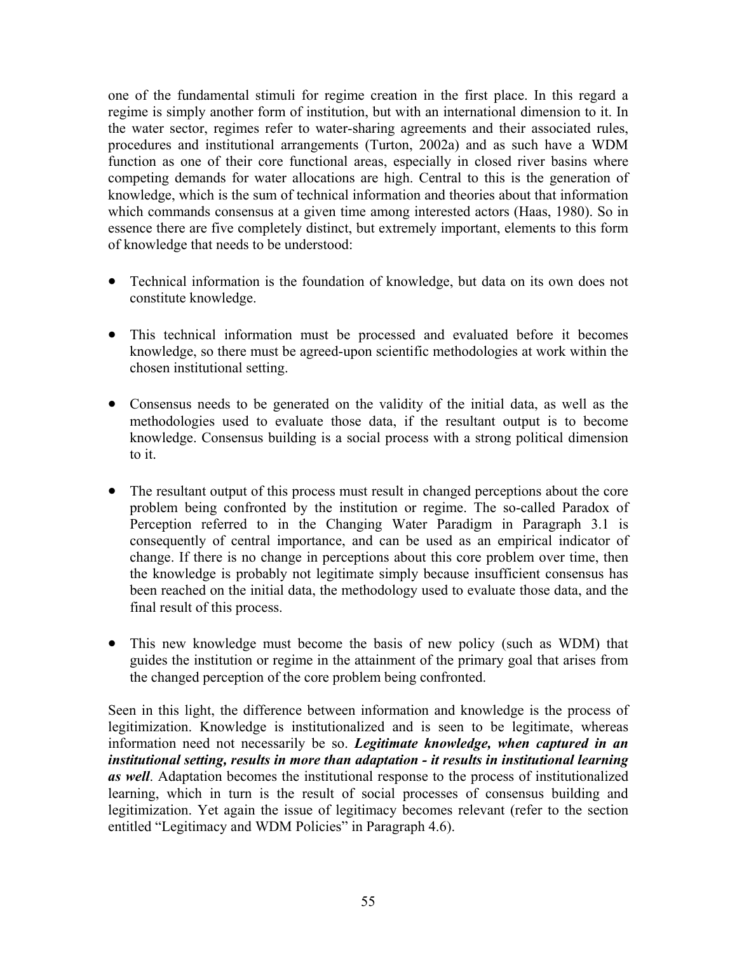one of the fundamental stimuli for regime creation in the first place. In this regard a regime is simply another form of institution, but with an international dimension to it. In the water sector, regimes refer to water-sharing agreements and their associated rules, procedures and institutional arrangements (Turton, 2002a) and as such have a WDM function as one of their core functional areas, especially in closed river basins where competing demands for water allocations are high. Central to this is the generation of knowledge, which is the sum of technical information and theories about that information which commands consensus at a given time among interested actors (Haas, 1980). So in essence there are five completely distinct, but extremely important, elements to this form of knowledge that needs to be understood:

- Technical information is the foundation of knowledge, but data on its own does not constitute knowledge.
- This technical information must be processed and evaluated before it becomes knowledge, so there must be agreed-upon scientific methodologies at work within the chosen institutional setting.
- Consensus needs to be generated on the validity of the initial data, as well as the methodologies used to evaluate those data, if the resultant output is to become knowledge. Consensus building is a social process with a strong political dimension to it.
- The resultant output of this process must result in changed perceptions about the core problem being confronted by the institution or regime. The so-called Paradox of Perception referred to in the Changing Water Paradigm in Paragraph 3.1 is consequently of central importance, and can be used as an empirical indicator of change. If there is no change in perceptions about this core problem over time, then the knowledge is probably not legitimate simply because insufficient consensus has been reached on the initial data, the methodology used to evaluate those data, and the final result of this process.
- This new knowledge must become the basis of new policy (such as WDM) that guides the institution or regime in the attainment of the primary goal that arises from the changed perception of the core problem being confronted.

Seen in this light, the difference between information and knowledge is the process of legitimization. Knowledge is institutionalized and is seen to be legitimate, whereas information need not necessarily be so. *Legitimate knowledge, when captured in an institutional setting, results in more than adaptation - it results in institutional learning as well*. Adaptation becomes the institutional response to the process of institutionalized learning, which in turn is the result of social processes of consensus building and legitimization. Yet again the issue of legitimacy becomes relevant (refer to the section entitled "Legitimacy and WDM Policies" in Paragraph 4.6).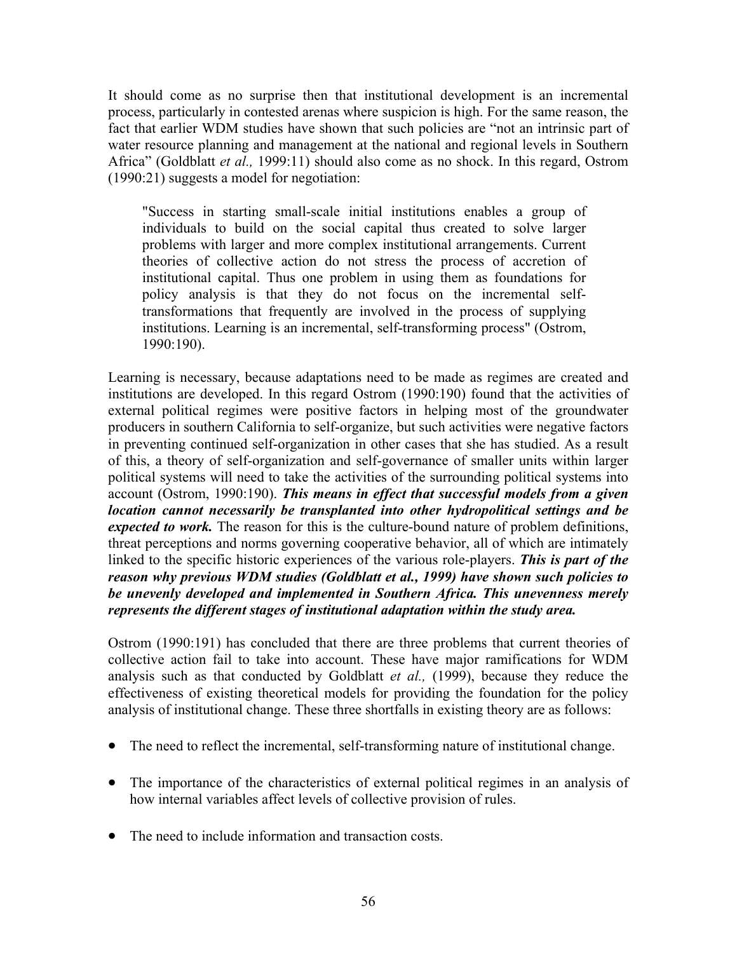It should come as no surprise then that institutional development is an incremental process, particularly in contested arenas where suspicion is high. For the same reason, the fact that earlier WDM studies have shown that such policies are "not an intrinsic part of water resource planning and management at the national and regional levels in Southern Africa" (Goldblatt *et al.,* 1999:11) should also come as no shock. In this regard, Ostrom (1990:21) suggests a model for negotiation:

"Success in starting small-scale initial institutions enables a group of individuals to build on the social capital thus created to solve larger problems with larger and more complex institutional arrangements. Current theories of collective action do not stress the process of accretion of institutional capital. Thus one problem in using them as foundations for policy analysis is that they do not focus on the incremental selftransformations that frequently are involved in the process of supplying institutions. Learning is an incremental, self-transforming process" (Ostrom, 1990:190).

Learning is necessary, because adaptations need to be made as regimes are created and institutions are developed. In this regard Ostrom (1990:190) found that the activities of external political regimes were positive factors in helping most of the groundwater producers in southern California to self-organize, but such activities were negative factors in preventing continued self-organization in other cases that she has studied. As a result of this, a theory of self-organization and self-governance of smaller units within larger political systems will need to take the activities of the surrounding political systems into account (Ostrom, 1990:190). *This means in effect that successful models from a given location cannot necessarily be transplanted into other hydropolitical settings and be expected to work*. The reason for this is the culture-bound nature of problem definitions, threat perceptions and norms governing cooperative behavior, all of which are intimately linked to the specific historic experiences of the various role-players. *This is part of the reason why previous WDM studies (Goldblatt et al., 1999) have shown such policies to be unevenly developed and implemented in Southern Africa. This unevenness merely represents the different stages of institutional adaptation within the study area.* 

Ostrom (1990:191) has concluded that there are three problems that current theories of collective action fail to take into account. These have major ramifications for WDM analysis such as that conducted by Goldblatt *et al.,* (1999), because they reduce the effectiveness of existing theoretical models for providing the foundation for the policy analysis of institutional change. These three shortfalls in existing theory are as follows:

- The need to reflect the incremental, self-transforming nature of institutional change.
- The importance of the characteristics of external political regimes in an analysis of how internal variables affect levels of collective provision of rules.
- The need to include information and transaction costs.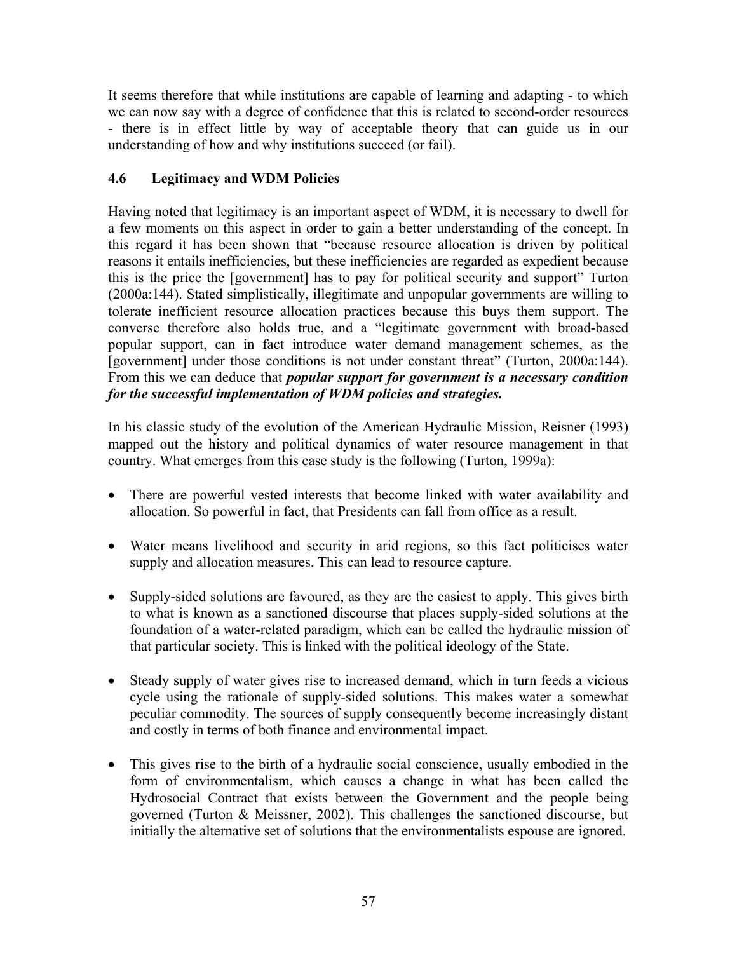It seems therefore that while institutions are capable of learning and adapting - to which we can now say with a degree of confidence that this is related to second-order resources - there is in effect little by way of acceptable theory that can guide us in our understanding of how and why institutions succeed (or fail).

# **4.6 Legitimacy and WDM Policies**

Having noted that legitimacy is an important aspect of WDM, it is necessary to dwell for a few moments on this aspect in order to gain a better understanding of the concept. In this regard it has been shown that "because resource allocation is driven by political reasons it entails inefficiencies, but these inefficiencies are regarded as expedient because this is the price the [government] has to pay for political security and support" Turton (2000a:144). Stated simplistically, illegitimate and unpopular governments are willing to tolerate inefficient resource allocation practices because this buys them support. The converse therefore also holds true, and a "legitimate government with broad-based popular support, can in fact introduce water demand management schemes, as the [government] under those conditions is not under constant threat" (Turton, 2000a:144). From this we can deduce that *popular support for government is a necessary condition for the successful implementation of WDM policies and strategies.*

In his classic study of the evolution of the American Hydraulic Mission, Reisner (1993) mapped out the history and political dynamics of water resource management in that country. What emerges from this case study is the following (Turton, 1999a):

- There are powerful vested interests that become linked with water availability and allocation. So powerful in fact, that Presidents can fall from office as a result.
- Water means livelihood and security in arid regions, so this fact politicises water supply and allocation measures. This can lead to resource capture.
- Supply-sided solutions are favoured, as they are the easiest to apply. This gives birth to what is known as a sanctioned discourse that places supply-sided solutions at the foundation of a water-related paradigm, which can be called the hydraulic mission of that particular society. This is linked with the political ideology of the State.
- Steady supply of water gives rise to increased demand, which in turn feeds a vicious cycle using the rationale of supply-sided solutions. This makes water a somewhat peculiar commodity. The sources of supply consequently become increasingly distant and costly in terms of both finance and environmental impact.
- This gives rise to the birth of a hydraulic social conscience, usually embodied in the form of environmentalism, which causes a change in what has been called the Hydrosocial Contract that exists between the Government and the people being governed (Turton & Meissner, 2002). This challenges the sanctioned discourse, but initially the alternative set of solutions that the environmentalists espouse are ignored.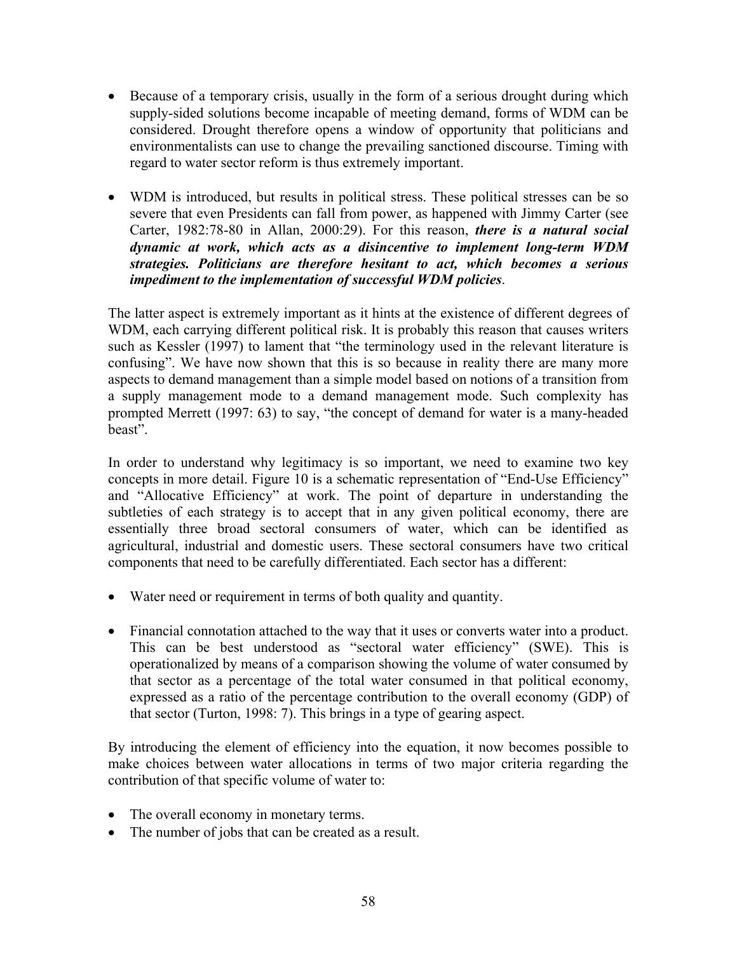- Because of a temporary crisis, usually in the form of a serious drought during which supply-sided solutions become incapable of meeting demand, forms of WDM can be considered. Drought therefore opens a window of opportunity that politicians and environmentalists can use to change the prevailing sanctioned discourse. Timing with regard to water sector reform is thus extremely important.
- WDM is introduced, but results in political stress. These political stresses can be so severe that even Presidents can fall from power, as happened with Jimmy Carter (see Carter, 1982:78-80 in Allan, 2000:29). For this reason, *there is a natural social dynamic at work, which acts as a disincentive to implement long-term WDM strategies. Politicians are therefore hesitant to act, which becomes a serious impediment to the implementation of successful WDM policies*.

The latter aspect is extremely important as it hints at the existence of different degrees of WDM, each carrying different political risk. It is probably this reason that causes writers such as Kessler (1997) to lament that "the terminology used in the relevant literature is confusing". We have now shown that this is so because in reality there are many more aspects to demand management than a simple model based on notions of a transition from a supply management mode to a demand management mode. Such complexity has prompted Merrett (1997: 63) to say, "the concept of demand for water is a many-headed beast".

In order to understand why legitimacy is so important, we need to examine two key concepts in more detail. Figure 10 is a schematic representation of "End-Use Efficiency" and "Allocative Efficiency" at work. The point of departure in understanding the subtleties of each strategy is to accept that in any given political economy, there are essentially three broad sectoral consumers of water, which can be identified as agricultural, industrial and domestic users. These sectoral consumers have two critical components that need to be carefully differentiated. Each sector has a different:

- Water need or requirement in terms of both quality and quantity.
- Financial connotation attached to the way that it uses or converts water into a product. This can be best understood as "sectoral water efficiency" (SWE). This is operationalized by means of a comparison showing the volume of water consumed by that sector as a percentage of the total water consumed in that political economy, expressed as a ratio of the percentage contribution to the overall economy (GDP) of that sector (Turton, 1998: 7). This brings in a type of gearing aspect.

By introducing the element of efficiency into the equation, it now becomes possible to make choices between water allocations in terms of two major criteria regarding the contribution of that specific volume of water to:

- The overall economy in monetary terms.
- The number of jobs that can be created as a result.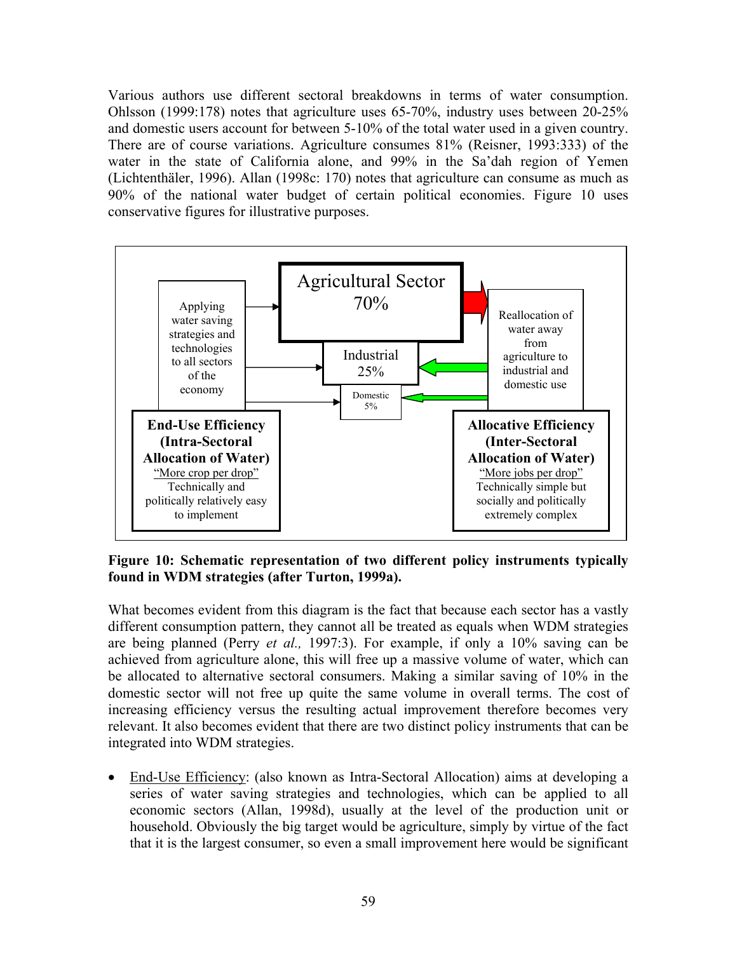Various authors use different sectoral breakdowns in terms of water consumption. Ohlsson (1999:178) notes that agriculture uses 65-70%, industry uses between 20-25% and domestic users account for between 5-10% of the total water used in a given country. There are of course variations. Agriculture consumes 81% (Reisner, 1993:333) of the water in the state of California alone, and 99% in the Sa'dah region of Yemen (Lichtenthäler, 1996). Allan (1998c: 170) notes that agriculture can consume as much as 90% of the national water budget of certain political economies. Figure 10 uses conservative figures for illustrative purposes.



**Figure 10: Schematic representation of two different policy instruments typically found in WDM strategies (after Turton, 1999a).** 

What becomes evident from this diagram is the fact that because each sector has a vastly different consumption pattern, they cannot all be treated as equals when WDM strategies are being planned (Perry *et al.,* 1997:3). For example, if only a 10% saving can be achieved from agriculture alone, this will free up a massive volume of water, which can be allocated to alternative sectoral consumers. Making a similar saving of 10% in the domestic sector will not free up quite the same volume in overall terms. The cost of increasing efficiency versus the resulting actual improvement therefore becomes very relevant. It also becomes evident that there are two distinct policy instruments that can be integrated into WDM strategies.

• End-Use Efficiency: (also known as Intra-Sectoral Allocation) aims at developing a series of water saving strategies and technologies, which can be applied to all economic sectors (Allan, 1998d), usually at the level of the production unit or household. Obviously the big target would be agriculture, simply by virtue of the fact that it is the largest consumer, so even a small improvement here would be significant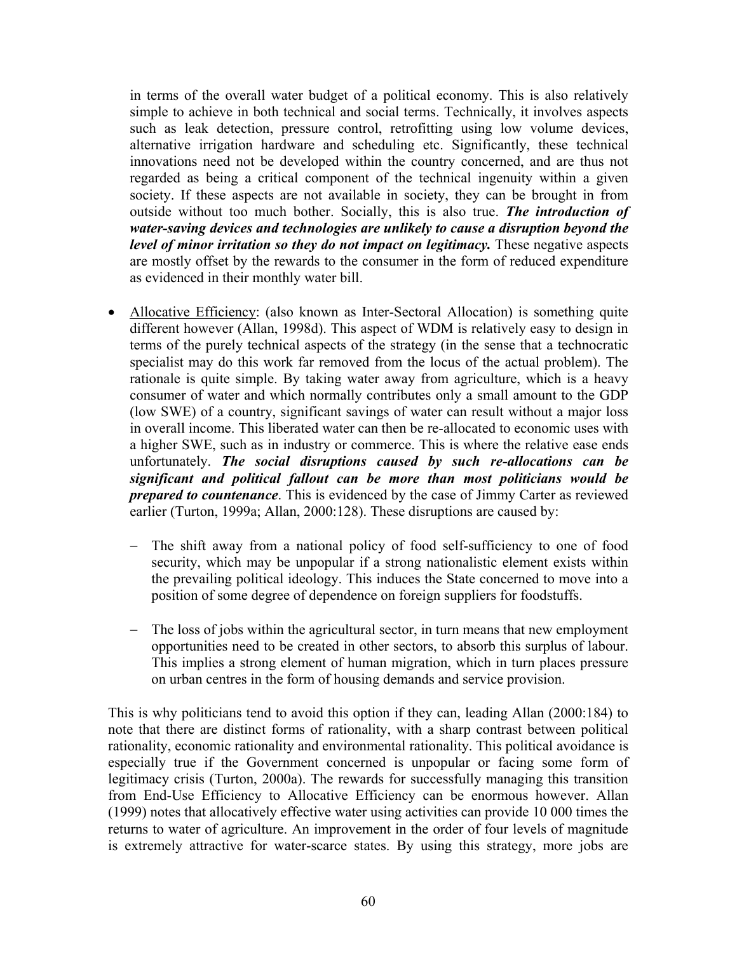in terms of the overall water budget of a political economy. This is also relatively simple to achieve in both technical and social terms. Technically, it involves aspects such as leak detection, pressure control, retrofitting using low volume devices, alternative irrigation hardware and scheduling etc. Significantly, these technical innovations need not be developed within the country concerned, and are thus not regarded as being a critical component of the technical ingenuity within a given society. If these aspects are not available in society, they can be brought in from outside without too much bother. Socially, this is also true. *The introduction of water-saving devices and technologies are unlikely to cause a disruption beyond the level of minor irritation so they do not impact on legitimacy.* These negative aspects are mostly offset by the rewards to the consumer in the form of reduced expenditure as evidenced in their monthly water bill.

- Allocative Efficiency: (also known as Inter-Sectoral Allocation) is something quite different however (Allan, 1998d). This aspect of WDM is relatively easy to design in terms of the purely technical aspects of the strategy (in the sense that a technocratic specialist may do this work far removed from the locus of the actual problem). The rationale is quite simple. By taking water away from agriculture, which is a heavy consumer of water and which normally contributes only a small amount to the GDP (low SWE) of a country, significant savings of water can result without a major loss in overall income. This liberated water can then be re-allocated to economic uses with a higher SWE, such as in industry or commerce. This is where the relative ease ends unfortunately. *The social disruptions caused by such re-allocations can be significant and political fallout can be more than most politicians would be prepared to countenance*. This is evidenced by the case of Jimmy Carter as reviewed earlier (Turton, 1999a; Allan, 2000:128). These disruptions are caused by:
	- − The shift away from a national policy of food self-sufficiency to one of food security, which may be unpopular if a strong nationalistic element exists within the prevailing political ideology. This induces the State concerned to move into a position of some degree of dependence on foreign suppliers for foodstuffs.
	- − The loss of jobs within the agricultural sector, in turn means that new employment opportunities need to be created in other sectors, to absorb this surplus of labour. This implies a strong element of human migration, which in turn places pressure on urban centres in the form of housing demands and service provision.

This is why politicians tend to avoid this option if they can, leading Allan (2000:184) to note that there are distinct forms of rationality, with a sharp contrast between political rationality, economic rationality and environmental rationality. This political avoidance is especially true if the Government concerned is unpopular or facing some form of legitimacy crisis (Turton, 2000a). The rewards for successfully managing this transition from End-Use Efficiency to Allocative Efficiency can be enormous however. Allan (1999) notes that allocatively effective water using activities can provide 10 000 times the returns to water of agriculture. An improvement in the order of four levels of magnitude is extremely attractive for water-scarce states. By using this strategy, more jobs are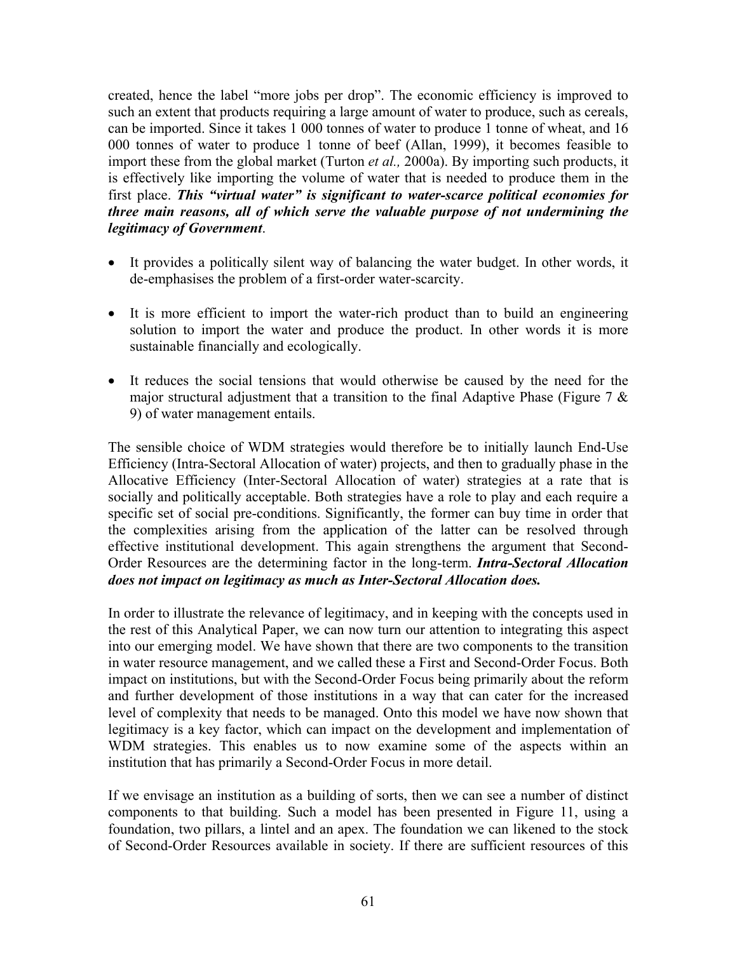created, hence the label "more jobs per drop". The economic efficiency is improved to such an extent that products requiring a large amount of water to produce, such as cereals, can be imported. Since it takes 1 000 tonnes of water to produce 1 tonne of wheat, and 16 000 tonnes of water to produce 1 tonne of beef (Allan, 1999), it becomes feasible to import these from the global market (Turton *et al.,* 2000a). By importing such products, it is effectively like importing the volume of water that is needed to produce them in the first place. *This "virtual water" is significant to water-scarce political economies for three main reasons, all of which serve the valuable purpose of not undermining the legitimacy of Government*.

- It provides a politically silent way of balancing the water budget. In other words, it de-emphasises the problem of a first-order water-scarcity.
- It is more efficient to import the water-rich product than to build an engineering solution to import the water and produce the product. In other words it is more sustainable financially and ecologically.
- It reduces the social tensions that would otherwise be caused by the need for the major structural adjustment that a transition to the final Adaptive Phase (Figure 7  $\&$ 9) of water management entails.

The sensible choice of WDM strategies would therefore be to initially launch End-Use Efficiency (Intra-Sectoral Allocation of water) projects, and then to gradually phase in the Allocative Efficiency (Inter-Sectoral Allocation of water) strategies at a rate that is socially and politically acceptable. Both strategies have a role to play and each require a specific set of social pre-conditions. Significantly, the former can buy time in order that the complexities arising from the application of the latter can be resolved through effective institutional development. This again strengthens the argument that Second-Order Resources are the determining factor in the long-term. *Intra-Sectoral Allocation does not impact on legitimacy as much as Inter-Sectoral Allocation does.* 

In order to illustrate the relevance of legitimacy, and in keeping with the concepts used in the rest of this Analytical Paper, we can now turn our attention to integrating this aspect into our emerging model. We have shown that there are two components to the transition in water resource management, and we called these a First and Second-Order Focus. Both impact on institutions, but with the Second-Order Focus being primarily about the reform and further development of those institutions in a way that can cater for the increased level of complexity that needs to be managed. Onto this model we have now shown that legitimacy is a key factor, which can impact on the development and implementation of WDM strategies. This enables us to now examine some of the aspects within an institution that has primarily a Second-Order Focus in more detail.

If we envisage an institution as a building of sorts, then we can see a number of distinct components to that building. Such a model has been presented in Figure 11, using a foundation, two pillars, a lintel and an apex. The foundation we can likened to the stock of Second-Order Resources available in society. If there are sufficient resources of this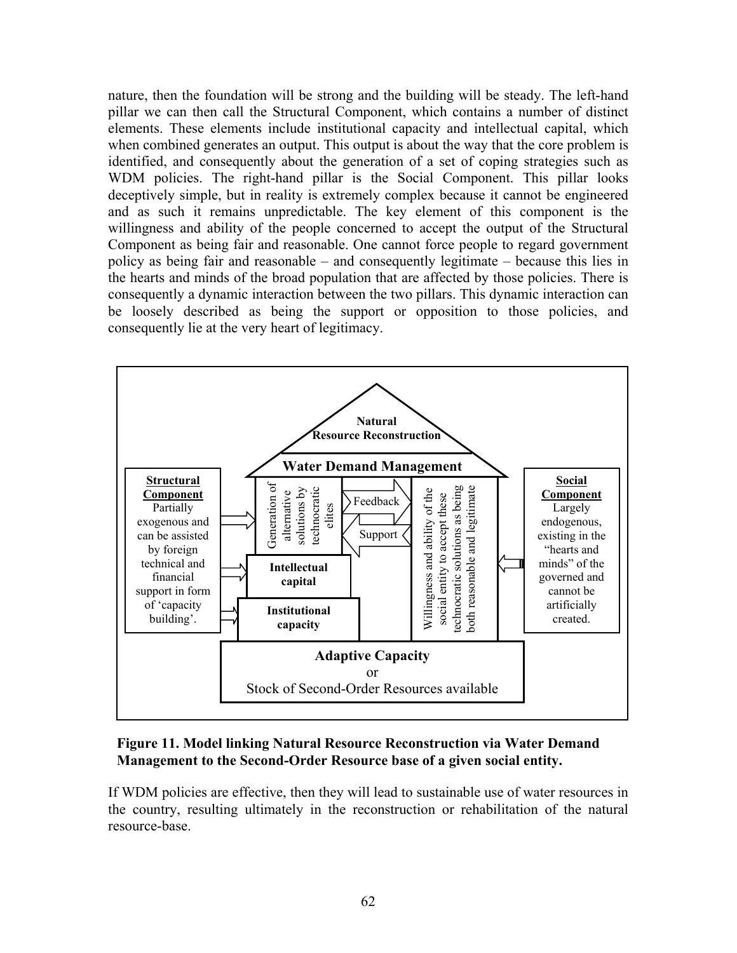nature, then the foundation will be strong and the building will be steady. The left-hand pillar we can then call the Structural Component, which contains a number of distinct elements. These elements include institutional capacity and intellectual capital, which when combined generates an output. This output is about the way that the core problem is identified, and consequently about the generation of a set of coping strategies such as WDM policies. The right-hand pillar is the Social Component. This pillar looks deceptively simple, but in reality is extremely complex because it cannot be engineered and as such it remains unpredictable. The key element of this component is the willingness and ability of the people concerned to accept the output of the Structural Component as being fair and reasonable. One cannot force people to regard government policy as being fair and reasonable – and consequently legitimate – because this lies in the hearts and minds of the broad population that are affected by those policies. There is consequently a dynamic interaction between the two pillars. This dynamic interaction can be loosely described as being the support or opposition to those policies, and consequently lie at the very heart of legitimacy.



### **Figure 11. Model linking Natural Resource Reconstruction via Water Demand Management to the Second-Order Resource base of a given social entity.**

If WDM policies are effective, then they will lead to sustainable use of water resources in the country, resulting ultimately in the reconstruction or rehabilitation of the natural resource-base.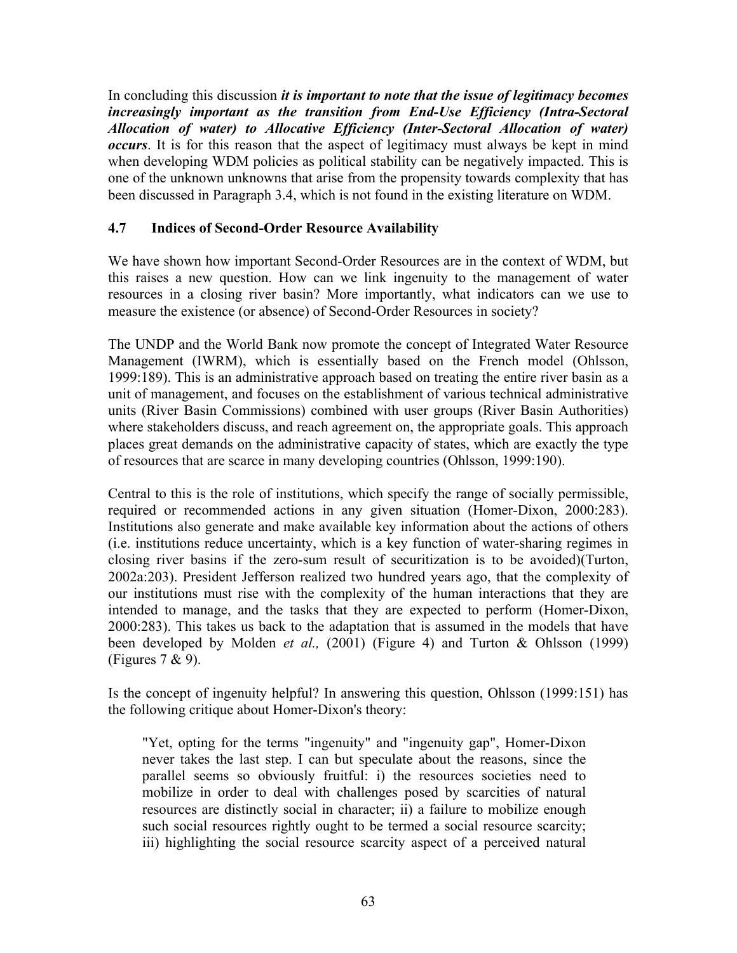In concluding this discussion *it is important to note that the issue of legitimacy becomes increasingly important as the transition from End-Use Efficiency (Intra-Sectoral Allocation of water) to Allocative Efficiency (Inter-Sectoral Allocation of water) occurs*. It is for this reason that the aspect of legitimacy must always be kept in mind when developing WDM policies as political stability can be negatively impacted. This is one of the unknown unknowns that arise from the propensity towards complexity that has been discussed in Paragraph 3.4, which is not found in the existing literature on WDM.

## **4.7 Indices of Second-Order Resource Availability**

We have shown how important Second-Order Resources are in the context of WDM, but this raises a new question. How can we link ingenuity to the management of water resources in a closing river basin? More importantly, what indicators can we use to measure the existence (or absence) of Second-Order Resources in society?

The UNDP and the World Bank now promote the concept of Integrated Water Resource Management (IWRM), which is essentially based on the French model (Ohlsson, 1999:189). This is an administrative approach based on treating the entire river basin as a unit of management, and focuses on the establishment of various technical administrative units (River Basin Commissions) combined with user groups (River Basin Authorities) where stakeholders discuss, and reach agreement on, the appropriate goals. This approach places great demands on the administrative capacity of states, which are exactly the type of resources that are scarce in many developing countries (Ohlsson, 1999:190).

Central to this is the role of institutions, which specify the range of socially permissible, required or recommended actions in any given situation (Homer-Dixon, 2000:283). Institutions also generate and make available key information about the actions of others (i.e. institutions reduce uncertainty, which is a key function of water-sharing regimes in closing river basins if the zero-sum result of securitization is to be avoided)(Turton, 2002a:203). President Jefferson realized two hundred years ago, that the complexity of our institutions must rise with the complexity of the human interactions that they are intended to manage, and the tasks that they are expected to perform (Homer-Dixon, 2000:283). This takes us back to the adaptation that is assumed in the models that have been developed by Molden *et al.,* (2001) (Figure 4) and Turton & Ohlsson (1999) (Figures  $7 & 9$ ).

Is the concept of ingenuity helpful? In answering this question, Ohlsson (1999:151) has the following critique about Homer-Dixon's theory:

"Yet, opting for the terms "ingenuity" and "ingenuity gap", Homer-Dixon never takes the last step. I can but speculate about the reasons, since the parallel seems so obviously fruitful: i) the resources societies need to mobilize in order to deal with challenges posed by scarcities of natural resources are distinctly social in character; ii) a failure to mobilize enough such social resources rightly ought to be termed a social resource scarcity; iii) highlighting the social resource scarcity aspect of a perceived natural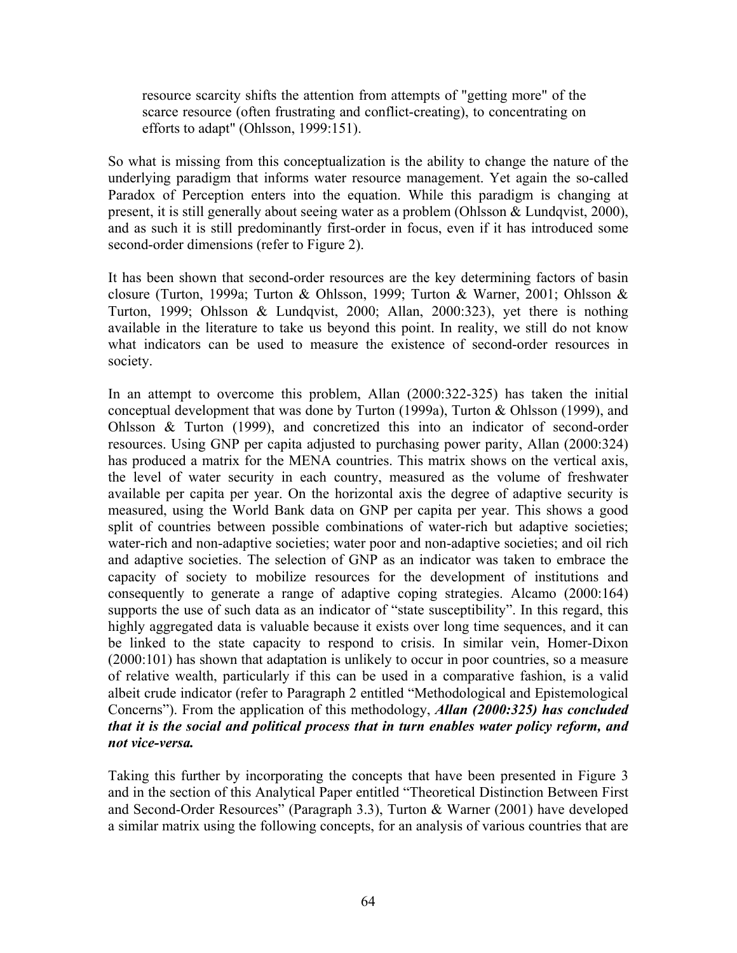resource scarcity shifts the attention from attempts of "getting more" of the scarce resource (often frustrating and conflict-creating), to concentrating on efforts to adapt" (Ohlsson, 1999:151).

So what is missing from this conceptualization is the ability to change the nature of the underlying paradigm that informs water resource management. Yet again the so-called Paradox of Perception enters into the equation. While this paradigm is changing at present, it is still generally about seeing water as a problem (Ohlsson & Lundqvist, 2000), and as such it is still predominantly first-order in focus, even if it has introduced some second-order dimensions (refer to Figure 2).

It has been shown that second-order resources are the key determining factors of basin closure (Turton, 1999a; Turton & Ohlsson, 1999; Turton & Warner, 2001; Ohlsson & Turton, 1999; Ohlsson & Lundqvist, 2000; Allan, 2000:323), yet there is nothing available in the literature to take us beyond this point. In reality, we still do not know what indicators can be used to measure the existence of second-order resources in society.

In an attempt to overcome this problem, Allan (2000:322-325) has taken the initial conceptual development that was done by Turton (1999a), Turton & Ohlsson (1999), and Ohlsson & Turton (1999), and concretized this into an indicator of second-order resources. Using GNP per capita adjusted to purchasing power parity, Allan (2000:324) has produced a matrix for the MENA countries. This matrix shows on the vertical axis, the level of water security in each country, measured as the volume of freshwater available per capita per year. On the horizontal axis the degree of adaptive security is measured, using the World Bank data on GNP per capita per year. This shows a good split of countries between possible combinations of water-rich but adaptive societies; water-rich and non-adaptive societies; water poor and non-adaptive societies; and oil rich and adaptive societies. The selection of GNP as an indicator was taken to embrace the capacity of society to mobilize resources for the development of institutions and consequently to generate a range of adaptive coping strategies. Alcamo (2000:164) supports the use of such data as an indicator of "state susceptibility". In this regard, this highly aggregated data is valuable because it exists over long time sequences, and it can be linked to the state capacity to respond to crisis. In similar vein, Homer-Dixon (2000:101) has shown that adaptation is unlikely to occur in poor countries, so a measure of relative wealth, particularly if this can be used in a comparative fashion, is a valid albeit crude indicator (refer to Paragraph 2 entitled "Methodological and Epistemological Concerns"). From the application of this methodology, *Allan (2000:325) has concluded that it is the social and political process that in turn enables water policy reform, and not vice-versa.* 

Taking this further by incorporating the concepts that have been presented in Figure 3 and in the section of this Analytical Paper entitled "Theoretical Distinction Between First and Second-Order Resources" (Paragraph 3.3), Turton & Warner (2001) have developed a similar matrix using the following concepts, for an analysis of various countries that are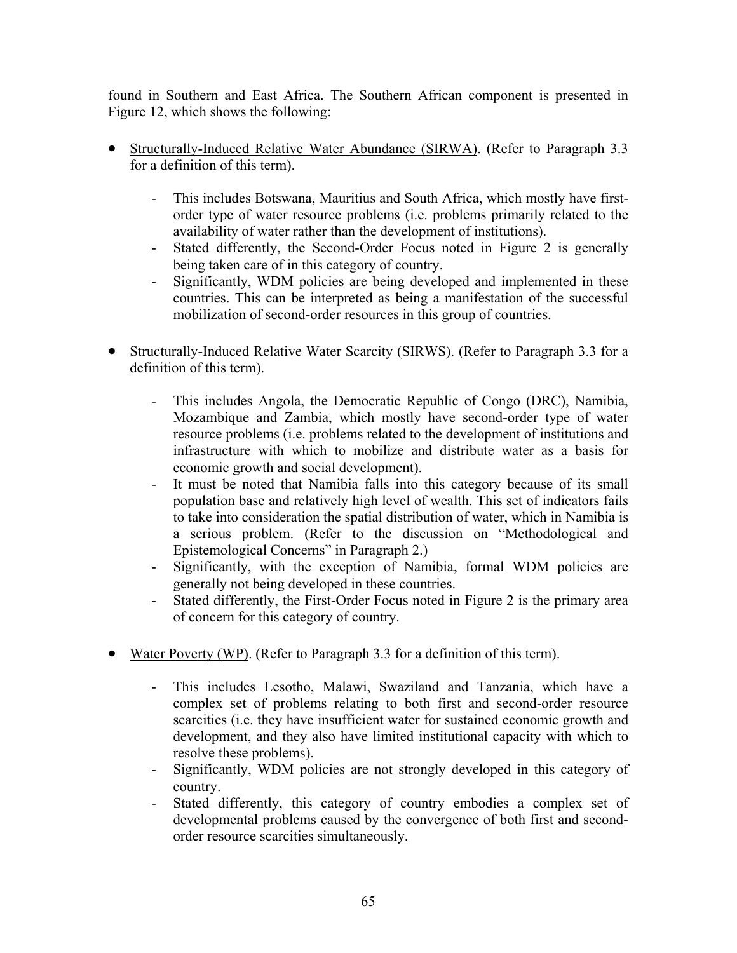found in Southern and East Africa. The Southern African component is presented in Figure 12, which shows the following:

- Structurally-Induced Relative Water Abundance (SIRWA). (Refer to Paragraph 3.3 for a definition of this term).
	- This includes Botswana, Mauritius and South Africa, which mostly have firstorder type of water resource problems (i.e. problems primarily related to the availability of water rather than the development of institutions).
	- Stated differently, the Second-Order Focus noted in Figure 2 is generally being taken care of in this category of country.
	- Significantly, WDM policies are being developed and implemented in these countries. This can be interpreted as being a manifestation of the successful mobilization of second-order resources in this group of countries.
- Structurally-Induced Relative Water Scarcity (SIRWS). (Refer to Paragraph 3.3 for a definition of this term).
	- This includes Angola, the Democratic Republic of Congo (DRC), Namibia, Mozambique and Zambia, which mostly have second-order type of water resource problems (i.e. problems related to the development of institutions and infrastructure with which to mobilize and distribute water as a basis for economic growth and social development).
	- It must be noted that Namibia falls into this category because of its small population base and relatively high level of wealth. This set of indicators fails to take into consideration the spatial distribution of water, which in Namibia is a serious problem. (Refer to the discussion on "Methodological and Epistemological Concerns" in Paragraph 2.)
	- Significantly, with the exception of Namibia, formal WDM policies are generally not being developed in these countries.
	- Stated differently, the First-Order Focus noted in Figure 2 is the primary area of concern for this category of country.
- Water Poverty (WP). (Refer to Paragraph 3.3 for a definition of this term).
	- This includes Lesotho, Malawi, Swaziland and Tanzania, which have a complex set of problems relating to both first and second-order resource scarcities (i.e. they have insufficient water for sustained economic growth and development, and they also have limited institutional capacity with which to resolve these problems).
	- Significantly, WDM policies are not strongly developed in this category of country.
	- Stated differently, this category of country embodies a complex set of developmental problems caused by the convergence of both first and secondorder resource scarcities simultaneously.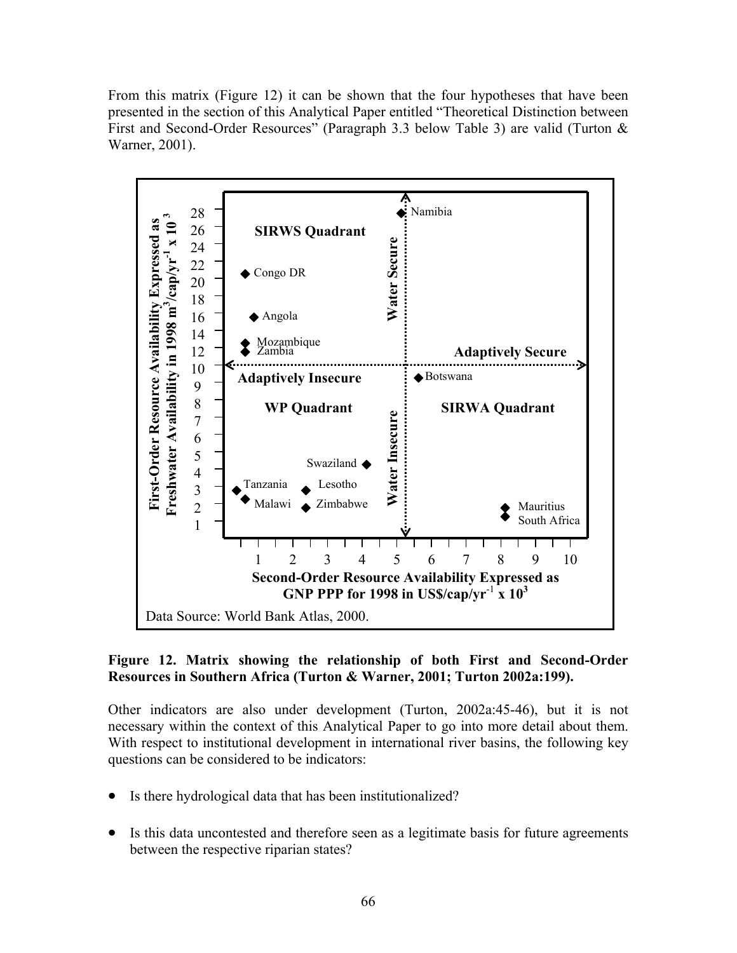From this matrix (Figure 12) it can be shown that the four hypotheses that have been presented in the section of this Analytical Paper entitled "Theoretical Distinction between First and Second-Order Resources" (Paragraph 3.3 below Table 3) are valid (Turton & Warner, 2001).



## **Figure 12. Matrix showing the relationship of both First and Second-Order Resources in Southern Africa (Turton & Warner, 2001; Turton 2002a:199).**

Other indicators are also under development (Turton, 2002a:45-46), but it is not necessary within the context of this Analytical Paper to go into more detail about them. With respect to institutional development in international river basins, the following key questions can be considered to be indicators:

- Is there hydrological data that has been institutionalized?
- $\bullet$ Is this data uncontested and therefore seen as a legitimate basis for future agreements between the respective riparian states?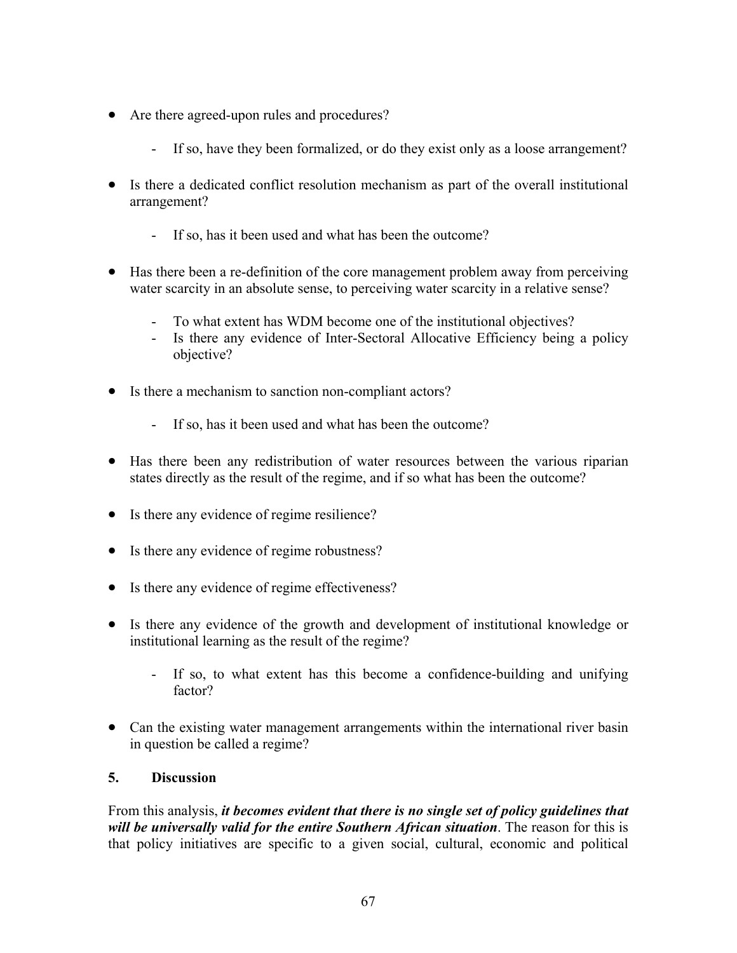- Are there agreed-upon rules and procedures?
	- If so, have they been formalized, or do they exist only as a loose arrangement?
- Is there a dedicated conflict resolution mechanism as part of the overall institutional arrangement?
	- If so, has it been used and what has been the outcome?
- Has there been a re-definition of the core management problem away from perceiving water scarcity in an absolute sense, to perceiving water scarcity in a relative sense?
	- To what extent has WDM become one of the institutional objectives?
	- Is there any evidence of Inter-Sectoral Allocative Efficiency being a policy objective?
- Is there a mechanism to sanction non-compliant actors?
	- If so, has it been used and what has been the outcome?
- Has there been any redistribution of water resources between the various riparian states directly as the result of the regime, and if so what has been the outcome?
- Is there any evidence of regime resilience?
- Is there any evidence of regime robustness?
- Is there any evidence of regime effectiveness?
- Is there any evidence of the growth and development of institutional knowledge or institutional learning as the result of the regime?
	- If so, to what extent has this become a confidence-building and unifying factor?
- Can the existing water management arrangements within the international river basin in question be called a regime?

# **5. Discussion**

From this analysis, *it becomes evident that there is no single set of policy guidelines that will be universally valid for the entire Southern African situation*. The reason for this is that policy initiatives are specific to a given social, cultural, economic and political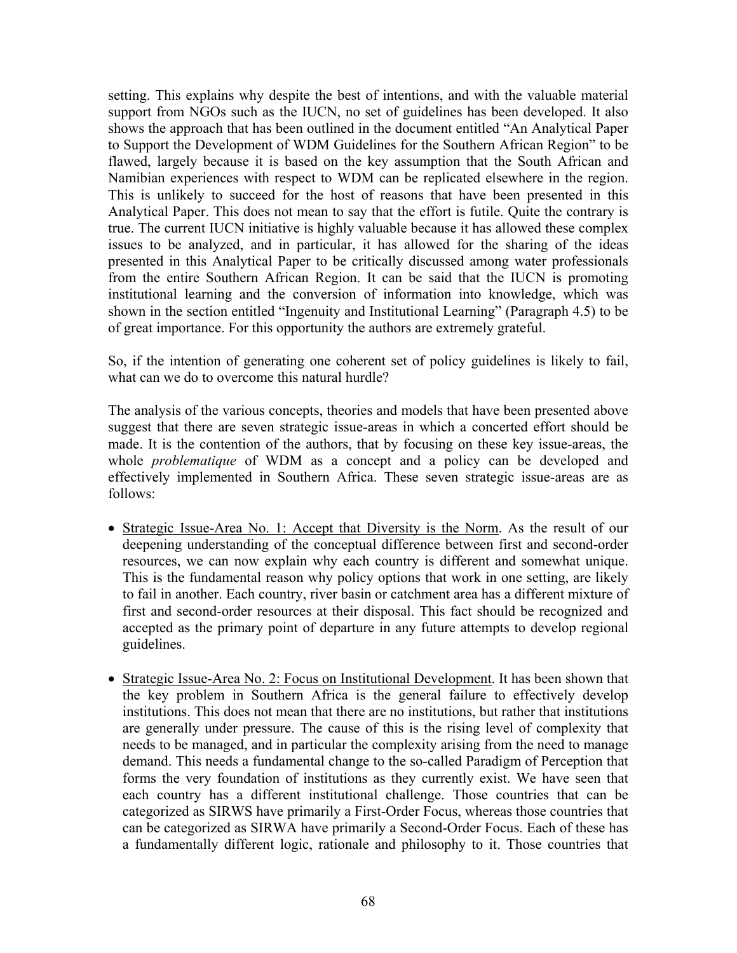setting. This explains why despite the best of intentions, and with the valuable material support from NGOs such as the IUCN, no set of guidelines has been developed. It also shows the approach that has been outlined in the document entitled "An Analytical Paper to Support the Development of WDM Guidelines for the Southern African Region" to be flawed, largely because it is based on the key assumption that the South African and Namibian experiences with respect to WDM can be replicated elsewhere in the region. This is unlikely to succeed for the host of reasons that have been presented in this Analytical Paper. This does not mean to say that the effort is futile. Quite the contrary is true. The current IUCN initiative is highly valuable because it has allowed these complex issues to be analyzed, and in particular, it has allowed for the sharing of the ideas presented in this Analytical Paper to be critically discussed among water professionals from the entire Southern African Region. It can be said that the IUCN is promoting institutional learning and the conversion of information into knowledge, which was shown in the section entitled "Ingenuity and Institutional Learning" (Paragraph 4.5) to be of great importance. For this opportunity the authors are extremely grateful.

So, if the intention of generating one coherent set of policy guidelines is likely to fail, what can we do to overcome this natural hurdle?

The analysis of the various concepts, theories and models that have been presented above suggest that there are seven strategic issue-areas in which a concerted effort should be made. It is the contention of the authors, that by focusing on these key issue-areas, the whole *problematique* of WDM as a concept and a policy can be developed and effectively implemented in Southern Africa. These seven strategic issue-areas are as follows:

- Strategic Issue-Area No. 1: Accept that Diversity is the Norm. As the result of our deepening understanding of the conceptual difference between first and second-order resources, we can now explain why each country is different and somewhat unique. This is the fundamental reason why policy options that work in one setting, are likely to fail in another. Each country, river basin or catchment area has a different mixture of first and second-order resources at their disposal. This fact should be recognized and accepted as the primary point of departure in any future attempts to develop regional guidelines.
- Strategic Issue-Area No. 2: Focus on Institutional Development. It has been shown that the key problem in Southern Africa is the general failure to effectively develop institutions. This does not mean that there are no institutions, but rather that institutions are generally under pressure. The cause of this is the rising level of complexity that needs to be managed, and in particular the complexity arising from the need to manage demand. This needs a fundamental change to the so-called Paradigm of Perception that forms the very foundation of institutions as they currently exist. We have seen that each country has a different institutional challenge. Those countries that can be categorized as SIRWS have primarily a First-Order Focus, whereas those countries that can be categorized as SIRWA have primarily a Second-Order Focus. Each of these has a fundamentally different logic, rationale and philosophy to it. Those countries that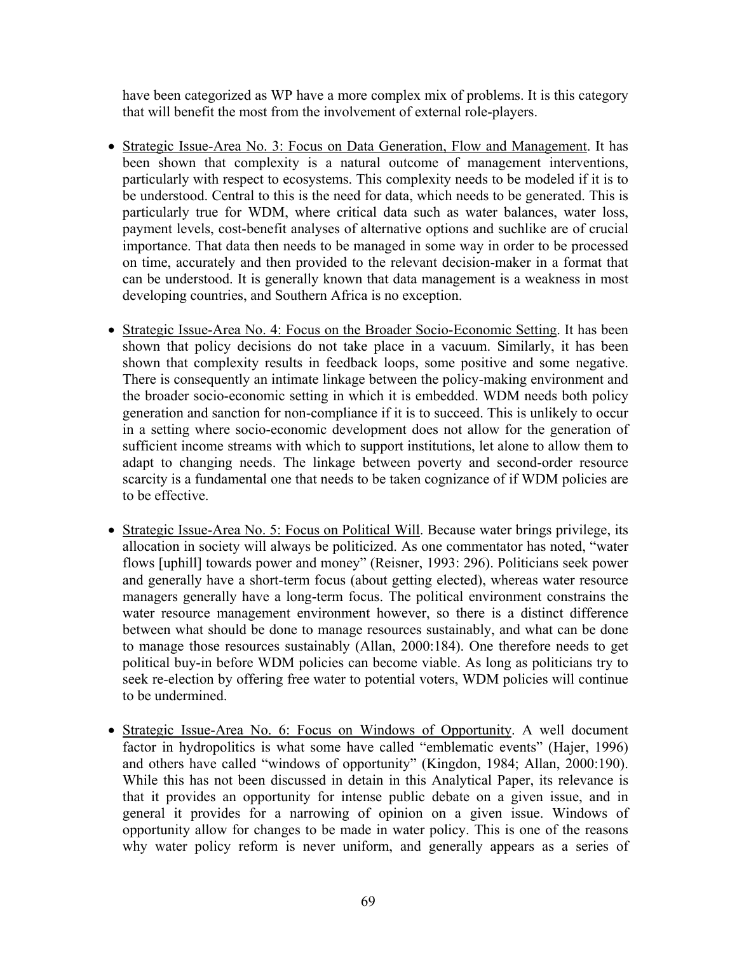have been categorized as WP have a more complex mix of problems. It is this category that will benefit the most from the involvement of external role-players.

- Strategic Issue-Area No. 3: Focus on Data Generation, Flow and Management. It has been shown that complexity is a natural outcome of management interventions, particularly with respect to ecosystems. This complexity needs to be modeled if it is to be understood. Central to this is the need for data, which needs to be generated. This is particularly true for WDM, where critical data such as water balances, water loss, payment levels, cost-benefit analyses of alternative options and suchlike are of crucial importance. That data then needs to be managed in some way in order to be processed on time, accurately and then provided to the relevant decision-maker in a format that can be understood. It is generally known that data management is a weakness in most developing countries, and Southern Africa is no exception.
- Strategic Issue-Area No. 4: Focus on the Broader Socio-Economic Setting. It has been shown that policy decisions do not take place in a vacuum. Similarly, it has been shown that complexity results in feedback loops, some positive and some negative. There is consequently an intimate linkage between the policy-making environment and the broader socio-economic setting in which it is embedded. WDM needs both policy generation and sanction for non-compliance if it is to succeed. This is unlikely to occur in a setting where socio-economic development does not allow for the generation of sufficient income streams with which to support institutions, let alone to allow them to adapt to changing needs. The linkage between poverty and second-order resource scarcity is a fundamental one that needs to be taken cognizance of if WDM policies are to be effective.
- Strategic Issue-Area No. 5: Focus on Political Will. Because water brings privilege, its allocation in society will always be politicized. As one commentator has noted, "water flows [uphill] towards power and money" (Reisner, 1993: 296). Politicians seek power and generally have a short-term focus (about getting elected), whereas water resource managers generally have a long-term focus. The political environment constrains the water resource management environment however, so there is a distinct difference between what should be done to manage resources sustainably, and what can be done to manage those resources sustainably (Allan, 2000:184). One therefore needs to get political buy-in before WDM policies can become viable. As long as politicians try to seek re-election by offering free water to potential voters, WDM policies will continue to be undermined.
- Strategic Issue-Area No. 6: Focus on Windows of Opportunity. A well document factor in hydropolitics is what some have called "emblematic events" (Hajer, 1996) and others have called "windows of opportunity" (Kingdon, 1984; Allan, 2000:190). While this has not been discussed in detain in this Analytical Paper, its relevance is that it provides an opportunity for intense public debate on a given issue, and in general it provides for a narrowing of opinion on a given issue. Windows of opportunity allow for changes to be made in water policy. This is one of the reasons why water policy reform is never uniform, and generally appears as a series of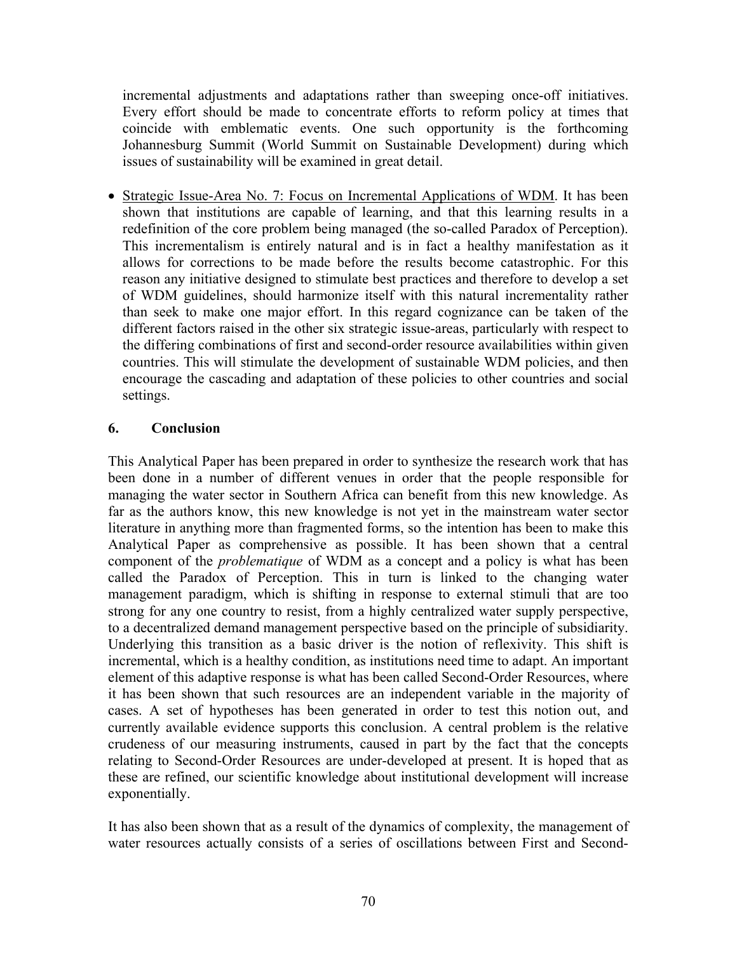incremental adjustments and adaptations rather than sweeping once-off initiatives. Every effort should be made to concentrate efforts to reform policy at times that coincide with emblematic events. One such opportunity is the forthcoming Johannesburg Summit (World Summit on Sustainable Development) during which issues of sustainability will be examined in great detail.

• Strategic Issue-Area No. 7: Focus on Incremental Applications of WDM. It has been shown that institutions are capable of learning, and that this learning results in a redefinition of the core problem being managed (the so-called Paradox of Perception). This incrementalism is entirely natural and is in fact a healthy manifestation as it allows for corrections to be made before the results become catastrophic. For this reason any initiative designed to stimulate best practices and therefore to develop a set of WDM guidelines, should harmonize itself with this natural incrementality rather than seek to make one major effort. In this regard cognizance can be taken of the different factors raised in the other six strategic issue-areas, particularly with respect to the differing combinations of first and second-order resource availabilities within given countries. This will stimulate the development of sustainable WDM policies, and then encourage the cascading and adaptation of these policies to other countries and social settings.

### **6. Conclusion**

This Analytical Paper has been prepared in order to synthesize the research work that has been done in a number of different venues in order that the people responsible for managing the water sector in Southern Africa can benefit from this new knowledge. As far as the authors know, this new knowledge is not yet in the mainstream water sector literature in anything more than fragmented forms, so the intention has been to make this Analytical Paper as comprehensive as possible. It has been shown that a central component of the *problematique* of WDM as a concept and a policy is what has been called the Paradox of Perception. This in turn is linked to the changing water management paradigm, which is shifting in response to external stimuli that are too strong for any one country to resist, from a highly centralized water supply perspective, to a decentralized demand management perspective based on the principle of subsidiarity. Underlying this transition as a basic driver is the notion of reflexivity. This shift is incremental, which is a healthy condition, as institutions need time to adapt. An important element of this adaptive response is what has been called Second-Order Resources, where it has been shown that such resources are an independent variable in the majority of cases. A set of hypotheses has been generated in order to test this notion out, and currently available evidence supports this conclusion. A central problem is the relative crudeness of our measuring instruments, caused in part by the fact that the concepts relating to Second-Order Resources are under-developed at present. It is hoped that as these are refined, our scientific knowledge about institutional development will increase exponentially.

It has also been shown that as a result of the dynamics of complexity, the management of water resources actually consists of a series of oscillations between First and Second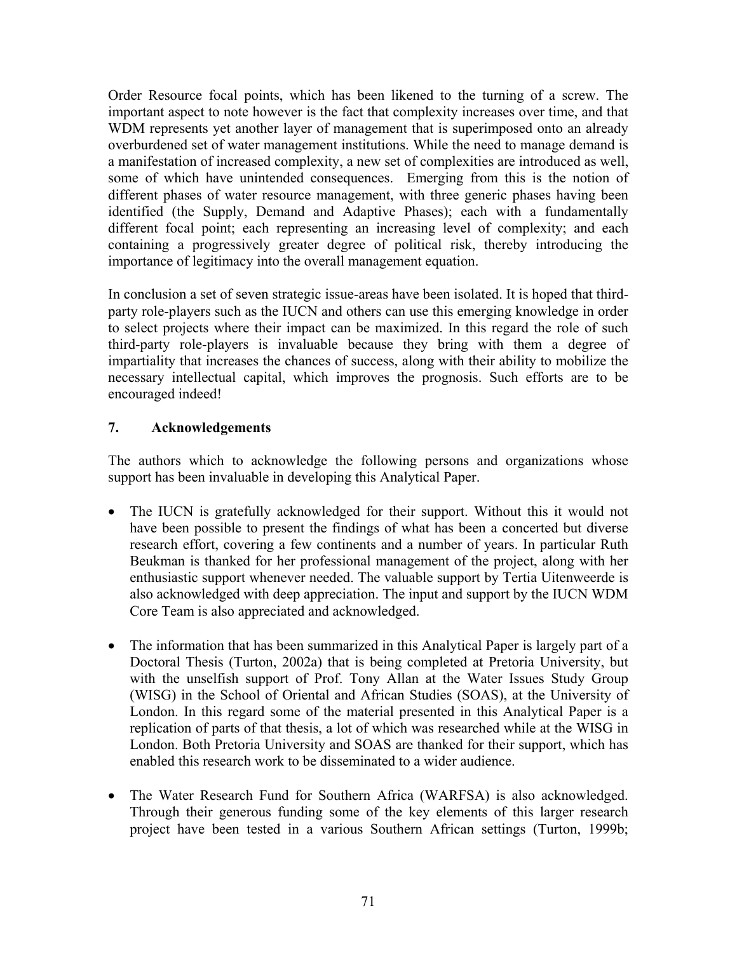Order Resource focal points, which has been likened to the turning of a screw. The important aspect to note however is the fact that complexity increases over time, and that WDM represents yet another layer of management that is superimposed onto an already overburdened set of water management institutions. While the need to manage demand is a manifestation of increased complexity, a new set of complexities are introduced as well, some of which have unintended consequences. Emerging from this is the notion of different phases of water resource management, with three generic phases having been identified (the Supply, Demand and Adaptive Phases); each with a fundamentally different focal point; each representing an increasing level of complexity; and each containing a progressively greater degree of political risk, thereby introducing the importance of legitimacy into the overall management equation.

In conclusion a set of seven strategic issue-areas have been isolated. It is hoped that thirdparty role-players such as the IUCN and others can use this emerging knowledge in order to select projects where their impact can be maximized. In this regard the role of such third-party role-players is invaluable because they bring with them a degree of impartiality that increases the chances of success, along with their ability to mobilize the necessary intellectual capital, which improves the prognosis. Such efforts are to be encouraged indeed!

## **7. Acknowledgements**

The authors which to acknowledge the following persons and organizations whose support has been invaluable in developing this Analytical Paper.

- The IUCN is gratefully acknowledged for their support. Without this it would not have been possible to present the findings of what has been a concerted but diverse research effort, covering a few continents and a number of years. In particular Ruth Beukman is thanked for her professional management of the project, along with her enthusiastic support whenever needed. The valuable support by Tertia Uitenweerde is also acknowledged with deep appreciation. The input and support by the IUCN WDM Core Team is also appreciated and acknowledged.
- $\bullet$ The information that has been summarized in this Analytical Paper is largely part of a Doctoral Thesis (Turton, 2002a) that is being completed at Pretoria University, but with the unselfish support of Prof. Tony Allan at the Water Issues Study Group (WISG) in the School of Oriental and African Studies (SOAS), at the University of London. In this regard some of the material presented in this Analytical Paper is a replication of parts of that thesis, a lot of which was researched while at the WISG in London. Both Pretoria University and SOAS are thanked for their support, which has enabled this research work to be disseminated to a wider audience.
- The Water Research Fund for Southern Africa (WARFSA) is also acknowledged. Through their generous funding some of the key elements of this larger research project have been tested in a various Southern African settings (Turton, 1999b;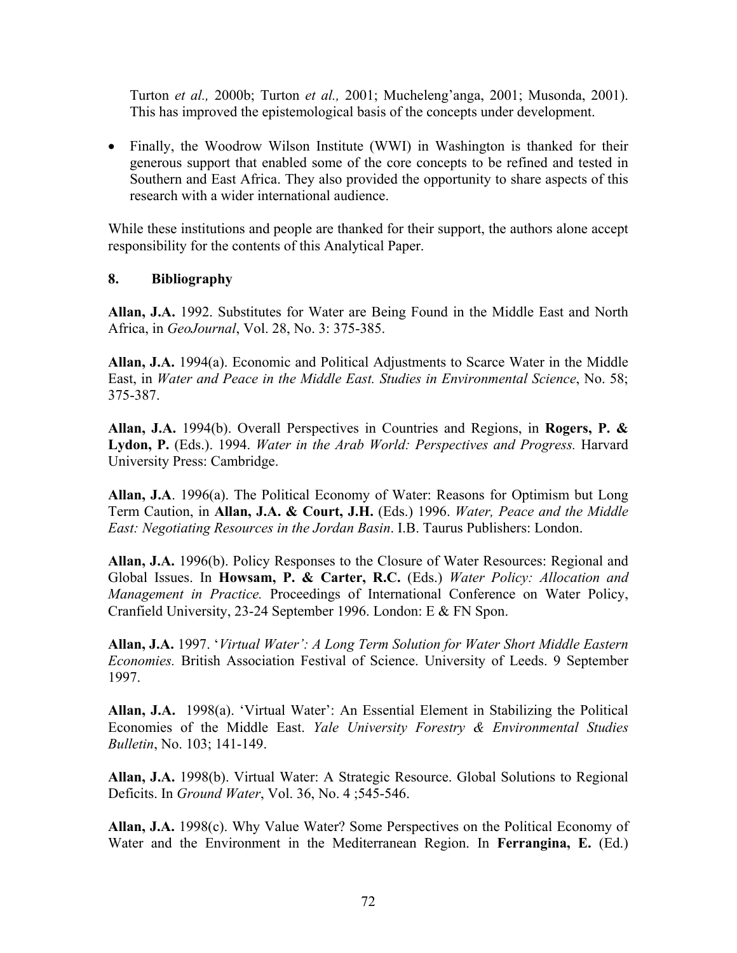Turton *et al.,* 2000b; Turton *et al.,* 2001; Mucheleng'anga, 2001; Musonda, 2001). This has improved the epistemological basis of the concepts under development.

• Finally, the Woodrow Wilson Institute (WWI) in Washington is thanked for their generous support that enabled some of the core concepts to be refined and tested in Southern and East Africa. They also provided the opportunity to share aspects of this research with a wider international audience.

While these institutions and people are thanked for their support, the authors alone accept responsibility for the contents of this Analytical Paper.

### **8. Bibliography**

**Allan, J.A.** 1992. Substitutes for Water are Being Found in the Middle East and North Africa, in *GeoJournal*, Vol. 28, No. 3: 375-385.

**Allan, J.A.** 1994(a). Economic and Political Adjustments to Scarce Water in the Middle East, in *Water and Peace in the Middle East. Studies in Environmental Science*, No. 58; 375-387.

**Allan, J.A.** 1994(b). Overall Perspectives in Countries and Regions, in **Rogers, P. & Lydon, P.** (Eds.). 1994. *Water in the Arab World: Perspectives and Progress.* Harvard University Press: Cambridge.

**Allan, J.A**. 1996(a). The Political Economy of Water: Reasons for Optimism but Long Term Caution, in **Allan, J.A. & Court, J.H.** (Eds.) 1996. *Water, Peace and the Middle East: Negotiating Resources in the Jordan Basin*. I.B. Taurus Publishers: London.

**Allan, J.A.** 1996(b). Policy Responses to the Closure of Water Resources: Regional and Global Issues. In **Howsam, P. & Carter, R.C.** (Eds.) *Water Policy: Allocation and Management in Practice.* Proceedings of International Conference on Water Policy, Cranfield University, 23-24 September 1996. London: E & FN Spon.

**Allan, J.A.** 1997. '*Virtual Water': A Long Term Solution for Water Short Middle Eastern Economies.* British Association Festival of Science. University of Leeds. 9 September 1997.

**Allan, J.A.** 1998(a). 'Virtual Water': An Essential Element in Stabilizing the Political Economies of the Middle East. *Yale University Forestry & Environmental Studies Bulletin*, No. 103; 141-149.

**Allan, J.A.** 1998(b). Virtual Water: A Strategic Resource. Global Solutions to Regional Deficits. In *Ground Water*, Vol. 36, No. 4 ;545-546.

**Allan, J.A.** 1998(c). Why Value Water? Some Perspectives on the Political Economy of Water and the Environment in the Mediterranean Region. In **Ferrangina, E.** (Ed.)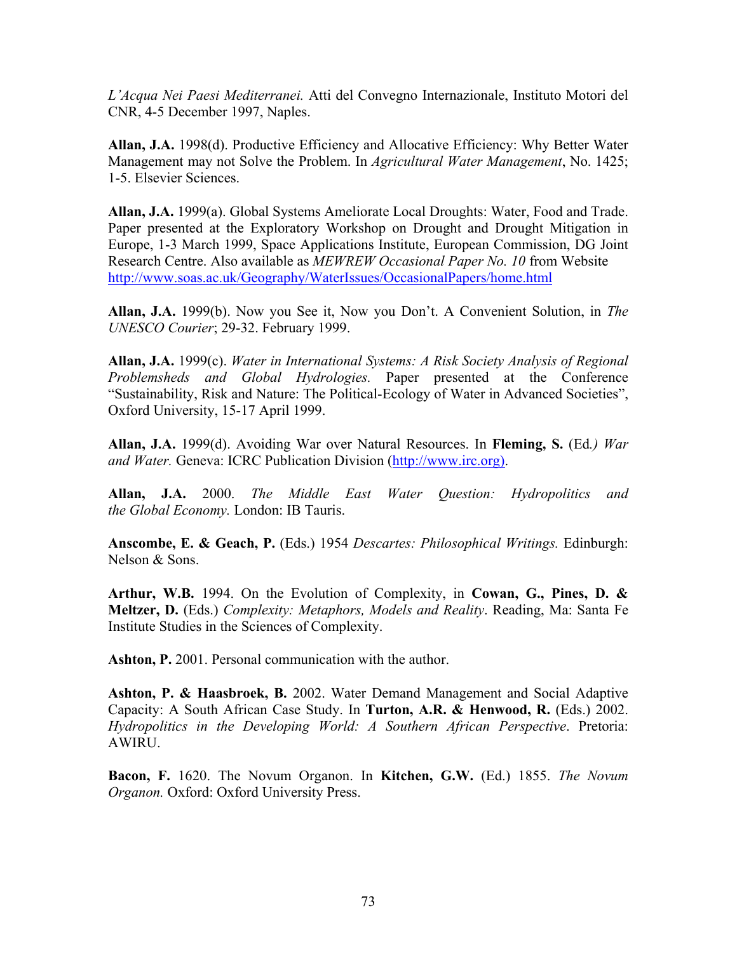*L'Acqua Nei Paesi Mediterranei.* Atti del Convegno Internazionale, Instituto Motori del CNR, 4-5 December 1997, Naples.

**Allan, J.A.** 1998(d). Productive Efficiency and Allocative Efficiency: Why Better Water Management may not Solve the Problem. In *Agricultural Water Management*, No. 1425; 1-5. Elsevier Sciences.

**Allan, J.A.** 1999(a). Global Systems Ameliorate Local Droughts: Water, Food and Trade. Paper presented at the Exploratory Workshop on Drought and Drought Mitigation in Europe, 1-3 March 1999, Space Applications Institute, European Commission, DG Joint Research Centre. Also available as *MEWREW Occasional Paper No. 10* from Website <http://www.soas.ac.uk/Geography/WaterIssues/OccasionalPapers/home.html>

**Allan, J.A.** 1999(b). Now you See it, Now you Don't. A Convenient Solution, in *The UNESCO Courier*; 29-32. February 1999.

**Allan, J.A.** 1999(c). *Water in International Systems: A Risk Society Analysis of Regional Problemsheds and Global Hydrologies.* Paper presented at the Conference "Sustainability, Risk and Nature: The Political-Ecology of Water in Advanced Societies", Oxford University, 15-17 April 1999.

**Allan, J.A.** 1999(d). Avoiding War over Natural Resources. In **Fleming, S.** (Ed*.) War and Water.* Geneva: ICRC Publication Division [\(http://www.irc.org\).](http://www.irc.org)/)

**Allan, J.A.** 2000. *The Middle East Water Question: Hydropolitics and the Global Economy.* London: IB Tauris.

**Anscombe, E. & Geach, P.** (Eds.) 1954 *Descartes: Philosophical Writings.* Edinburgh: Nelson & Sons.

**Arthur, W.B.** 1994. On the Evolution of Complexity, in **Cowan, G., Pines, D. & Meltzer, D.** (Eds.) *Complexity: Metaphors, Models and Reality*. Reading, Ma: Santa Fe Institute Studies in the Sciences of Complexity.

**Ashton, P.** 2001. Personal communication with the author.

**Ashton, P. & Haasbroek, B.** 2002. Water Demand Management and Social Adaptive Capacity: A South African Case Study. In **Turton, A.R. & Henwood, R.** (Eds.) 2002. *Hydropolitics in the Developing World: A Southern African Perspective*. Pretoria: AWIRU.

**Bacon, F.** 1620. The Novum Organon. In **Kitchen, G.W.** (Ed.) 1855. *The Novum Organon.* Oxford: Oxford University Press.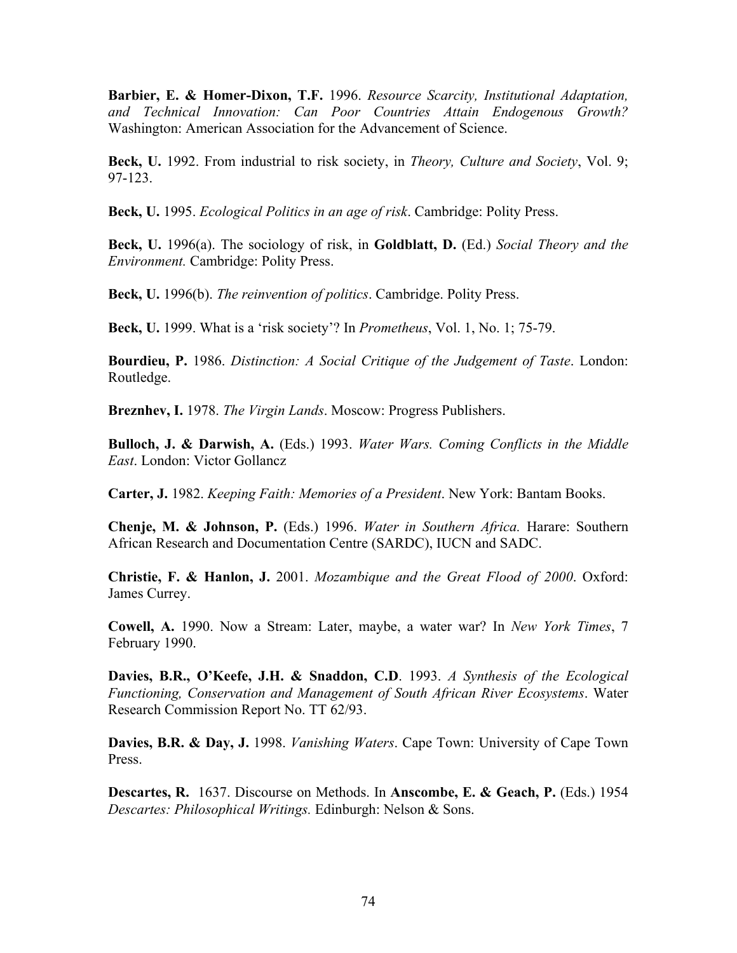**Barbier, E. & Homer-Dixon, T.F.** 1996. *Resource Scarcity, Institutional Adaptation, and Technical Innovation: Can Poor Countries Attain Endogenous Growth?* Washington: American Association for the Advancement of Science.

**Beck, U.** 1992. From industrial to risk society, in *Theory, Culture and Society*, Vol. 9; 97-123.

**Beck, U.** 1995. *Ecological Politics in an age of risk*. Cambridge: Polity Press.

**Beck, U.** 1996(a). The sociology of risk, in **Goldblatt, D.** (Ed.) *Social Theory and the Environment.* Cambridge: Polity Press.

**Beck, U.** 1996(b). *The reinvention of politics*. Cambridge. Polity Press.

**Beck, U.** 1999. What is a 'risk society'? In *Prometheus*, Vol. 1, No. 1; 75-79.

**Bourdieu, P.** 1986. *Distinction: A Social Critique of the Judgement of Taste*. London: Routledge.

**Breznhev, I.** 1978. *The Virgin Lands*. Moscow: Progress Publishers.

**Bulloch, J. & Darwish, A.** (Eds.) 1993. *Water Wars. Coming Conflicts in the Middle East*. London: Victor Gollancz

**Carter, J.** 1982. *Keeping Faith: Memories of a President*. New York: Bantam Books.

**Chenje, M. & Johnson, P.** (Eds.) 1996. *Water in Southern Africa.* Harare: Southern African Research and Documentation Centre (SARDC), IUCN and SADC.

**Christie, F. & Hanlon, J.** 2001. *Mozambique and the Great Flood of 2000*. Oxford: James Currey.

**Cowell, A.** 1990. Now a Stream: Later, maybe, a water war? In *New York Times*, 7 February 1990.

**Davies, B.R., O'Keefe, J.H. & Snaddon, C.D**. 1993. *A Synthesis of the Ecological Functioning, Conservation and Management of South African River Ecosystems*. Water Research Commission Report No. TT 62/93.

**Davies, B.R. & Day, J.** 1998. *Vanishing Waters*. Cape Town: University of Cape Town Press.

**Descartes, R.** 1637. Discourse on Methods. In **Anscombe, E. & Geach, P.** (Eds.) 1954 *Descartes: Philosophical Writings.* Edinburgh: Nelson & Sons.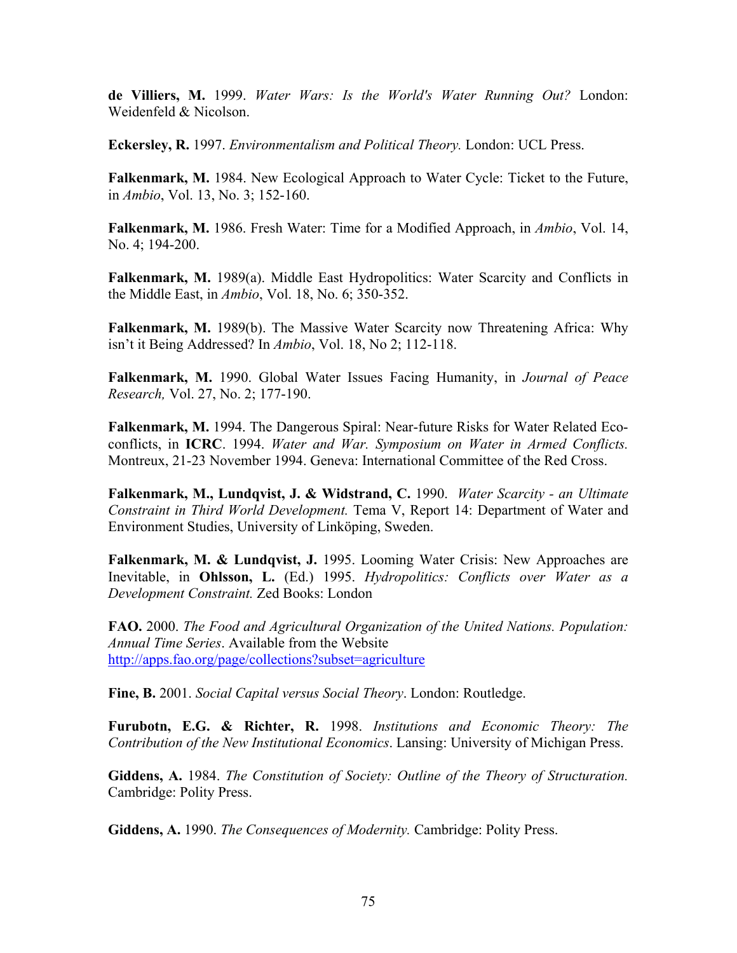**de Villiers, M.** 1999. *Water Wars: Is the World's Water Running Out?* London: Weidenfeld & Nicolson.

**Eckersley, R.** 1997. *Environmentalism and Political Theory.* London: UCL Press.

**Falkenmark, M.** 1984. New Ecological Approach to Water Cycle: Ticket to the Future, in *Ambio*, Vol. 13, No. 3; 152-160.

**Falkenmark, M.** 1986. Fresh Water: Time for a Modified Approach, in *Ambio*, Vol. 14, No. 4; 194-200.

**Falkenmark, M.** 1989(a). Middle East Hydropolitics: Water Scarcity and Conflicts in the Middle East, in *Ambio*, Vol. 18, No. 6; 350-352.

**Falkenmark, M.** 1989(b). The Massive Water Scarcity now Threatening Africa: Why isn't it Being Addressed? In *Ambio*, Vol. 18, No 2; 112-118.

**Falkenmark, M.** 1990. Global Water Issues Facing Humanity, in *Journal of Peace Research,* Vol. 27, No. 2; 177-190.

**Falkenmark, M.** 1994. The Dangerous Spiral: Near-future Risks for Water Related Ecoconflicts, in **ICRC**. 1994. *Water and War. Symposium on Water in Armed Conflicts.* Montreux, 21-23 November 1994. Geneva: International Committee of the Red Cross.

**Falkenmark, M., Lundqvist, J. & Widstrand, C.** 1990. *Water Scarcity - an Ultimate Constraint in Third World Development.* Tema V, Report 14: Department of Water and Environment Studies, University of Linköping, Sweden.

Falkenmark, M. & Lundqvist, J. 1995. Looming Water Crisis: New Approaches are Inevitable, in **Ohlsson, L.** (Ed.) 1995. *Hydropolitics: Conflicts over Water as a Development Constraint.* Zed Books: London

**FAO.** 2000. *The Food and Agricultural Organization of the United Nations. Population: Annual Time Series*. Available from the Website <http://apps.fao.org/page/collections?subset=agriculture>

**Fine, B.** 2001. *Social Capital versus Social Theory*. London: Routledge.

**Furubotn, E.G. & Richter, R.** 1998. *Institutions and Economic Theory: The Contribution of the New Institutional Economics*. Lansing: University of Michigan Press.

**Giddens, A.** 1984. *The Constitution of Society: Outline of the Theory of Structuration.* Cambridge: Polity Press.

**Giddens, A.** 1990. *The Consequences of Modernity.* Cambridge: Polity Press.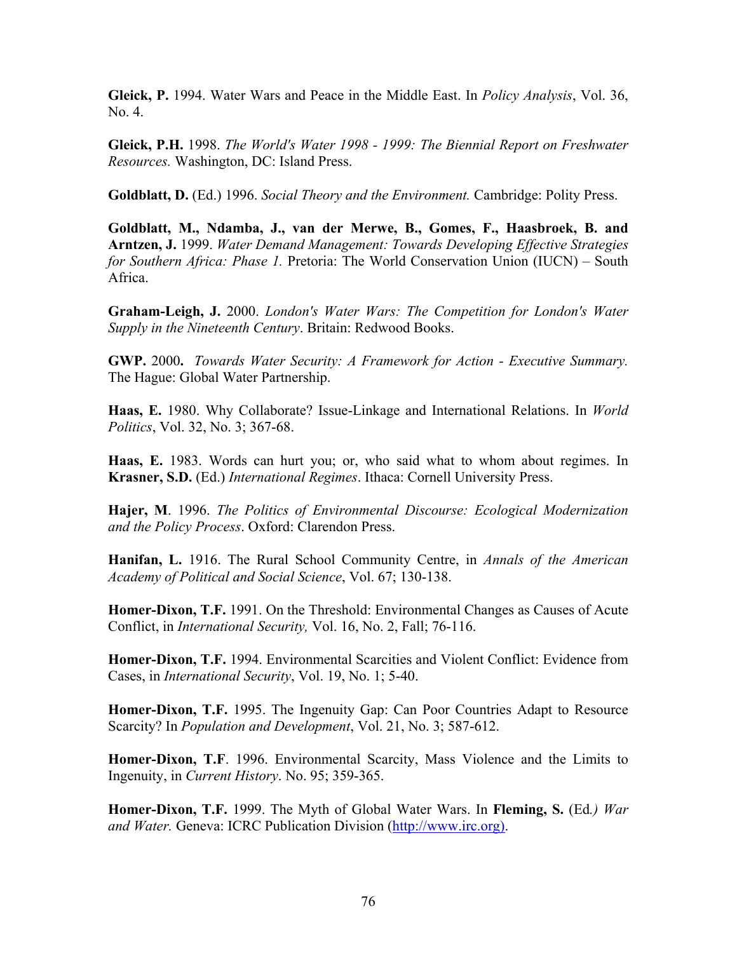**Gleick, P.** 1994. Water Wars and Peace in the Middle East. In *Policy Analysis*, Vol. 36, No. 4.

**Gleick, P.H.** 1998. *The World's Water 1998 - 1999: The Biennial Report on Freshwater Resources.* Washington, DC: Island Press.

**Goldblatt, D.** (Ed.) 1996. *Social Theory and the Environment.* Cambridge: Polity Press.

**Goldblatt, M., Ndamba, J., van der Merwe, B., Gomes, F., Haasbroek, B. and Arntzen, J.** 1999. *Water Demand Management: Towards Developing Effective Strategies for Southern Africa: Phase 1.* Pretoria: The World Conservation Union (IUCN) – South Africa.

**Graham-Leigh, J.** 2000. *London's Water Wars: The Competition for London's Water Supply in the Nineteenth Century*. Britain: Redwood Books.

**GWP.** 2000**.** *Towards Water Security: A Framework for Action - Executive Summary.* The Hague: Global Water Partnership.

**Haas, E.** 1980. Why Collaborate? Issue-Linkage and International Relations. In *World Politics*, Vol. 32, No. 3; 367-68.

**Haas, E.** 1983. Words can hurt you; or, who said what to whom about regimes. In **Krasner, S.D.** (Ed.) *International Regimes*. Ithaca: Cornell University Press.

**Hajer, M**. 1996. *The Politics of Environmental Discourse: Ecological Modernization and the Policy Process*. Oxford: Clarendon Press.

**Hanifan, L.** 1916. The Rural School Community Centre, in *Annals of the American Academy of Political and Social Science*, Vol. 67; 130-138.

**Homer-Dixon, T.F.** 1991. On the Threshold: Environmental Changes as Causes of Acute Conflict, in *International Security,* Vol. 16, No. 2, Fall; 76-116.

**Homer-Dixon, T.F.** 1994. Environmental Scarcities and Violent Conflict: Evidence from Cases, in *International Security*, Vol. 19, No. 1; 5-40.

**Homer-Dixon, T.F.** 1995. The Ingenuity Gap: Can Poor Countries Adapt to Resource Scarcity? In *Population and Development*, Vol. 21, No. 3; 587-612.

**Homer-Dixon, T.F**. 1996. Environmental Scarcity, Mass Violence and the Limits to Ingenuity, in *Current History*. No. 95; 359-365.

**Homer-Dixon, T.F.** 1999. The Myth of Global Water Wars. In **Fleming, S.** (Ed*.) War and Water.* Geneva: ICRC Publication Division [\(http://www.irc.org\).](http://www.irc.org)/)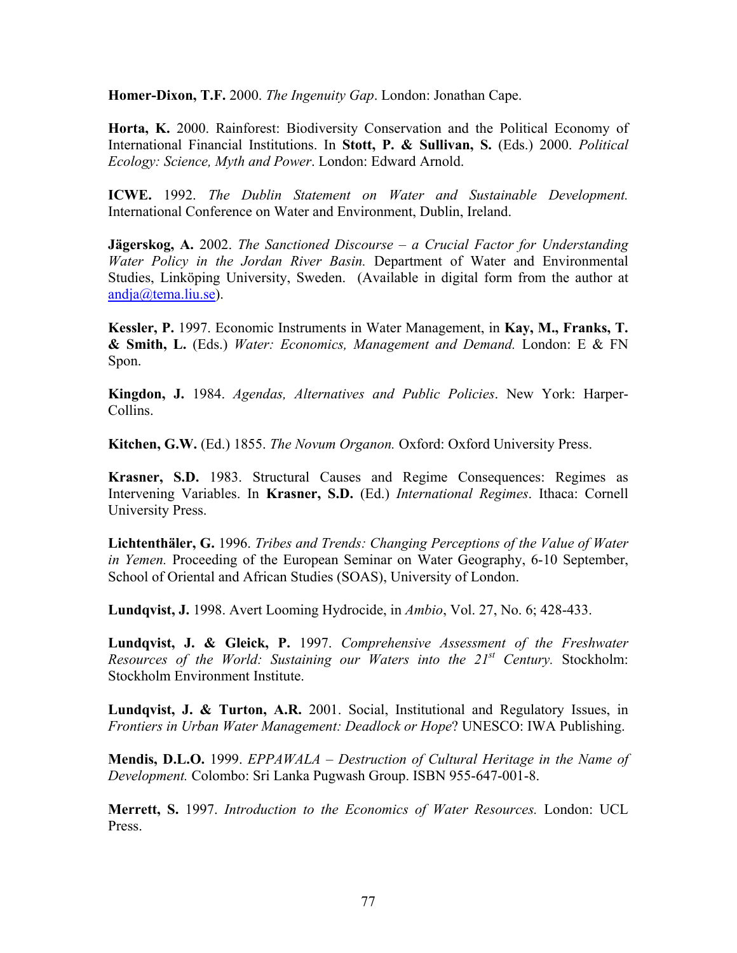**Homer-Dixon, T.F.** 2000. *The Ingenuity Gap*. London: Jonathan Cape.

**Horta, K.** 2000. Rainforest: Biodiversity Conservation and the Political Economy of International Financial Institutions. In **Stott, P. & Sullivan, S.** (Eds.) 2000. *Political Ecology: Science, Myth and Power*. London: Edward Arnold.

**ICWE.** 1992. *The Dublin Statement on Water and Sustainable Development.* International Conference on Water and Environment, Dublin, Ireland.

**Jägerskog, A.** 2002. *The Sanctioned Discourse – a Crucial Factor for Understanding Water Policy in the Jordan River Basin.* Department of Water and Environmental Studies, Linköping University, Sweden. (Available in digital form from the author at [andja@tema.liu.se\)](mailto:andja@tema.liu.se).

**Kessler, P.** 1997. Economic Instruments in Water Management, in **Kay, M., Franks, T. & Smith, L.** (Eds.) *Water: Economics, Management and Demand.* London: E & FN Spon.

**Kingdon, J.** 1984. *Agendas, Alternatives and Public Policies*. New York: Harper-Collins.

**Kitchen, G.W.** (Ed.) 1855. *The Novum Organon.* Oxford: Oxford University Press.

**Krasner, S.D.** 1983. Structural Causes and Regime Consequences: Regimes as Intervening Variables. In **Krasner, S.D.** (Ed.) *International Regimes*. Ithaca: Cornell University Press.

**Lichtenthäler, G.** 1996. *Tribes and Trends: Changing Perceptions of the Value of Water in Yemen.* Proceeding of the European Seminar on Water Geography, 6-10 September, School of Oriental and African Studies (SOAS), University of London.

**Lundqvist, J.** 1998. Avert Looming Hydrocide, in *Ambio*, Vol. 27, No. 6; 428-433.

**Lundqvist, J. & Gleick, P.** 1997. *Comprehensive Assessment of the Freshwater Resources of the World: Sustaining our Waters into the 21st Century.* Stockholm: Stockholm Environment Institute.

**Lundqvist, J. & Turton, A.R.** 2001. Social, Institutional and Regulatory Issues, in *Frontiers in Urban Water Management: Deadlock or Hope*? UNESCO: IWA Publishing.

**Mendis, D.L.O.** 1999. *EPPAWALA – Destruction of Cultural Heritage in the Name of Development.* Colombo: Sri Lanka Pugwash Group. ISBN 955-647-001-8.

**Merrett, S.** 1997. *Introduction to the Economics of Water Resources.* London: UCL Press.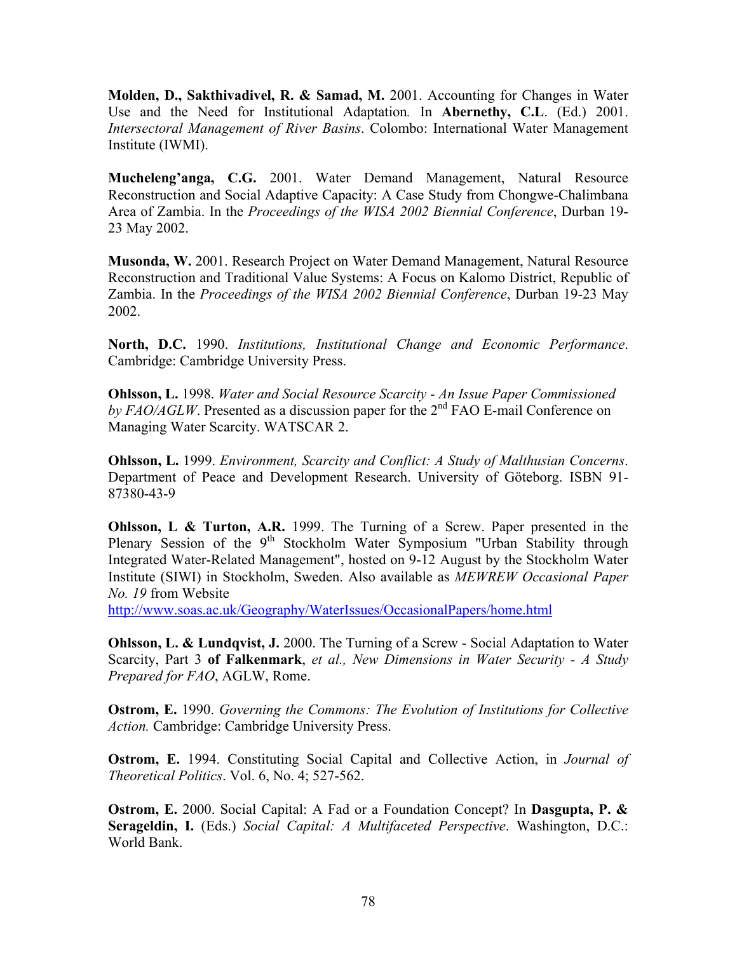**Molden, D., Sakthivadivel, R. & Samad, M.** 2001. Accounting for Changes in Water Use and the Need for Institutional Adaptation*.* In **Abernethy, C.L**. (Ed.) 2001. *Intersectoral Management of River Basins*. Colombo: International Water Management Institute (IWMI).

**Mucheleng'anga, C.G.** 2001. Water Demand Management, Natural Resource Reconstruction and Social Adaptive Capacity: A Case Study from Chongwe-Chalimbana Area of Zambia. In the *Proceedings of the WISA 2002 Biennial Conference*, Durban 19- 23 May 2002.

**Musonda, W.** 2001. Research Project on Water Demand Management, Natural Resource Reconstruction and Traditional Value Systems: A Focus on Kalomo District, Republic of Zambia. In the *Proceedings of the WISA 2002 Biennial Conference*, Durban 19-23 May 2002.

**North, D.C.** 1990. *Institutions, Institutional Change and Economic Performance*. Cambridge: Cambridge University Press.

**Ohlsson, L.** 1998. *Water and Social Resource Scarcity - An Issue Paper Commissioned*  by FAO/AGLW. Presented as a discussion paper for the 2<sup>nd</sup> FAO E-mail Conference on Managing Water Scarcity. WATSCAR 2.

**Ohlsson, L.** 1999. *Environment, Scarcity and Conflict: A Study of Malthusian Concerns*. Department of Peace and Development Research. University of Göteborg. ISBN 91- 87380-43-9

**Ohlsson, L & Turton, A.R.** 1999. The Turning of a Screw. Paper presented in the Plenary Session of the  $9<sup>th</sup>$  Stockholm Water Symposium "Urban Stability through Integrated Water-Related Management", hosted on 9-12 August by the Stockholm Water Institute (SIWI) in Stockholm, Sweden. Also available as *MEWREW Occasional Paper No. 19* from Website

<http://www.soas.ac.uk/Geography/WaterIssues/OccasionalPapers/home.html>

**Ohlsson, L. & Lundqvist, J.** 2000. The Turning of a Screw - Social Adaptation to Water Scarcity, Part 3 **of Falkenmark**, *et al., New Dimensions in Water Security - A Study Prepared for FAO*, AGLW, Rome.

**Ostrom, E.** 1990. *Governing the Commons: The Evolution of Institutions for Collective Action.* Cambridge: Cambridge University Press.

**Ostrom, E.** 1994. Constituting Social Capital and Collective Action, in *Journal of Theoretical Politics*. Vol. 6, No. 4; 527-562.

**Ostrom, E.** 2000. Social Capital: A Fad or a Foundation Concept? In **Dasgupta, P. & Serageldin, I.** (Eds.) *Social Capital: A Multifaceted Perspective*. Washington, D.C.: World Bank.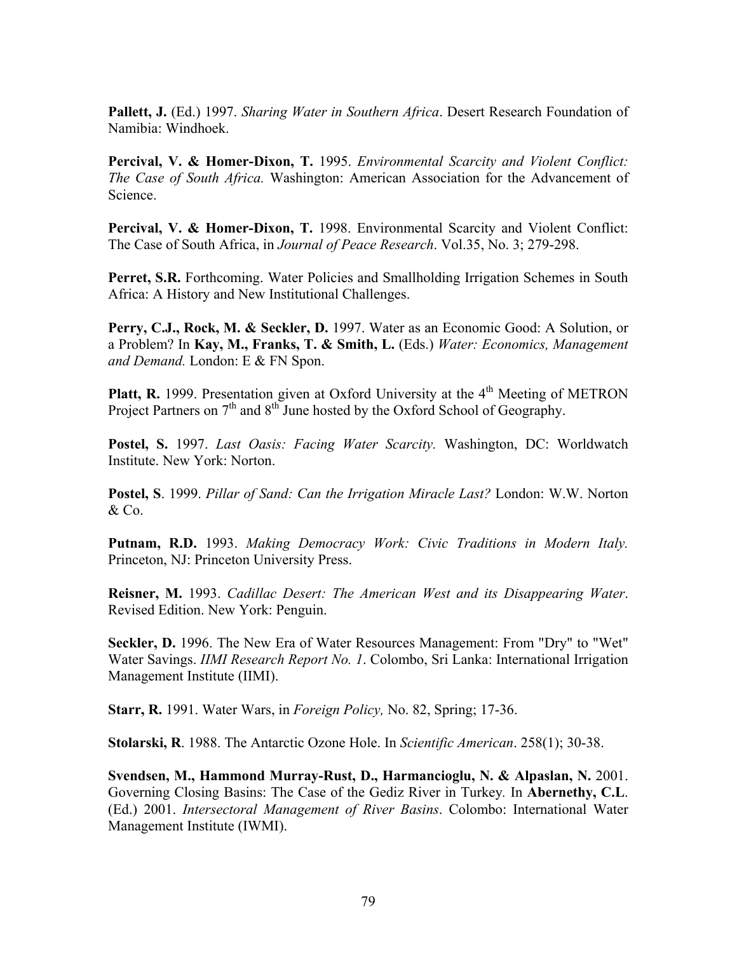**Pallett, J.** (Ed.) 1997. *Sharing Water in Southern Africa*. Desert Research Foundation of Namibia: Windhoek.

**Percival, V. & Homer-Dixon, T.** 1995. *Environmental Scarcity and Violent Conflict: The Case of South Africa.* Washington: American Association for the Advancement of Science.

**Percival, V. & Homer-Dixon, T.** 1998. Environmental Scarcity and Violent Conflict: The Case of South Africa, in *Journal of Peace Research*. Vol.35, No. 3; 279-298.

Perret, S.R. Forthcoming. Water Policies and Smallholding Irrigation Schemes in South Africa: A History and New Institutional Challenges.

**Perry, C.J., Rock, M. & Seckler, D.** 1997. Water as an Economic Good: A Solution, or a Problem? In **Kay, M., Franks, T. & Smith, L.** (Eds.) *Water: Economics, Management and Demand.* London: E & FN Spon.

**Platt, R.** 1999. Presentation given at Oxford University at the 4<sup>th</sup> Meeting of METRON Project Partners on  $7<sup>th</sup>$  and  $8<sup>th</sup>$  June hosted by the Oxford School of Geography.

**Postel, S.** 1997. *Last Oasis: Facing Water Scarcity.* Washington, DC: Worldwatch Institute. New York: Norton.

**Postel, S**. 1999. *Pillar of Sand: Can the Irrigation Miracle Last?* London: W.W. Norton & Co.

**Putnam, R.D.** 1993. *Making Democracy Work: Civic Traditions in Modern Italy.* Princeton, NJ: Princeton University Press.

**Reisner, M.** 1993. *Cadillac Desert: The American West and its Disappearing Water*. Revised Edition. New York: Penguin.

**Seckler, D.** 1996. The New Era of Water Resources Management: From "Dry" to "Wet" Water Savings. *IIMI Research Report No. 1*. Colombo, Sri Lanka: International Irrigation Management Institute (IIMI).

**Starr, R.** 1991. Water Wars, in *Foreign Policy,* No. 82, Spring; 17-36.

**Stolarski, R**. 1988. The Antarctic Ozone Hole. In *Scientific American*. 258(1); 30-38.

**Svendsen, M., Hammond Murray-Rust, D., Harmancioglu, N. & Alpaslan, N.** 2001. Governing Closing Basins: The Case of the Gediz River in Turkey*.* In **Abernethy, C.L**. (Ed.) 2001. *Intersectoral Management of River Basins*. Colombo: International Water Management Institute (IWMI).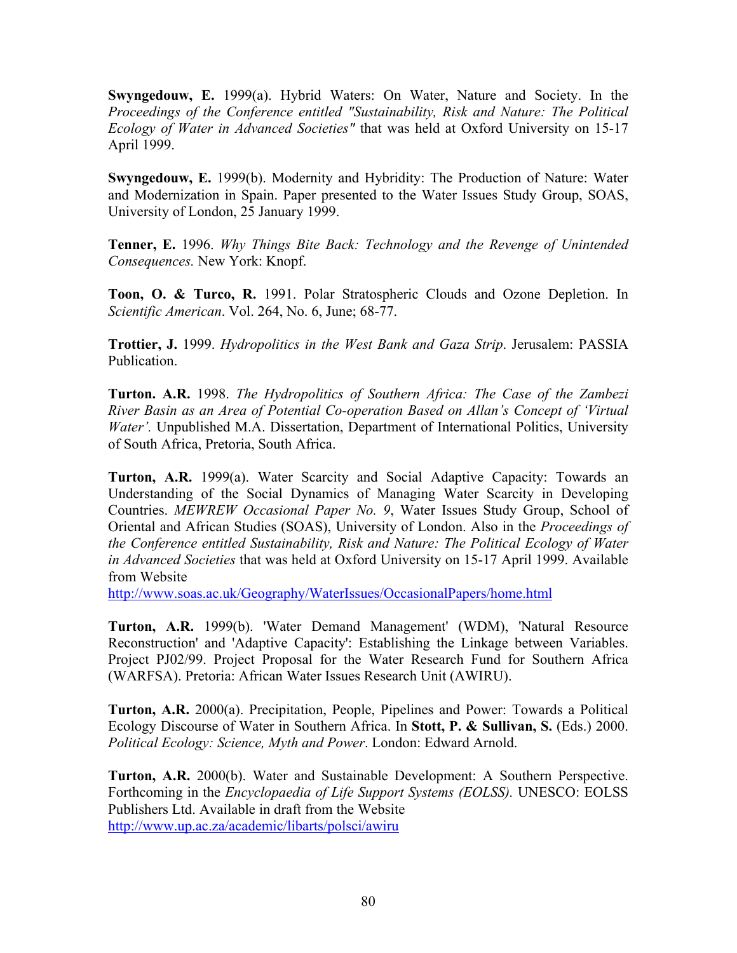**Swyngedouw, E.** 1999(a). Hybrid Waters: On Water, Nature and Society. In the *Proceedings of the Conference entitled "Sustainability, Risk and Nature: The Political Ecology of Water in Advanced Societies"* that was held at Oxford University on 15-17 April 1999.

**Swyngedouw, E.** 1999(b). Modernity and Hybridity: The Production of Nature: Water and Modernization in Spain. Paper presented to the Water Issues Study Group, SOAS, University of London, 25 January 1999.

**Tenner, E.** 1996. *Why Things Bite Back: Technology and the Revenge of Unintended Consequences.* New York: Knopf.

**Toon, O. & Turco, R.** 1991. Polar Stratospheric Clouds and Ozone Depletion. In *Scientific American*. Vol. 264, No. 6, June; 68-77.

**Trottier, J.** 1999. *Hydropolitics in the West Bank and Gaza Strip*. Jerusalem: PASSIA Publication.

**Turton. A.R.** 1998. *The Hydropolitics of Southern Africa: The Case of the Zambezi River Basin as an Area of Potential Co-operation Based on Allan's Concept of 'Virtual Water'*. Unpublished M.A. Dissertation, Department of International Politics, University of South Africa, Pretoria, South Africa.

**Turton, A.R.** 1999(a). Water Scarcity and Social Adaptive Capacity: Towards an Understanding of the Social Dynamics of Managing Water Scarcity in Developing Countries. *MEWREW Occasional Paper No. 9*, Water Issues Study Group, School of Oriental and African Studies (SOAS), University of London. Also in the *Proceedings of the Conference entitled Sustainability, Risk and Nature: The Political Ecology of Water in Advanced Societies* that was held at Oxford University on 15-17 April 1999. Available from Website

<http://www.soas.ac.uk/Geography/WaterIssues/OccasionalPapers/home.html>

**Turton, A.R.** 1999(b). 'Water Demand Management' (WDM), 'Natural Resource Reconstruction' and 'Adaptive Capacity': Establishing the Linkage between Variables. Project PJ02/99. Project Proposal for the Water Research Fund for Southern Africa (WARFSA). Pretoria: African Water Issues Research Unit (AWIRU).

**Turton, A.R.** 2000(a). Precipitation, People, Pipelines and Power: Towards a Political Ecology Discourse of Water in Southern Africa. In **Stott, P. & Sullivan, S.** (Eds.) 2000. *Political Ecology: Science, Myth and Power*. London: Edward Arnold.

**Turton, A.R.** 2000(b). Water and Sustainable Development: A Southern Perspective. Forthcoming in the *Encyclopaedia of Life Support Systems (EOLSS).* UNESCO: EOLSS Publishers Ltd. Available in draft from the Website <http://www.up.ac.za/academic/libarts/polsci/awiru>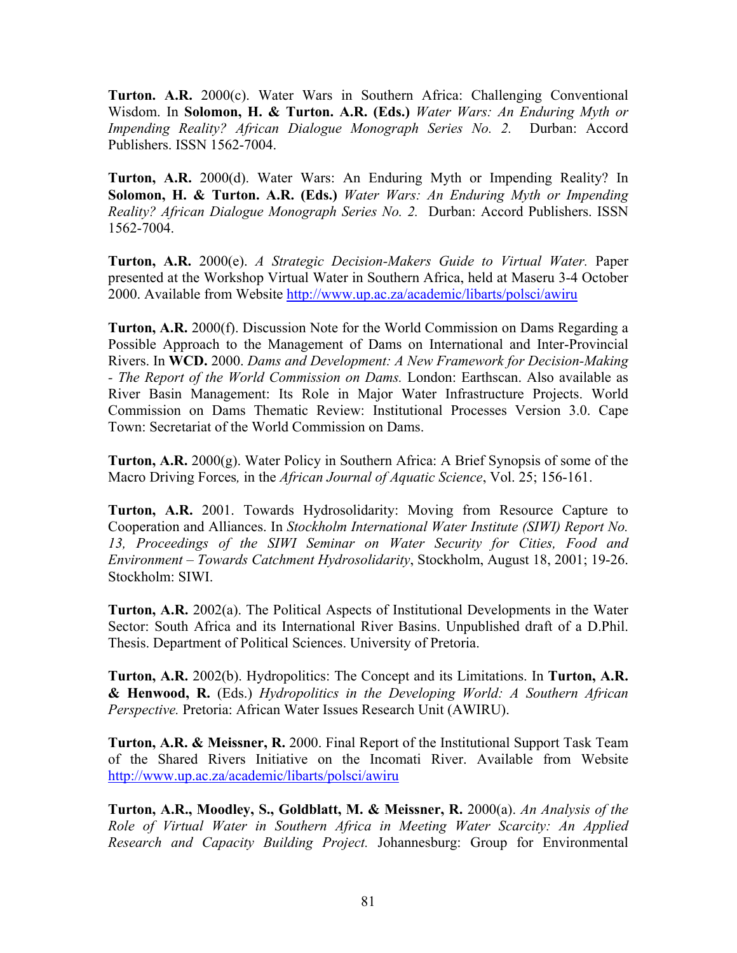**Turton. A.R.** 2000(c). Water Wars in Southern Africa: Challenging Conventional Wisdom. In **Solomon, H. & Turton. A.R. (Eds.)** *Water Wars: An Enduring Myth or Impending Reality? African Dialogue Monograph Series No. 2.* Durban: Accord Publishers. ISSN 1562-7004.

**Turton, A.R.** 2000(d). Water Wars: An Enduring Myth or Impending Reality? In **Solomon, H. & Turton. A.R. (Eds.)** *Water Wars: An Enduring Myth or Impending Reality? African Dialogue Monograph Series No. 2.* Durban: Accord Publishers. ISSN 1562-7004.

**Turton, A.R.** 2000(e). *A Strategic Decision-Makers Guide to Virtual Water.* Paper presented at the Workshop Virtual Water in Southern Africa, held at Maseru 3-4 October 2000. Available from Website<http://www.up.ac.za/academic/libarts/polsci/awiru>

**Turton, A.R.** 2000(f). Discussion Note for the World Commission on Dams Regarding a Possible Approach to the Management of Dams on International and Inter-Provincial Rivers. In **WCD.** 2000. *Dams and Development: A New Framework for Decision-Making - The Report of the World Commission on Dams.* London: Earthscan. Also available as River Basin Management: Its Role in Major Water Infrastructure Projects. World Commission on Dams Thematic Review: Institutional Processes Version 3.0. Cape Town: Secretariat of the World Commission on Dams.

**Turton, A.R.** 2000(g). Water Policy in Southern Africa: A Brief Synopsis of some of the Macro Driving Forces*,* in the *African Journal of Aquatic Science*, Vol. 25; 156-161.

**Turton, A.R.** 2001. Towards Hydrosolidarity: Moving from Resource Capture to Cooperation and Alliances. In *Stockholm International Water Institute (SIWI) Report No. 13, Proceedings of the SIWI Seminar on Water Security for Cities, Food and Environment – Towards Catchment Hydrosolidarity*, Stockholm, August 18, 2001; 19-26. Stockholm: SIWI.

**Turton, A.R.** 2002(a). The Political Aspects of Institutional Developments in the Water Sector: South Africa and its International River Basins. Unpublished draft of a D.Phil. Thesis. Department of Political Sciences. University of Pretoria.

**Turton, A.R.** 2002(b). Hydropolitics: The Concept and its Limitations. In **Turton, A.R. & Henwood, R.** (Eds.) *Hydropolitics in the Developing World: A Southern African Perspective.* Pretoria: African Water Issues Research Unit (AWIRU).

**Turton, A.R. & Meissner, R.** 2000. Final Report of the Institutional Support Task Team of the Shared Rivers Initiative on the Incomati River. Available from Website <http://www.up.ac.za/academic/libarts/polsci/awiru>

**Turton, A.R., Moodley, S., Goldblatt, M. & Meissner, R.** 2000(a). *An Analysis of the Role of Virtual Water in Southern Africa in Meeting Water Scarcity: An Applied Research and Capacity Building Project.* Johannesburg: Group for Environmental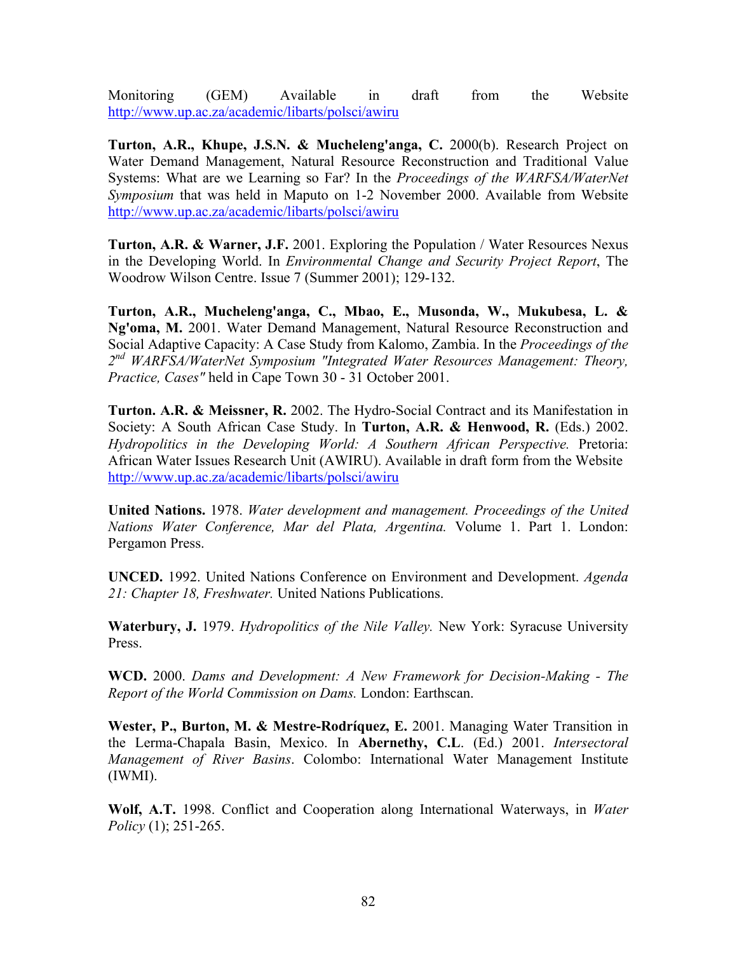Monitoring (GEM) Available in draft from the Website <http://www.up.ac.za/academic/libarts/polsci/awiru>

**Turton, A.R., Khupe, J.S.N. & Mucheleng'anga, C.** 2000(b). Research Project on Water Demand Management, Natural Resource Reconstruction and Traditional Value Systems: What are we Learning so Far? In the *Proceedings of the WARFSA/WaterNet Symposium* that was held in Maputo on 1-2 November 2000. Available from Website <http://www.up.ac.za/academic/libarts/polsci/awiru>

**Turton, A.R. & Warner, J.F.** 2001. Exploring the Population / Water Resources Nexus in the Developing World. In *Environmental Change and Security Project Report*, The Woodrow Wilson Centre. Issue 7 (Summer 2001); 129-132.

**Turton, A.R., Mucheleng'anga, C., Mbao, E., Musonda, W., Mukubesa, L. & Ng'oma, M.** 2001. Water Demand Management, Natural Resource Reconstruction and Social Adaptive Capacity: A Case Study from Kalomo, Zambia. In the *Proceedings of the 2nd WARFSA/WaterNet Symposium "Integrated Water Resources Management: Theory, Practice, Cases"* held in Cape Town 30 - 31 October 2001.

**Turton. A.R. & Meissner, R.** 2002. The Hydro-Social Contract and its Manifestation in Society: A South African Case Study. In **Turton, A.R. & Henwood, R.** (Eds.) 2002. *Hydropolitics in the Developing World: A Southern African Perspective.* Pretoria: African Water Issues Research Unit (AWIRU). Available in draft form from the Website <http://www.up.ac.za/academic/libarts/polsci/awiru>

**United Nations.** 1978. *Water development and management. Proceedings of the United Nations Water Conference, Mar del Plata, Argentina.* Volume 1. Part 1. London: Pergamon Press.

**UNCED.** 1992. United Nations Conference on Environment and Development. *Agenda 21: Chapter 18, Freshwater.* United Nations Publications.

**Waterbury, J.** 1979. *Hydropolitics of the Nile Valley.* New York: Syracuse University Press.

**WCD.** 2000. *Dams and Development: A New Framework for Decision-Making - The Report of the World Commission on Dams.* London: Earthscan.

**Wester, P., Burton, M. & Mestre-Rodríquez, E.** 2001. Managing Water Transition in the Lerma-Chapala Basin, Mexico. In **Abernethy, C.L**. (Ed.) 2001. *Intersectoral Management of River Basins*. Colombo: International Water Management Institute (IWMI).

**Wolf, A.T.** 1998. Conflict and Cooperation along International Waterways, in *Water Policy* (1); 251-265.